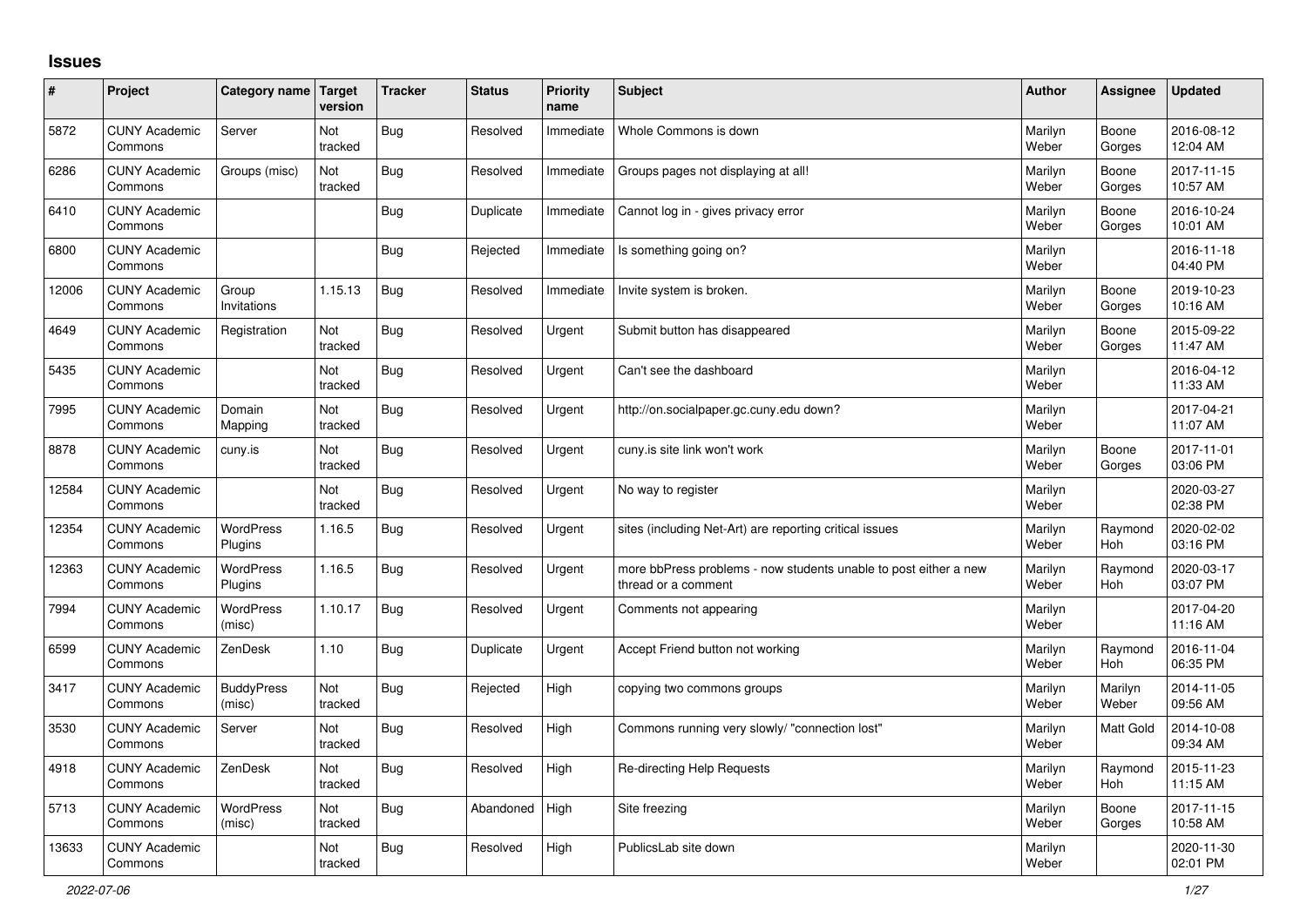## **Issues**

| #     | Project                         | Category name Target        | version        | <b>Tracker</b> | <b>Status</b> | <b>Priority</b><br>name | <b>Subject</b>                                                                          | <b>Author</b>    | Assignee              | <b>Updated</b>         |
|-------|---------------------------------|-----------------------------|----------------|----------------|---------------|-------------------------|-----------------------------------------------------------------------------------------|------------------|-----------------------|------------------------|
| 5872  | <b>CUNY Academic</b><br>Commons | Server                      | Not<br>tracked | <b>Bug</b>     | Resolved      | Immediate               | Whole Commons is down                                                                   | Marilyn<br>Weber | Boone<br>Gorges       | 2016-08-12<br>12:04 AM |
| 6286  | <b>CUNY Academic</b><br>Commons | Groups (misc)               | Not<br>tracked | <b>Bug</b>     | Resolved      | Immediate               | Groups pages not displaying at all!                                                     | Marilyn<br>Weber | Boone<br>Gorges       | 2017-11-15<br>10:57 AM |
| 6410  | <b>CUNY Academic</b><br>Commons |                             |                | Bug            | Duplicate     | Immediate               | Cannot log in - gives privacy error                                                     | Marilyn<br>Weber | Boone<br>Gorges       | 2016-10-24<br>10:01 AM |
| 6800  | <b>CUNY Academic</b><br>Commons |                             |                | <b>Bug</b>     | Rejected      | Immediate               | Is something going on?                                                                  | Marilyn<br>Weber |                       | 2016-11-18<br>04:40 PM |
| 12006 | <b>CUNY Academic</b><br>Commons | Group<br>Invitations        | 1.15.13        | Bug            | Resolved      | Immediate               | Invite system is broken.                                                                | Marilyn<br>Weber | Boone<br>Gorges       | 2019-10-23<br>10:16 AM |
| 4649  | <b>CUNY Academic</b><br>Commons | Registration                | Not<br>tracked | <b>Bug</b>     | Resolved      | Urgent                  | Submit button has disappeared                                                           | Marilyn<br>Weber | Boone<br>Gorges       | 2015-09-22<br>11:47 AM |
| 5435  | <b>CUNY Academic</b><br>Commons |                             | Not<br>tracked | <b>Bug</b>     | Resolved      | Urgent                  | Can't see the dashboard                                                                 | Marilyn<br>Weber |                       | 2016-04-12<br>11:33 AM |
| 7995  | <b>CUNY Academic</b><br>Commons | Domain<br>Mapping           | Not<br>tracked | <b>Bug</b>     | Resolved      | Urgent                  | http://on.socialpaper.gc.cuny.edu down?                                                 | Marilyn<br>Weber |                       | 2017-04-21<br>11:07 AM |
| 8878  | <b>CUNY Academic</b><br>Commons | cuny.is                     | Not<br>tracked | <b>Bug</b>     | Resolved      | Urgent                  | cuny.is site link won't work                                                            | Marilyn<br>Weber | Boone<br>Gorges       | 2017-11-01<br>03:06 PM |
| 12584 | <b>CUNY Academic</b><br>Commons |                             | Not<br>tracked | <b>Bug</b>     | Resolved      | Urgent                  | No way to register                                                                      | Marilyn<br>Weber |                       | 2020-03-27<br>02:38 PM |
| 12354 | <b>CUNY Academic</b><br>Commons | <b>WordPress</b><br>Plugins | 1.16.5         | Bug            | Resolved      | Urgent                  | sites (including Net-Art) are reporting critical issues                                 | Marilyn<br>Weber | Raymond<br><b>Hoh</b> | 2020-02-02<br>03:16 PM |
| 12363 | <b>CUNY Academic</b><br>Commons | <b>WordPress</b><br>Plugins | 1.16.5         | <b>Bug</b>     | Resolved      | Urgent                  | more bbPress problems - now students unable to post either a new<br>thread or a comment | Marilyn<br>Weber | Raymond<br><b>Hoh</b> | 2020-03-17<br>03:07 PM |
| 7994  | <b>CUNY Academic</b><br>Commons | WordPress<br>(misc)         | 1.10.17        | <b>Bug</b>     | Resolved      | Urgent                  | Comments not appearing                                                                  | Marilyn<br>Weber |                       | 2017-04-20<br>11:16 AM |
| 6599  | <b>CUNY Academic</b><br>Commons | ZenDesk                     | 1.10           | <b>Bug</b>     | Duplicate     | Urgent                  | Accept Friend button not working                                                        | Marilyn<br>Weber | Raymond<br><b>Hoh</b> | 2016-11-04<br>06:35 PM |
| 3417  | <b>CUNY Academic</b><br>Commons | <b>BuddyPress</b><br>(misc) | Not<br>tracked | <b>Bug</b>     | Rejected      | High                    | copying two commons groups                                                              | Marilyn<br>Weber | Marilyn<br>Weber      | 2014-11-05<br>09:56 AM |
| 3530  | <b>CUNY Academic</b><br>Commons | Server                      | Not<br>tracked | <b>Bug</b>     | Resolved      | High                    | Commons running very slowly/ "connection lost"                                          | Marilyn<br>Weber | Matt Gold             | 2014-10-08<br>09:34 AM |
| 4918  | <b>CUNY Academic</b><br>Commons | ZenDesk                     | Not<br>tracked | <b>Bug</b>     | Resolved      | High                    | <b>Re-directing Help Requests</b>                                                       | Marilyn<br>Weber | Raymond<br>Hoh        | 2015-11-23<br>11:15 AM |
| 5713  | <b>CUNY Academic</b><br>Commons | WordPress<br>(misc)         | Not<br>tracked | <b>Bug</b>     | Abandoned     | High                    | Site freezing                                                                           | Marilyn<br>Weber | Boone<br>Gorges       | 2017-11-15<br>10:58 AM |
| 13633 | <b>CUNY Academic</b><br>Commons |                             | Not<br>tracked | <b>Bug</b>     | Resolved      | High                    | PublicsLab site down                                                                    | Marilyn<br>Weber |                       | 2020-11-30<br>02:01 PM |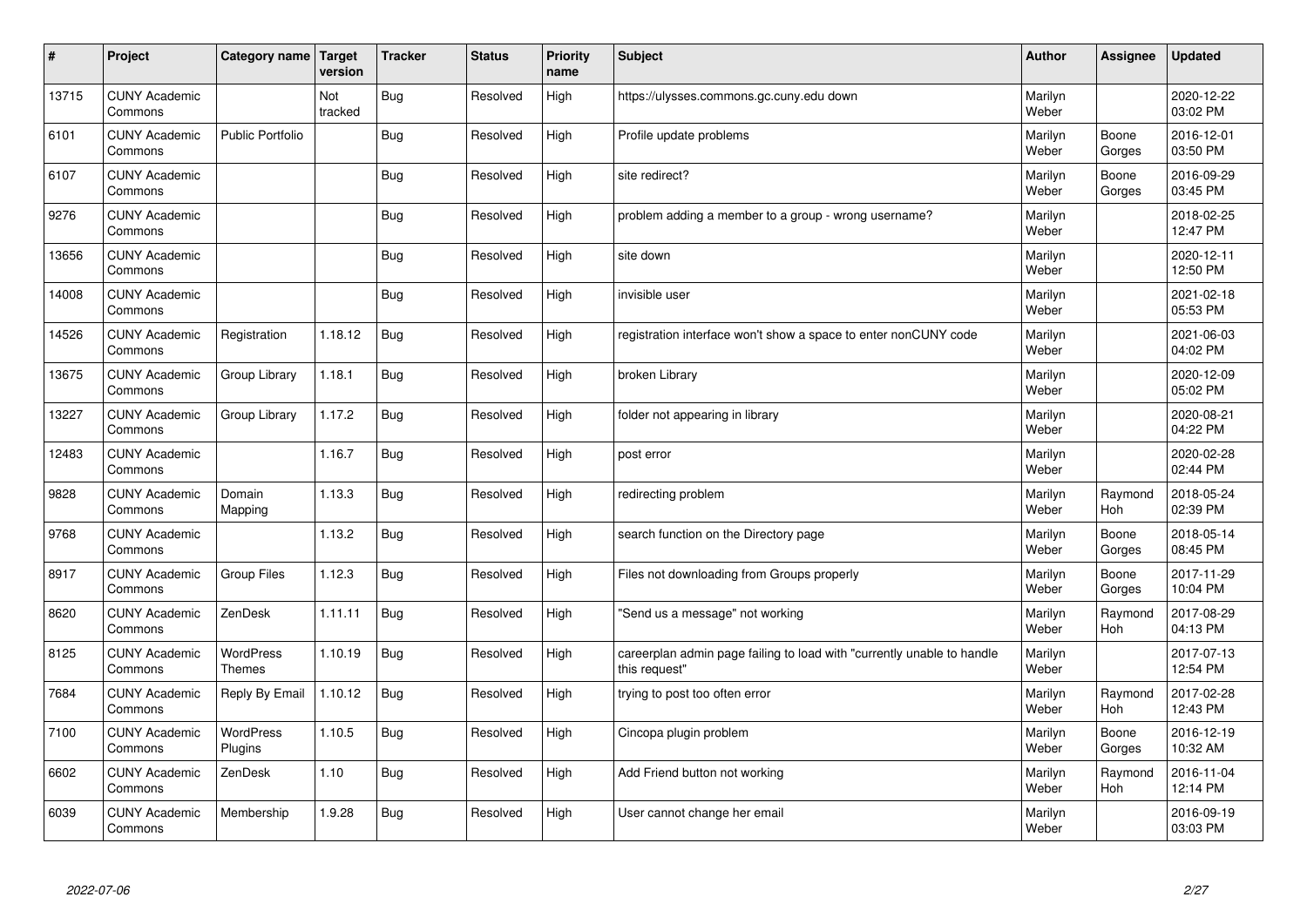| #     | Project                         | Category name   Target     | version        | <b>Tracker</b> | <b>Status</b> | <b>Priority</b><br>name | <b>Subject</b>                                                                          | <b>Author</b>    | Assignee              | <b>Updated</b>         |
|-------|---------------------------------|----------------------------|----------------|----------------|---------------|-------------------------|-----------------------------------------------------------------------------------------|------------------|-----------------------|------------------------|
| 13715 | <b>CUNY Academic</b><br>Commons |                            | Not<br>tracked | Bug            | Resolved      | High                    | https://ulysses.commons.gc.cuny.edu down                                                | Marilyn<br>Weber |                       | 2020-12-22<br>03:02 PM |
| 6101  | <b>CUNY Academic</b><br>Commons | <b>Public Portfolio</b>    |                | Bug            | Resolved      | High                    | Profile update problems                                                                 | Marilyn<br>Weber | Boone<br>Gorges       | 2016-12-01<br>03:50 PM |
| 6107  | <b>CUNY Academic</b><br>Commons |                            |                | <b>Bug</b>     | Resolved      | High                    | site redirect?                                                                          | Marilyn<br>Weber | Boone<br>Gorges       | 2016-09-29<br>03:45 PM |
| 9276  | <b>CUNY Academic</b><br>Commons |                            |                | Bug            | Resolved      | High                    | problem adding a member to a group - wrong username?                                    | Marilyn<br>Weber |                       | 2018-02-25<br>12:47 PM |
| 13656 | <b>CUNY Academic</b><br>Commons |                            |                | Bug            | Resolved      | High                    | site down                                                                               | Marilyn<br>Weber |                       | 2020-12-11<br>12:50 PM |
| 14008 | <b>CUNY Academic</b><br>Commons |                            |                | Bug            | Resolved      | High                    | invisible user                                                                          | Marilyn<br>Weber |                       | 2021-02-18<br>05:53 PM |
| 14526 | <b>CUNY Academic</b><br>Commons | Registration               | 1.18.12        | Bug            | Resolved      | High                    | registration interface won't show a space to enter nonCUNY code                         | Marilyn<br>Weber |                       | 2021-06-03<br>04:02 PM |
| 13675 | <b>CUNY Academic</b><br>Commons | Group Library              | 1.18.1         | Bug            | Resolved      | High                    | broken Library                                                                          | Marilyn<br>Weber |                       | 2020-12-09<br>05:02 PM |
| 13227 | <b>CUNY Academic</b><br>Commons | Group Library              | 1.17.2         | Bug            | Resolved      | High                    | folder not appearing in library                                                         | Marilyn<br>Weber |                       | 2020-08-21<br>04:22 PM |
| 12483 | <b>CUNY Academic</b><br>Commons |                            | 1.16.7         | Bug            | Resolved      | High                    | post error                                                                              | Marilyn<br>Weber |                       | 2020-02-28<br>02:44 PM |
| 9828  | <b>CUNY Academic</b><br>Commons | Domain<br>Mapping          | 1.13.3         | Bug            | Resolved      | High                    | redirecting problem                                                                     | Marilyn<br>Weber | Raymond<br>Hoh        | 2018-05-24<br>02:39 PM |
| 9768  | <b>CUNY Academic</b><br>Commons |                            | 1.13.2         | Bug            | Resolved      | High                    | search function on the Directory page                                                   | Marilyn<br>Weber | Boone<br>Gorges       | 2018-05-14<br>08:45 PM |
| 8917  | <b>CUNY Academic</b><br>Commons | <b>Group Files</b>         | 1.12.3         | Bug            | Resolved      | High                    | Files not downloading from Groups properly                                              | Marilyn<br>Weber | Boone<br>Gorges       | 2017-11-29<br>10:04 PM |
| 8620  | <b>CUNY Academic</b><br>Commons | ZenDesk                    | 1.11.11        | <b>Bug</b>     | Resolved      | High                    | 'Send us a message" not working                                                         | Marilyn<br>Weber | Raymond<br><b>Hoh</b> | 2017-08-29<br>04:13 PM |
| 8125  | <b>CUNY Academic</b><br>Commons | WordPress<br><b>Themes</b> | 1.10.19        | <b>Bug</b>     | Resolved      | High                    | careerplan admin page failing to load with "currently unable to handle<br>this request" | Marilyn<br>Weber |                       | 2017-07-13<br>12:54 PM |
| 7684  | <b>CUNY Academic</b><br>Commons | Reply By Email             | 1.10.12        | <b>Bug</b>     | Resolved      | High                    | trying to post too often error                                                          | Marilyn<br>Weber | Raymond<br>Hoh        | 2017-02-28<br>12:43 PM |
| 7100  | <b>CUNY Academic</b><br>Commons | WordPress<br>Plugins       | 1.10.5         | Bug            | Resolved      | High                    | Cincopa plugin problem                                                                  | Marilyn<br>Weber | Boone<br>Gorges       | 2016-12-19<br>10:32 AM |
| 6602  | <b>CUNY Academic</b><br>Commons | ZenDesk                    | 1.10           | Bug            | Resolved      | High                    | Add Friend button not working                                                           | Marilyn<br>Weber | Raymond<br><b>Hoh</b> | 2016-11-04<br>12:14 PM |
| 6039  | <b>CUNY Academic</b><br>Commons | Membership                 | .9.28          | Bug            | Resolved      | High                    | User cannot change her email                                                            | Marilyn<br>Weber |                       | 2016-09-19<br>03:03 PM |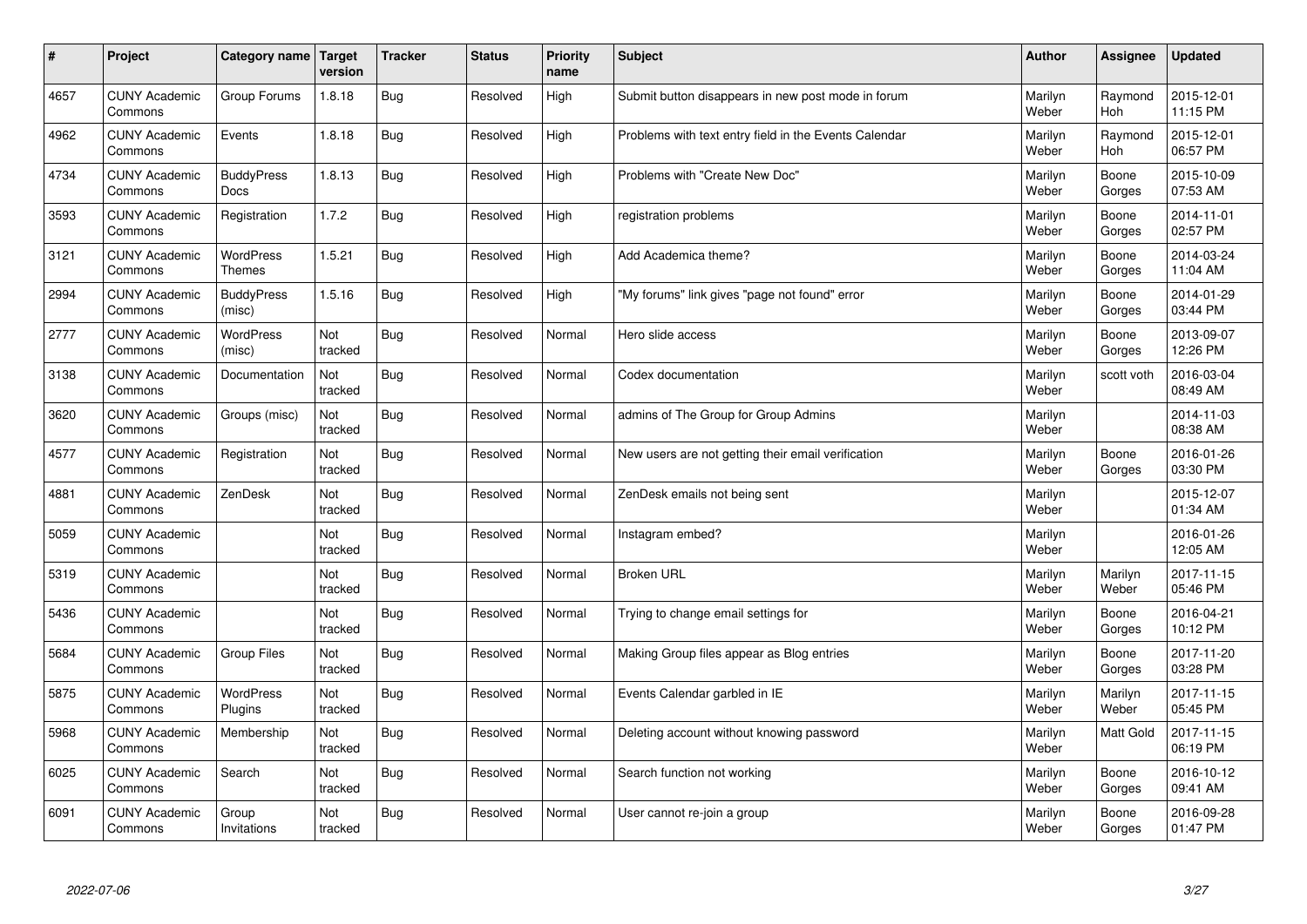| $\sharp$ | Project                         | Category name   Target            | version        | <b>Tracker</b> | <b>Status</b> | <b>Priority</b><br>name | <b>Subject</b>                                        | <b>Author</b>    | <b>Assignee</b>       | <b>Updated</b>         |
|----------|---------------------------------|-----------------------------------|----------------|----------------|---------------|-------------------------|-------------------------------------------------------|------------------|-----------------------|------------------------|
| 4657     | <b>CUNY Academic</b><br>Commons | Group Forums                      | 1.8.18         | <b>Bug</b>     | Resolved      | High                    | Submit button disappears in new post mode in forum    | Marilyn<br>Weber | Raymond<br><b>Hoh</b> | 2015-12-01<br>11:15 PM |
| 4962     | <b>CUNY Academic</b><br>Commons | Events                            | 1.8.18         | Bug            | Resolved      | High                    | Problems with text entry field in the Events Calendar | Marilyn<br>Weber | Raymond<br>Hoh        | 2015-12-01<br>06:57 PM |
| 4734     | <b>CUNY Academic</b><br>Commons | <b>BuddyPress</b><br><b>Docs</b>  | 1.8.13         | Bug            | Resolved      | High                    | Problems with "Create New Doc"                        | Marilyn<br>Weber | Boone<br>Gorges       | 2015-10-09<br>07:53 AM |
| 3593     | <b>CUNY Academic</b><br>Commons | Registration                      | 1.7.2          | Bug            | Resolved      | High                    | registration problems                                 | Marilyn<br>Weber | Boone<br>Gorges       | 2014-11-01<br>02:57 PM |
| 3121     | <b>CUNY Academic</b><br>Commons | <b>WordPress</b><br><b>Themes</b> | 1.5.21         | Bug            | Resolved      | High                    | Add Academica theme?                                  | Marilyn<br>Weber | Boone<br>Gorges       | 2014-03-24<br>11:04 AM |
| 2994     | <b>CUNY Academic</b><br>Commons | <b>BuddyPress</b><br>(misc)       | 1.5.16         | Bug            | Resolved      | High                    | "My forums" link gives "page not found" error         | Marilyn<br>Weber | Boone<br>Gorges       | 2014-01-29<br>03:44 PM |
| 2777     | <b>CUNY Academic</b><br>Commons | <b>WordPress</b><br>(misc)        | Not<br>tracked | Bug            | Resolved      | Normal                  | Hero slide access                                     | Marilyn<br>Weber | Boone<br>Gorges       | 2013-09-07<br>12:26 PM |
| 3138     | <b>CUNY Academic</b><br>Commons | Documentation                     | Not<br>tracked | Bug            | Resolved      | Normal                  | Codex documentation                                   | Marilyn<br>Weber | scott voth            | 2016-03-04<br>08:49 AM |
| 3620     | <b>CUNY Academic</b><br>Commons | Groups (misc)                     | Not<br>tracked | Bug            | Resolved      | Normal                  | admins of The Group for Group Admins                  | Marilyn<br>Weber |                       | 2014-11-03<br>08:38 AM |
| 4577     | <b>CUNY Academic</b><br>Commons | Registration                      | Not<br>tracked | Bug            | Resolved      | Normal                  | New users are not getting their email verification    | Marilyn<br>Weber | Boone<br>Gorges       | 2016-01-26<br>03:30 PM |
| 4881     | <b>CUNY Academic</b><br>Commons | ZenDesk                           | Not<br>tracked | Bug            | Resolved      | Normal                  | ZenDesk emails not being sent                         | Marilyn<br>Weber |                       | 2015-12-07<br>01:34 AM |
| 5059     | <b>CUNY Academic</b><br>Commons |                                   | Not<br>tracked | Bug            | Resolved      | Normal                  | Instagram embed?                                      | Marilyn<br>Weber |                       | 2016-01-26<br>12:05 AM |
| 5319     | <b>CUNY Academic</b><br>Commons |                                   | Not<br>tracked | Bug            | Resolved      | Normal                  | <b>Broken URL</b>                                     | Marilyn<br>Weber | Marilyn<br>Weber      | 2017-11-15<br>05:46 PM |
| 5436     | <b>CUNY Academic</b><br>Commons |                                   | Not<br>tracked | Bug            | Resolved      | Normal                  | Trying to change email settings for                   | Marilyn<br>Weber | Boone<br>Gorges       | 2016-04-21<br>10:12 PM |
| 5684     | <b>CUNY Academic</b><br>Commons | <b>Group Files</b>                | Not<br>tracked | Bug            | Resolved      | Normal                  | Making Group files appear as Blog entries             | Marilyn<br>Weber | Boone<br>Gorges       | 2017-11-20<br>03:28 PM |
| 5875     | <b>CUNY Academic</b><br>Commons | WordPress<br>Plugins              | Not<br>tracked | Bug            | Resolved      | Normal                  | Events Calendar garbled in IE                         | Marilyn<br>Weber | Marilyn<br>Weber      | 2017-11-15<br>05:45 PM |
| 5968     | <b>CUNY Academic</b><br>Commons | Membership                        | Not<br>tracked | Bug            | Resolved      | Normal                  | Deleting account without knowing password             | Marilyn<br>Weber | Matt Gold             | 2017-11-15<br>06:19 PM |
| 6025     | <b>CUNY Academic</b><br>Commons | Search                            | Not<br>tracked | Bug            | Resolved      | Normal                  | Search function not working                           | Marilyn<br>Weber | Boone<br>Gorges       | 2016-10-12<br>09:41 AM |
| 6091     | <b>CUNY Academic</b><br>Commons | Group<br>Invitations              | Not<br>tracked | Bug            | Resolved      | Normal                  | User cannot re-join a group                           | Marilyn<br>Weber | Boone<br>Gorges       | 2016-09-28<br>01:47 PM |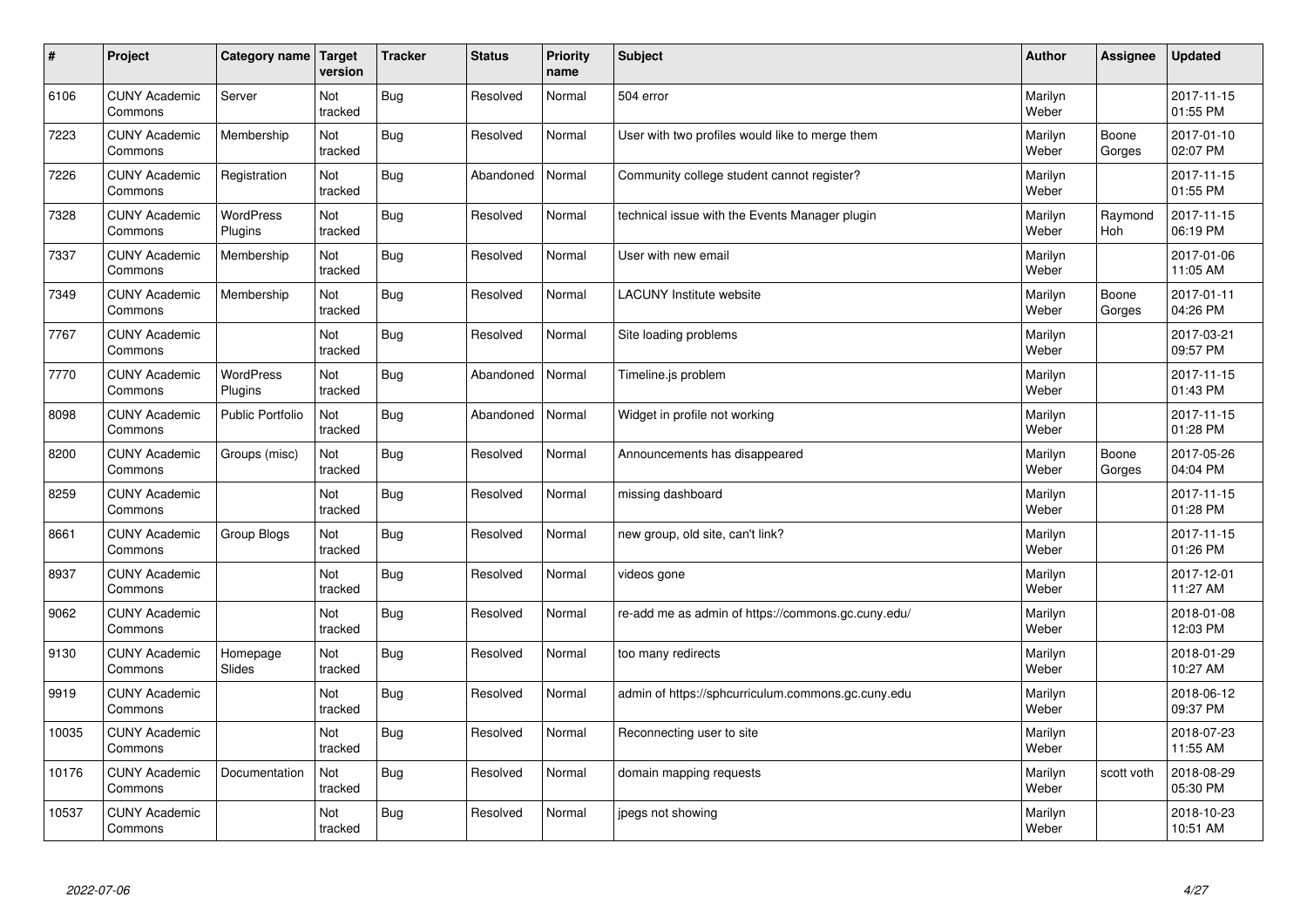| $\vert$ # | Project                         | Category name Target        | version        | <b>Tracker</b> | <b>Status</b> | <b>Priority</b><br>name | <b>Subject</b>                                     | <b>Author</b>    | <b>Assignee</b>       | <b>Updated</b>         |
|-----------|---------------------------------|-----------------------------|----------------|----------------|---------------|-------------------------|----------------------------------------------------|------------------|-----------------------|------------------------|
| 6106      | <b>CUNY Academic</b><br>Commons | Server                      | Not<br>tracked | Bug            | Resolved      | Normal                  | 504 error                                          | Marilyn<br>Weber |                       | 2017-11-15<br>01:55 PM |
| 7223      | <b>CUNY Academic</b><br>Commons | Membership                  | Not<br>tracked | Bug            | Resolved      | Normal                  | User with two profiles would like to merge them    | Marilyn<br>Weber | Boone<br>Gorges       | 2017-01-10<br>02:07 PM |
| 7226      | <b>CUNY Academic</b><br>Commons | Registration                | Not<br>tracked | <b>Bug</b>     | Abandoned     | Normal                  | Community college student cannot register?         | Marilyn<br>Weber |                       | 2017-11-15<br>01:55 PM |
| 7328      | <b>CUNY Academic</b><br>Commons | <b>WordPress</b><br>Plugins | Not<br>tracked | <b>Bug</b>     | Resolved      | Normal                  | technical issue with the Events Manager plugin     | Marilyn<br>Weber | Raymond<br><b>Hoh</b> | 2017-11-15<br>06:19 PM |
| 7337      | <b>CUNY Academic</b><br>Commons | Membership                  | Not<br>tracked | Bug            | Resolved      | Normal                  | User with new email                                | Marilyn<br>Weber |                       | 2017-01-06<br>11:05 AM |
| 7349      | <b>CUNY Academic</b><br>Commons | Membership                  | Not<br>tracked | Bug            | Resolved      | Normal                  | <b>LACUNY</b> Institute website                    | Marilyn<br>Weber | Boone<br>Gorges       | 2017-01-11<br>04:26 PM |
| 7767      | <b>CUNY Academic</b><br>Commons |                             | Not<br>tracked | <b>Bug</b>     | Resolved      | Normal                  | Site loading problems                              | Marilyn<br>Weber |                       | 2017-03-21<br>09:57 PM |
| 7770      | <b>CUNY Academic</b><br>Commons | <b>WordPress</b><br>Plugins | Not<br>tracked | Bug            | Abandoned     | Normal                  | Timeline.js problem                                | Marilyn<br>Weber |                       | 2017-11-15<br>01:43 PM |
| 8098      | <b>CUNY Academic</b><br>Commons | <b>Public Portfolio</b>     | Not<br>tracked | Bug            | Abandoned     | Normal                  | Widget in profile not working                      | Marilyn<br>Weber |                       | 2017-11-15<br>01:28 PM |
| 8200      | <b>CUNY Academic</b><br>Commons | Groups (misc)               | Not<br>tracked | Bug            | Resolved      | Normal                  | Announcements has disappeared                      | Marilyn<br>Weber | Boone<br>Gorges       | 2017-05-26<br>04:04 PM |
| 8259      | <b>CUNY Academic</b><br>Commons |                             | Not<br>tracked | Bug            | Resolved      | Normal                  | missing dashboard                                  | Marilyn<br>Weber |                       | 2017-11-15<br>01:28 PM |
| 8661      | <b>CUNY Academic</b><br>Commons | Group Blogs                 | Not<br>tracked | Bug            | Resolved      | Normal                  | new group, old site, can't link?                   | Marilyn<br>Weber |                       | 2017-11-15<br>01:26 PM |
| 8937      | <b>CUNY Academic</b><br>Commons |                             | Not<br>tracked | <b>Bug</b>     | Resolved      | Normal                  | videos gone                                        | Marilyn<br>Weber |                       | 2017-12-01<br>11:27 AM |
| 9062      | <b>CUNY Academic</b><br>Commons |                             | Not<br>tracked | <b>Bug</b>     | Resolved      | Normal                  | re-add me as admin of https://commons.gc.cuny.edu/ | Marilyn<br>Weber |                       | 2018-01-08<br>12:03 PM |
| 9130      | <b>CUNY Academic</b><br>Commons | Homepage<br>Slides          | Not<br>tracked | <b>Bug</b>     | Resolved      | Normal                  | too many redirects                                 | Marilyn<br>Weber |                       | 2018-01-29<br>10:27 AM |
| 9919      | <b>CUNY Academic</b><br>Commons |                             | Not<br>tracked | <b>Bug</b>     | Resolved      | Normal                  | admin of https://sphcurriculum.commons.gc.cuny.edu | Marilyn<br>Weber |                       | 2018-06-12<br>09:37 PM |
| 10035     | <b>CUNY Academic</b><br>Commons |                             | Not<br>tracked | <b>Bug</b>     | Resolved      | Normal                  | Reconnecting user to site                          | Marilyn<br>Weber |                       | 2018-07-23<br>11:55 AM |
| 10176     | <b>CUNY Academic</b><br>Commons | Documentation               | Not<br>tracked | <b>Bug</b>     | Resolved      | Normal                  | domain mapping requests                            | Marilyn<br>Weber | scott voth            | 2018-08-29<br>05:30 PM |
| 10537     | <b>CUNY Academic</b><br>Commons |                             | Not<br>tracked | Bug            | Resolved      | Normal                  | jpegs not showing                                  | Marilyn<br>Weber |                       | 2018-10-23<br>10:51 AM |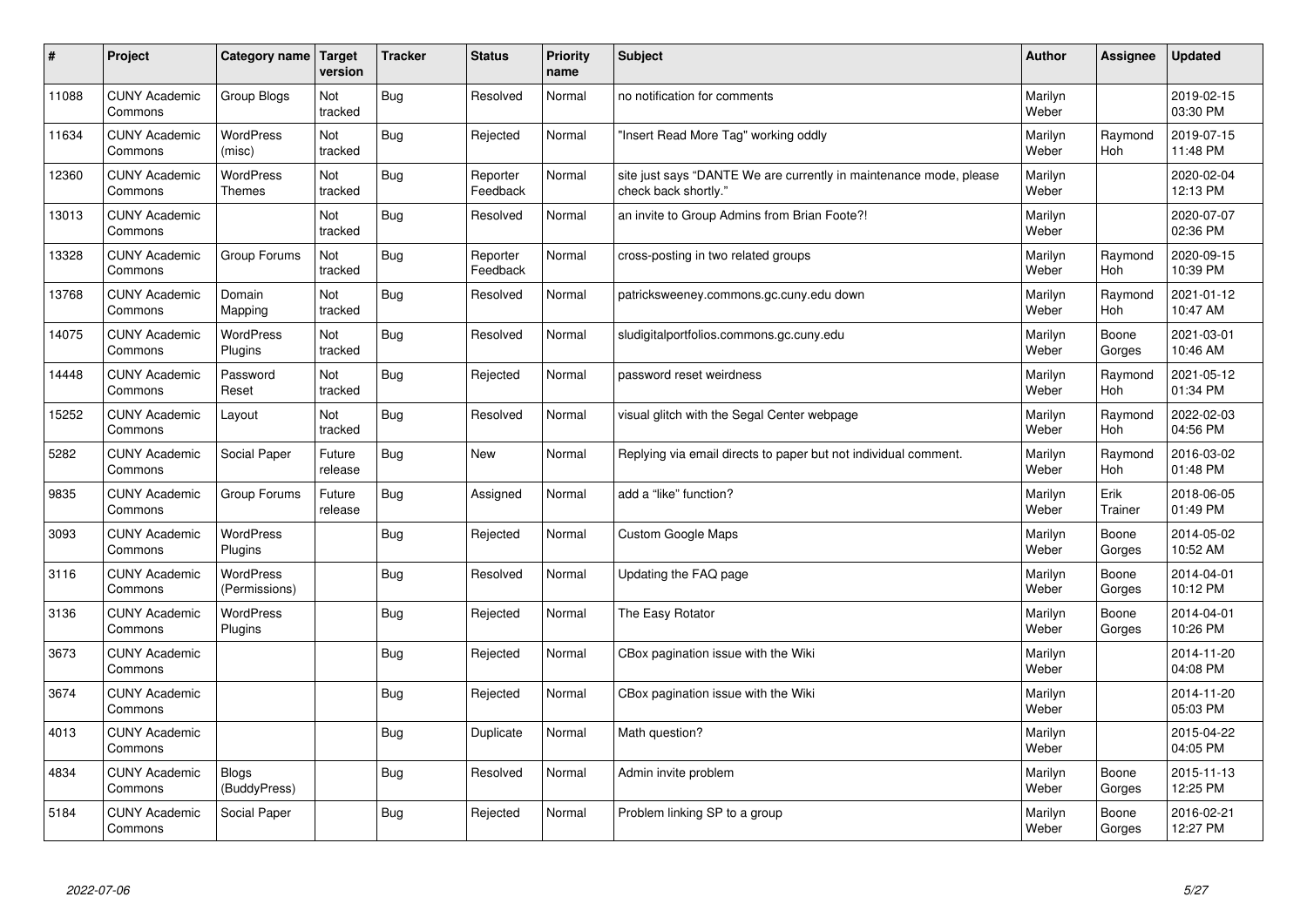| $\sharp$ | Project                         | Category name   Target            | version           | <b>Tracker</b> | <b>Status</b>        | <b>Priority</b><br>name | <b>Subject</b>                                                                             | <b>Author</b>    | Assignee              | <b>Updated</b>         |
|----------|---------------------------------|-----------------------------------|-------------------|----------------|----------------------|-------------------------|--------------------------------------------------------------------------------------------|------------------|-----------------------|------------------------|
| 11088    | <b>CUNY Academic</b><br>Commons | Group Blogs                       | Not<br>tracked    | Bug            | Resolved             | Normal                  | no notification for comments                                                               | Marilyn<br>Weber |                       | 2019-02-15<br>03:30 PM |
| 11634    | <b>CUNY Academic</b><br>Commons | <b>WordPress</b><br>(misc)        | Not<br>tracked    | Bug            | Rejected             | Normal                  | 'Insert Read More Tag" working oddly                                                       | Marilyn<br>Weber | Raymond<br>Hoh        | 2019-07-15<br>11:48 PM |
| 12360    | <b>CUNY Academic</b><br>Commons | <b>WordPress</b><br><b>Themes</b> | Not<br>tracked    | Bug            | Reporter<br>Feedback | Normal                  | site just says "DANTE We are currently in maintenance mode, please<br>check back shortly." | Marilyn<br>Weber |                       | 2020-02-04<br>12:13 PM |
| 13013    | <b>CUNY Academic</b><br>Commons |                                   | Not<br>tracked    | Bug            | Resolved             | Normal                  | an invite to Group Admins from Brian Foote?!                                               | Marilyn<br>Weber |                       | 2020-07-07<br>02:36 PM |
| 13328    | <b>CUNY Academic</b><br>Commons | Group Forums                      | Not<br>tracked    | Bug            | Reporter<br>Feedback | Normal                  | cross-posting in two related groups                                                        | Marilyn<br>Weber | Raymond<br>Hoh        | 2020-09-15<br>10:39 PM |
| 13768    | <b>CUNY Academic</b><br>Commons | Domain<br>Mapping                 | Not<br>tracked    | Bug            | Resolved             | Normal                  | patricksweeney.commons.gc.cuny.edu down                                                    | Marilyn<br>Weber | Raymond<br><b>Hoh</b> | 2021-01-12<br>10:47 AM |
| 14075    | <b>CUNY Academic</b><br>Commons | WordPress<br>Plugins              | Not<br>tracked    | Bug            | Resolved             | Normal                  | sludigitalportfolios.commons.gc.cuny.edu                                                   | Marilyn<br>Weber | Boone<br>Gorges       | 2021-03-01<br>10:46 AM |
| 14448    | <b>CUNY Academic</b><br>Commons | Password<br>Reset                 | Not<br>tracked    | <b>Bug</b>     | Rejected             | Normal                  | password reset weirdness                                                                   | Marilyn<br>Weber | Raymond<br>Hoh        | 2021-05-12<br>01:34 PM |
| 15252    | <b>CUNY Academic</b><br>Commons | Layout                            | Not<br>tracked    | Bug            | Resolved             | Normal                  | visual glitch with the Segal Center webpage                                                | Marilyn<br>Weber | Raymond<br><b>Hoh</b> | 2022-02-03<br>04:56 PM |
| 5282     | <b>CUNY Academic</b><br>Commons | Social Paper                      | Future<br>release | Bug            | <b>New</b>           | Normal                  | Replying via email directs to paper but not individual comment.                            | Marilyn<br>Weber | Raymond<br>Hoh        | 2016-03-02<br>01:48 PM |
| 9835     | <b>CUNY Academic</b><br>Commons | Group Forums                      | Future<br>release | <b>Bug</b>     | Assigned             | Normal                  | add a "like" function?                                                                     | Marilyn<br>Weber | Erik<br>Trainer       | 2018-06-05<br>01:49 PM |
| 3093     | <b>CUNY Academic</b><br>Commons | <b>WordPress</b><br>Plugins       |                   | Bug            | Rejected             | Normal                  | <b>Custom Google Maps</b>                                                                  | Marilyn<br>Weber | Boone<br>Gorges       | 2014-05-02<br>10:52 AM |
| 3116     | <b>CUNY Academic</b><br>Commons | <b>WordPress</b><br>(Permissions) |                   | Bug            | Resolved             | Normal                  | Updating the FAQ page                                                                      | Marilyn<br>Weber | Boone<br>Gorges       | 2014-04-01<br>10:12 PM |
| 3136     | <b>CUNY Academic</b><br>Commons | WordPress<br>Plugins              |                   | Bug            | Rejected             | Normal                  | The Easy Rotator                                                                           | Marilyn<br>Weber | Boone<br>Gorges       | 2014-04-01<br>10:26 PM |
| 3673     | <b>CUNY Academic</b><br>Commons |                                   |                   | <b>Bug</b>     | Rejected             | Normal                  | CBox pagination issue with the Wiki                                                        | Marilyn<br>Weber |                       | 2014-11-20<br>04:08 PM |
| 3674     | <b>CUNY Academic</b><br>Commons |                                   |                   | Bug            | Rejected             | Normal                  | CBox pagination issue with the Wiki                                                        | Marilyn<br>Weber |                       | 2014-11-20<br>05:03 PM |
| 4013     | <b>CUNY Academic</b><br>Commons |                                   |                   | <b>Bug</b>     | Duplicate            | Normal                  | Math question?                                                                             | Marilyn<br>Weber |                       | 2015-04-22<br>04:05 PM |
| 4834     | <b>CUNY Academic</b><br>Commons | <b>Blogs</b><br>(BuddyPress)      |                   | Bug            | Resolved             | Normal                  | Admin invite problem                                                                       | Marilyn<br>Weber | Boone<br>Gorges       | 2015-11-13<br>12:25 PM |
| 5184     | <b>CUNY Academic</b><br>Commons | Social Paper                      |                   | Bug            | Rejected             | Normal                  | Problem linking SP to a group                                                              | Marilyn<br>Weber | Boone<br>Gorges       | 2016-02-21<br>12:27 PM |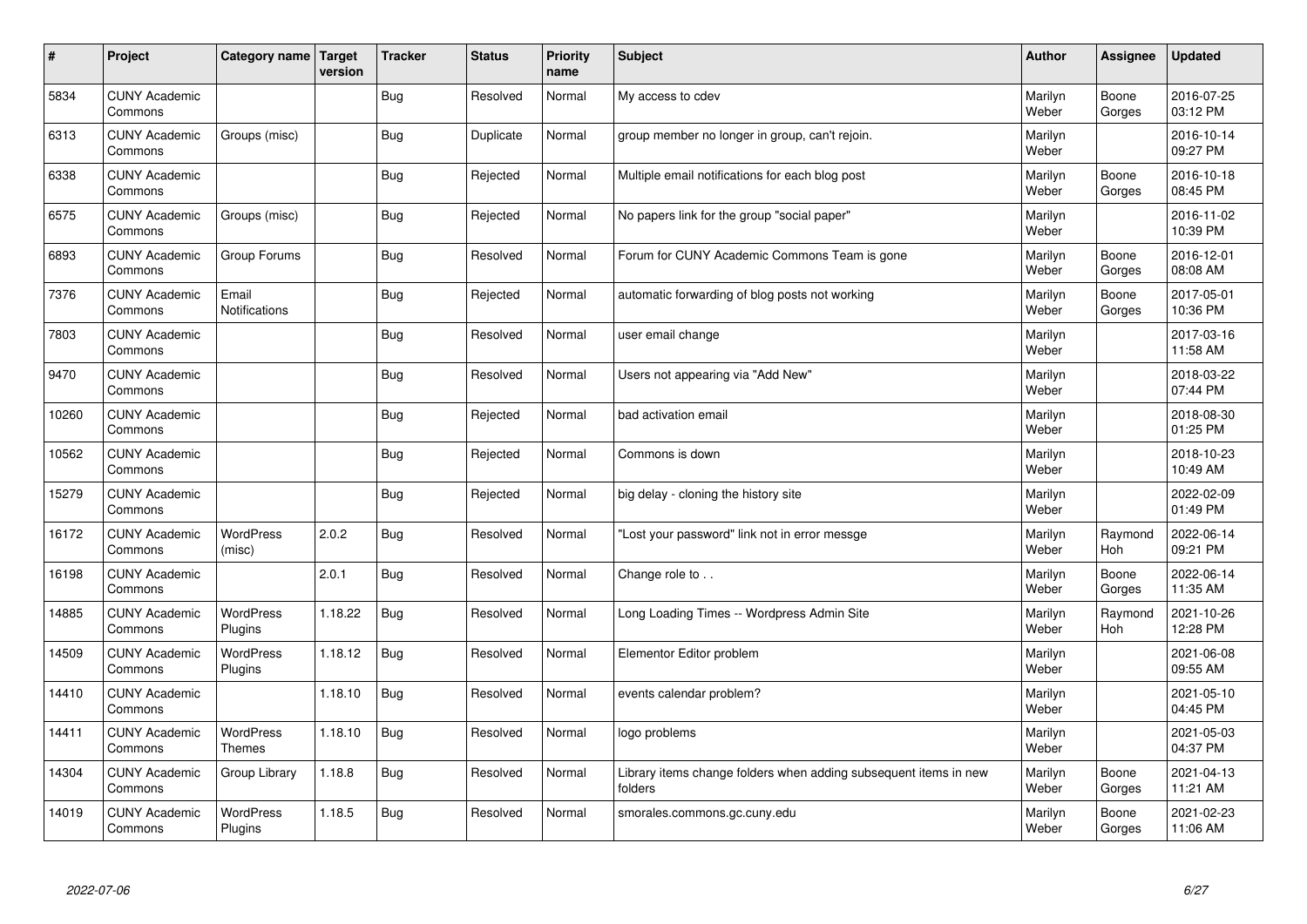| $\sharp$ | Project                         | Category name   Target        | version | <b>Tracker</b> | <b>Status</b> | <b>Priority</b><br>name | <b>Subject</b>                                                              | <b>Author</b>    | Assignee              | <b>Updated</b>         |
|----------|---------------------------------|-------------------------------|---------|----------------|---------------|-------------------------|-----------------------------------------------------------------------------|------------------|-----------------------|------------------------|
| 5834     | <b>CUNY Academic</b><br>Commons |                               |         | Bug            | Resolved      | Normal                  | My access to cdev                                                           | Marilyn<br>Weber | Boone<br>Gorges       | 2016-07-25<br>03:12 PM |
| 6313     | <b>CUNY Academic</b><br>Commons | Groups (misc)                 |         | Bug            | Duplicate     | Normal                  | group member no longer in group, can't rejoin.                              | Marilyn<br>Weber |                       | 2016-10-14<br>09:27 PM |
| 6338     | <b>CUNY Academic</b><br>Commons |                               |         | <b>Bug</b>     | Rejected      | Normal                  | Multiple email notifications for each blog post                             | Marilyn<br>Weber | Boone<br>Gorges       | 2016-10-18<br>08:45 PM |
| 6575     | <b>CUNY Academic</b><br>Commons | Groups (misc)                 |         | <b>Bug</b>     | Rejected      | Normal                  | No papers link for the group "social paper"                                 | Marilyn<br>Weber |                       | 2016-11-02<br>10:39 PM |
| 6893     | <b>CUNY Academic</b><br>Commons | Group Forums                  |         | Bug            | Resolved      | Normal                  | Forum for CUNY Academic Commons Team is gone                                | Marilyn<br>Weber | Boone<br>Gorges       | 2016-12-01<br>08:08 AM |
| 7376     | <b>CUNY Academic</b><br>Commons | Email<br><b>Notifications</b> |         | Bug            | Rejected      | Normal                  | automatic forwarding of blog posts not working                              | Marilyn<br>Weber | Boone<br>Gorges       | 2017-05-01<br>10:36 PM |
| 7803     | <b>CUNY Academic</b><br>Commons |                               |         | Bug            | Resolved      | Normal                  | user email change                                                           | Marilyn<br>Weber |                       | 2017-03-16<br>11:58 AM |
| 9470     | <b>CUNY Academic</b><br>Commons |                               |         | Bug            | Resolved      | Normal                  | Users not appearing via "Add New"                                           | Marilyn<br>Weber |                       | 2018-03-22<br>07:44 PM |
| 10260    | <b>CUNY Academic</b><br>Commons |                               |         | Bug            | Rejected      | Normal                  | bad activation email                                                        | Marilyn<br>Weber |                       | 2018-08-30<br>01:25 PM |
| 10562    | <b>CUNY Academic</b><br>Commons |                               |         | <b>Bug</b>     | Rejected      | Normal                  | Commons is down                                                             | Marilyn<br>Weber |                       | 2018-10-23<br>10:49 AM |
| 15279    | <b>CUNY Academic</b><br>Commons |                               |         | <b>Bug</b>     | Rejected      | Normal                  | big delay - cloning the history site                                        | Marilyn<br>Weber |                       | 2022-02-09<br>01:49 PM |
| 16172    | <b>CUNY Academic</b><br>Commons | <b>WordPress</b><br>(misc)    | 2.0.2   | Bug            | Resolved      | Normal                  | 'Lost your password" link not in error messge                               | Marilyn<br>Weber | Raymond<br>Hoh        | 2022-06-14<br>09:21 PM |
| 16198    | <b>CUNY Academic</b><br>Commons |                               | 2.0.1   | Bug            | Resolved      | Normal                  | Change role to                                                              | Marilyn<br>Weber | Boone<br>Gorges       | 2022-06-14<br>11:35 AM |
| 14885    | <b>CUNY Academic</b><br>Commons | WordPress<br>Plugins          | 1.18.22 | Bug            | Resolved      | Normal                  | Long Loading Times -- Wordpress Admin Site                                  | Marilyn<br>Weber | Raymond<br><b>Hoh</b> | 2021-10-26<br>12:28 PM |
| 14509    | <b>CUNY Academic</b><br>Commons | <b>WordPress</b><br>Plugins   | 1.18.12 | <b>Bug</b>     | Resolved      | Normal                  | Elementor Editor problem                                                    | Marilyn<br>Weber |                       | 2021-06-08<br>09:55 AM |
| 14410    | <b>CUNY Academic</b><br>Commons |                               | 1.18.10 | <b>Bug</b>     | Resolved      | Normal                  | events calendar problem?                                                    | Marilyn<br>Weber |                       | 2021-05-10<br>04:45 PM |
| 14411    | <b>CUNY Academic</b><br>Commons | WordPress<br>Themes           | 1.18.10 | Bug            | Resolved      | Normal                  | logo problems                                                               | Marilyn<br>Weber |                       | 2021-05-03<br>04:37 PM |
| 14304    | <b>CUNY Academic</b><br>Commons | Group Library                 | 1.18.8  | <b>Bug</b>     | Resolved      | Normal                  | Library items change folders when adding subsequent items in new<br>folders | Marilyn<br>Weber | Boone<br>Gorges       | 2021-04-13<br>11:21 AM |
| 14019    | <b>CUNY Academic</b><br>Commons | <b>WordPress</b><br>Plugins   | 1.18.5  | Bug            | Resolved      | Normal                  | smorales.commons.gc.cuny.edu                                                | Marilyn<br>Weber | Boone<br>Gorges       | 2021-02-23<br>11:06 AM |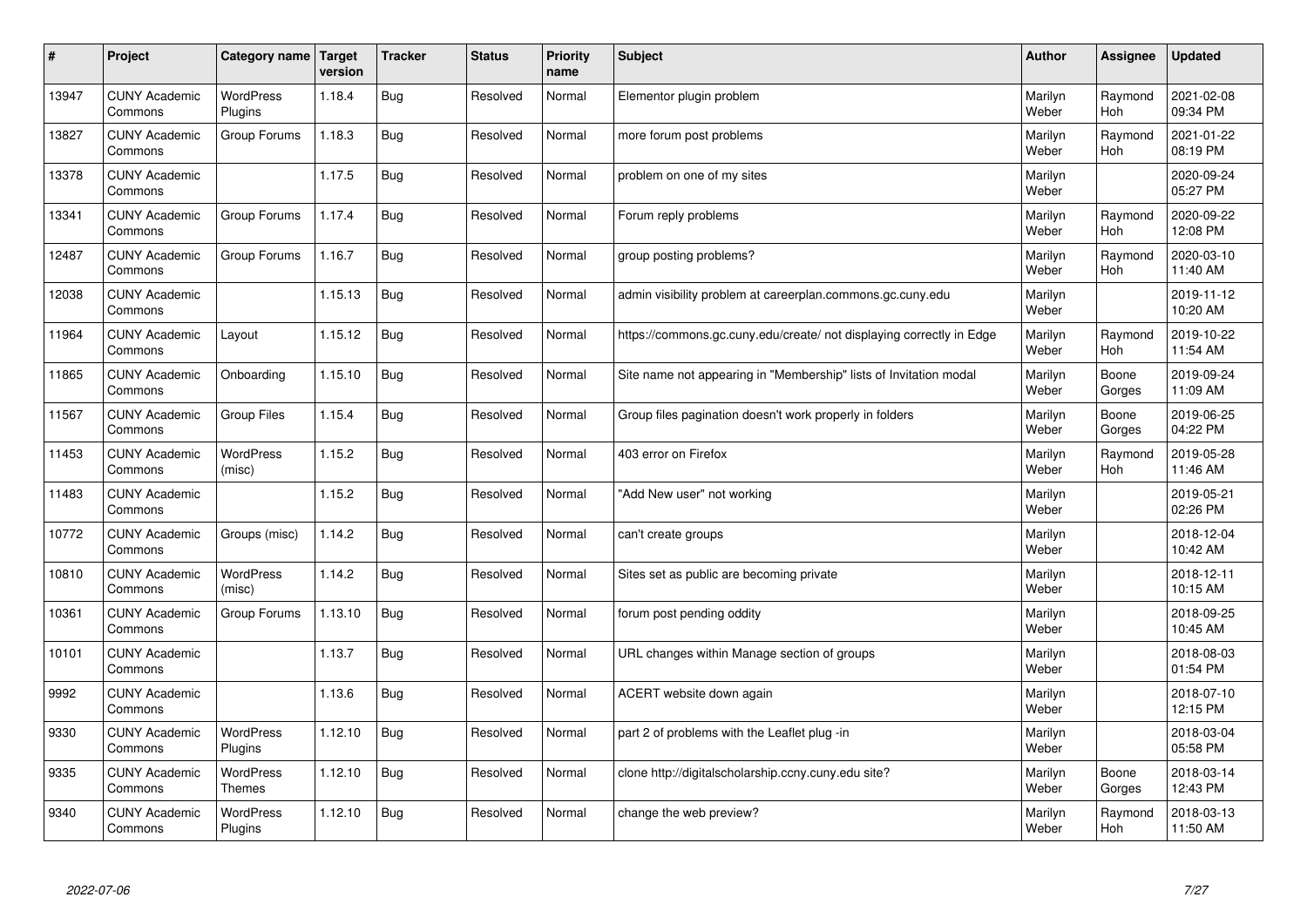| $\sharp$ | Project                         | Category name               | Target<br>version | <b>Tracker</b> | <b>Status</b> | <b>Priority</b><br>name | <b>Subject</b>                                                       | <b>Author</b>    | Assignee              | <b>Updated</b>         |
|----------|---------------------------------|-----------------------------|-------------------|----------------|---------------|-------------------------|----------------------------------------------------------------------|------------------|-----------------------|------------------------|
| 13947    | <b>CUNY Academic</b><br>Commons | <b>WordPress</b><br>Plugins | 1.18.4            | Bug            | Resolved      | Normal                  | Elementor plugin problem                                             | Marilyn<br>Weber | Raymond<br><b>Hoh</b> | 2021-02-08<br>09:34 PM |
| 13827    | <b>CUNY Academic</b><br>Commons | Group Forums                | 1.18.3            | Bug            | Resolved      | Normal                  | more forum post problems                                             | Marilyn<br>Weber | Raymond<br>Hoh        | 2021-01-22<br>08:19 PM |
| 13378    | <b>CUNY Academic</b><br>Commons |                             | 1.17.5            | Bug            | Resolved      | Normal                  | problem on one of my sites                                           | Marilyn<br>Weber |                       | 2020-09-24<br>05:27 PM |
| 13341    | <b>CUNY Academic</b><br>Commons | Group Forums                | 1.17.4            | Bug            | Resolved      | Normal                  | Forum reply problems                                                 | Marilyn<br>Weber | Raymond<br><b>Hoh</b> | 2020-09-22<br>12:08 PM |
| 12487    | <b>CUNY Academic</b><br>Commons | Group Forums                | 1.16.7            | Bug            | Resolved      | Normal                  | group posting problems?                                              | Marilyn<br>Weber | Raymond<br>Hoh        | 2020-03-10<br>11:40 AM |
| 12038    | <b>CUNY Academic</b><br>Commons |                             | 1.15.13           | Bug            | Resolved      | Normal                  | admin visibility problem at careerplan.commons.gc.cuny.edu           | Marilyn<br>Weber |                       | 2019-11-12<br>10:20 AM |
| 11964    | <b>CUNY Academic</b><br>Commons | Layout                      | 1.15.12           | <b>Bug</b>     | Resolved      | Normal                  | https://commons.gc.cuny.edu/create/ not displaying correctly in Edge | Marilyn<br>Weber | Raymond<br>Hoh        | 2019-10-22<br>11:54 AM |
| 11865    | <b>CUNY Academic</b><br>Commons | Onboarding                  | 1.15.10           | Bug            | Resolved      | Normal                  | Site name not appearing in "Membership" lists of Invitation modal    | Marilyn<br>Weber | Boone<br>Gorges       | 2019-09-24<br>11:09 AM |
| 11567    | <b>CUNY Academic</b><br>Commons | Group Files                 | 1.15.4            | Bug            | Resolved      | Normal                  | Group files pagination doesn't work properly in folders              | Marilyn<br>Weber | Boone<br>Gorges       | 2019-06-25<br>04:22 PM |
| 11453    | <b>CUNY Academic</b><br>Commons | WordPress<br>(misc)         | 1.15.2            | Bug            | Resolved      | Normal                  | 403 error on Firefox                                                 | Marilyn<br>Weber | Raymond<br>Hoh        | 2019-05-28<br>11:46 AM |
| 11483    | <b>CUNY Academic</b><br>Commons |                             | 1.15.2            | <b>Bug</b>     | Resolved      | Normal                  | 'Add New user" not working                                           | Marilyn<br>Weber |                       | 2019-05-21<br>02:26 PM |
| 10772    | <b>CUNY Academic</b><br>Commons | Groups (misc)               | 1.14.2            | Bug            | Resolved      | Normal                  | can't create groups                                                  | Marilyn<br>Weber |                       | 2018-12-04<br>10:42 AM |
| 10810    | <b>CUNY Academic</b><br>Commons | <b>WordPress</b><br>(misc)  | 1.14.2            | Bug            | Resolved      | Normal                  | Sites set as public are becoming private                             | Marilyn<br>Weber |                       | 2018-12-11<br>10:15 AM |
| 10361    | <b>CUNY Academic</b><br>Commons | Group Forums                | 1.13.10           | Bug            | Resolved      | Normal                  | forum post pending oddity                                            | Marilyn<br>Weber |                       | 2018-09-25<br>10:45 AM |
| 10101    | <b>CUNY Academic</b><br>Commons |                             | 1.13.7            | Bug            | Resolved      | Normal                  | URL changes within Manage section of groups                          | Marilyn<br>Weber |                       | 2018-08-03<br>01:54 PM |
| 9992     | <b>CUNY Academic</b><br>Commons |                             | 1.13.6            | Bug            | Resolved      | Normal                  | ACERT website down again                                             | Marilyn<br>Weber |                       | 2018-07-10<br>12:15 PM |
| 9330     | <b>CUNY Academic</b><br>Commons | WordPress<br>Plugins        | 1.12.10           | Bug            | Resolved      | Normal                  | part 2 of problems with the Leaflet plug -in                         | Marilyn<br>Weber |                       | 2018-03-04<br>05:58 PM |
| 9335     | <b>CUNY Academic</b><br>Commons | WordPress<br><b>Themes</b>  | 1.12.10           | Bug            | Resolved      | Normal                  | clone http://digitalscholarship.ccny.cuny.edu site?                  | Marilyn<br>Weber | Boone<br>Gorges       | 2018-03-14<br>12:43 PM |
| 9340     | <b>CUNY Academic</b><br>Commons | <b>WordPress</b><br>Plugins | 1.12.10           | Bug            | Resolved      | Normal                  | change the web preview?                                              | Marilyn<br>Weber | Raymond<br>Hoh        | 2018-03-13<br>11:50 AM |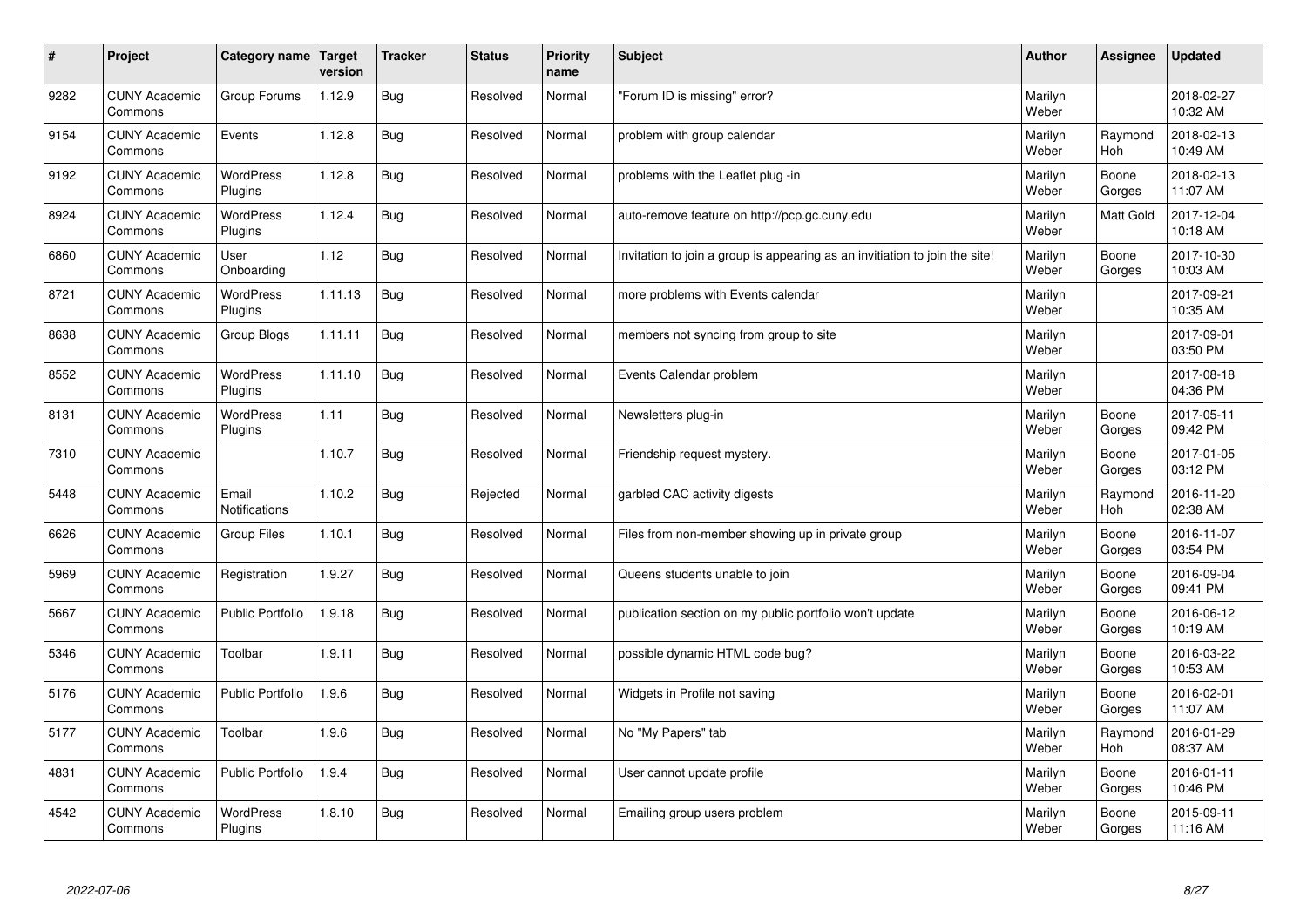| $\sharp$ | Project                         | Category name   Target      | version | <b>Tracker</b> | <b>Status</b> | <b>Priority</b><br>name | <b>Subject</b>                                                              | <b>Author</b>    | <b>Assignee</b>       | <b>Updated</b>         |
|----------|---------------------------------|-----------------------------|---------|----------------|---------------|-------------------------|-----------------------------------------------------------------------------|------------------|-----------------------|------------------------|
| 9282     | <b>CUNY Academic</b><br>Commons | Group Forums                | 1.12.9  | Bug            | Resolved      | Normal                  | 'Forum ID is missing" error?                                                | Marilyn<br>Weber |                       | 2018-02-27<br>10:32 AM |
| 9154     | <b>CUNY Academic</b><br>Commons | Events                      | 1.12.8  | <b>Bug</b>     | Resolved      | Normal                  | problem with group calendar                                                 | Marilyn<br>Weber | Raymond<br><b>Hoh</b> | 2018-02-13<br>10:49 AM |
| 9192     | <b>CUNY Academic</b><br>Commons | WordPress<br>Plugins        | 1.12.8  | <b>Bug</b>     | Resolved      | Normal                  | problems with the Leaflet plug -in                                          | Marilyn<br>Weber | Boone<br>Gorges       | 2018-02-13<br>11:07 AM |
| 8924     | <b>CUNY Academic</b><br>Commons | <b>WordPress</b><br>Plugins | 1.12.4  | Bug            | Resolved      | Normal                  | auto-remove feature on http://pcp.gc.cuny.edu                               | Marilyn<br>Weber | <b>Matt Gold</b>      | 2017-12-04<br>10:18 AM |
| 6860     | <b>CUNY Academic</b><br>Commons | User<br>Onboarding          | 1.12    | Bug            | Resolved      | Normal                  | Invitation to join a group is appearing as an invitiation to join the site! | Marilyn<br>Weber | Boone<br>Gorges       | 2017-10-30<br>10:03 AM |
| 8721     | <b>CUNY Academic</b><br>Commons | WordPress<br>Plugins        | 1.11.13 | Bug            | Resolved      | Normal                  | more problems with Events calendar                                          | Marilyn<br>Weber |                       | 2017-09-21<br>10:35 AM |
| 8638     | <b>CUNY Academic</b><br>Commons | Group Blogs                 | 1.11.11 | <b>Bug</b>     | Resolved      | Normal                  | members not syncing from group to site                                      | Marilyn<br>Weber |                       | 2017-09-01<br>03:50 PM |
| 8552     | <b>CUNY Academic</b><br>Commons | WordPress<br>Plugins        | 1.11.10 | Bug            | Resolved      | Normal                  | Events Calendar problem                                                     | Marilyn<br>Weber |                       | 2017-08-18<br>04:36 PM |
| 8131     | <b>CUNY Academic</b><br>Commons | WordPress<br>Plugins        | 1.11    | Bug            | Resolved      | Normal                  | Newsletters plug-in                                                         | Marilyn<br>Weber | Boone<br>Gorges       | 2017-05-11<br>09:42 PM |
| 7310     | <b>CUNY Academic</b><br>Commons |                             | 1.10.7  | <b>Bug</b>     | Resolved      | Normal                  | Friendship request mystery.                                                 | Marilyn<br>Weber | Boone<br>Gorges       | 2017-01-05<br>03:12 PM |
| 5448     | <b>CUNY Academic</b><br>Commons | Email<br>Notifications      | 1.10.2  | Bug            | Rejected      | Normal                  | garbled CAC activity digests                                                | Marilyn<br>Weber | Raymond<br>Hoh        | 2016-11-20<br>02:38 AM |
| 6626     | <b>CUNY Academic</b><br>Commons | <b>Group Files</b>          | 1.10.1  | Bug            | Resolved      | Normal                  | Files from non-member showing up in private group                           | Marilyn<br>Weber | Boone<br>Gorges       | 2016-11-07<br>03:54 PM |
| 5969     | <b>CUNY Academic</b><br>Commons | Registration                | 1.9.27  | Bug            | Resolved      | Normal                  | Queens students unable to join                                              | Marilyn<br>Weber | Boone<br>Gorges       | 2016-09-04<br>09:41 PM |
| 5667     | <b>CUNY Academic</b><br>Commons | Public Portfolio            | 1.9.18  | <b>Bug</b>     | Resolved      | Normal                  | publication section on my public portfolio won't update                     | Marilyn<br>Weber | Boone<br>Gorges       | 2016-06-12<br>10:19 AM |
| 5346     | <b>CUNY Academic</b><br>Commons | Toolbar                     | 1.9.11  | Bug            | Resolved      | Normal                  | possible dynamic HTML code bug?                                             | Marilyn<br>Weber | Boone<br>Gorges       | 2016-03-22<br>10:53 AM |
| 5176     | <b>CUNY Academic</b><br>Commons | Public Portfolio            | 1.9.6   | Bug            | Resolved      | Normal                  | Widgets in Profile not saving                                               | Marilyn<br>Weber | Boone<br>Gorges       | 2016-02-01<br>11:07 AM |
| 5177     | <b>CUNY Academic</b><br>Commons | Toolbar                     | 1.9.6   | Bug            | Resolved      | Normal                  | No "My Papers" tab                                                          | Marilyn<br>Weber | Raymond<br><b>Hoh</b> | 2016-01-29<br>08:37 AM |
| 4831     | <b>CUNY Academic</b><br>Commons | Public Portfolio            | 1.9.4   | Bug            | Resolved      | Normal                  | User cannot update profile                                                  | Marilyn<br>Weber | Boone<br>Gorges       | 2016-01-11<br>10:46 PM |
| 4542     | <b>CUNY Academic</b><br>Commons | <b>WordPress</b><br>Plugins | 1.8.10  | <b>Bug</b>     | Resolved      | Normal                  | Emailing group users problem                                                | Marilyn<br>Weber | Boone<br>Gorges       | 2015-09-11<br>11:16 AM |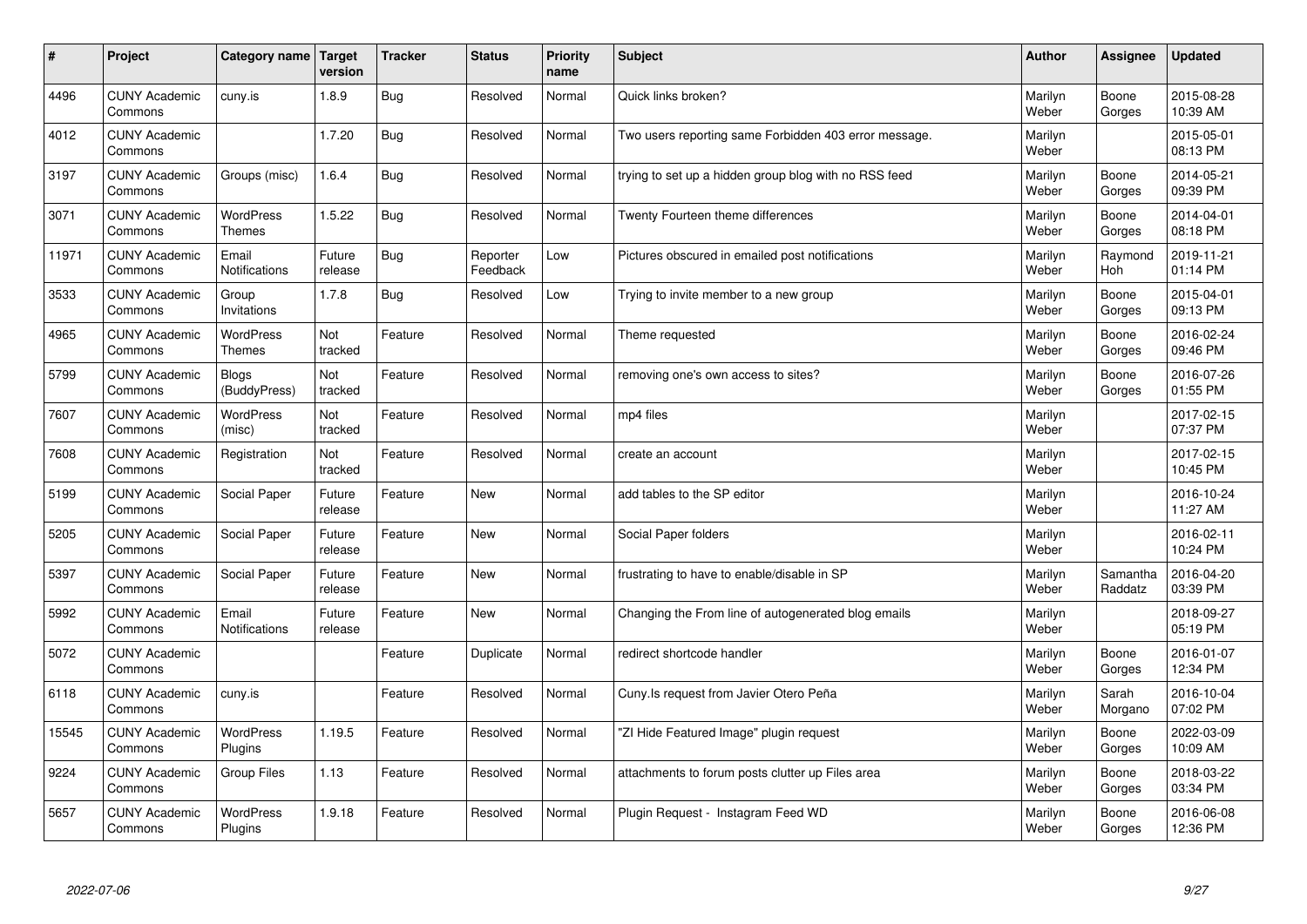| #     | Project                         | Category name                     | Target<br>version | <b>Tracker</b> | <b>Status</b>        | <b>Priority</b><br>name | <b>Subject</b>                                        | <b>Author</b>    | Assignee            | Updated                |
|-------|---------------------------------|-----------------------------------|-------------------|----------------|----------------------|-------------------------|-------------------------------------------------------|------------------|---------------------|------------------------|
| 4496  | <b>CUNY Academic</b><br>Commons | cuny.is                           | 1.8.9             | Bug            | Resolved             | Normal                  | Quick links broken?                                   | Marilyn<br>Weber | Boone<br>Gorges     | 2015-08-28<br>10:39 AM |
| 4012  | <b>CUNY Academic</b><br>Commons |                                   | 1.7.20            | Bug            | Resolved             | Normal                  | Two users reporting same Forbidden 403 error message. | Marilyn<br>Weber |                     | 2015-05-01<br>08:13 PM |
| 3197  | <b>CUNY Academic</b><br>Commons | Groups (misc)                     | 1.6.4             | Bug            | Resolved             | Normal                  | trying to set up a hidden group blog with no RSS feed | Marilyn<br>Weber | Boone<br>Gorges     | 2014-05-21<br>09:39 PM |
| 3071  | <b>CUNY Academic</b><br>Commons | <b>WordPress</b><br><b>Themes</b> | 1.5.22            | Bug            | Resolved             | Normal                  | Twenty Fourteen theme differences                     | Marilyn<br>Weber | Boone<br>Gorges     | 2014-04-01<br>08:18 PM |
| 11971 | <b>CUNY Academic</b><br>Commons | Email<br>Notifications            | Future<br>release | Bug            | Reporter<br>Feedback | Low                     | Pictures obscured in emailed post notifications       | Marilyn<br>Weber | Raymond<br>Hoh      | 2019-11-21<br>01:14 PM |
| 3533  | <b>CUNY Academic</b><br>Commons | Group<br>Invitations              | 1.7.8             | Bug            | Resolved             | Low                     | Trying to invite member to a new group                | Marilyn<br>Weber | Boone<br>Gorges     | 2015-04-01<br>09:13 PM |
| 4965  | <b>CUNY Academic</b><br>Commons | <b>WordPress</b><br><b>Themes</b> | Not<br>tracked    | Feature        | Resolved             | Normal                  | Theme requested                                       | Marilyn<br>Weber | Boone<br>Gorges     | 2016-02-24<br>09:46 PM |
| 5799  | <b>CUNY Academic</b><br>Commons | <b>Blogs</b><br>(BuddyPress)      | Not<br>tracked    | Feature        | Resolved             | Normal                  | removing one's own access to sites?                   | Marilyn<br>Weber | Boone<br>Gorges     | 2016-07-26<br>01:55 PM |
| 7607  | <b>CUNY Academic</b><br>Commons | <b>WordPress</b><br>(misc)        | Not<br>tracked    | Feature        | Resolved             | Normal                  | mp4 files                                             | Marilyn<br>Weber |                     | 2017-02-15<br>07:37 PM |
| 7608  | <b>CUNY Academic</b><br>Commons | Registration                      | Not<br>tracked    | Feature        | Resolved             | Normal                  | create an account                                     | Marilyn<br>Weber |                     | 2017-02-15<br>10:45 PM |
| 5199  | <b>CUNY Academic</b><br>Commons | Social Paper                      | Future<br>release | Feature        | New                  | Normal                  | add tables to the SP editor                           | Marilyn<br>Weber |                     | 2016-10-24<br>11:27 AM |
| 5205  | <b>CUNY Academic</b><br>Commons | Social Paper                      | Future<br>release | Feature        | <b>New</b>           | Normal                  | Social Paper folders                                  | Marilyn<br>Weber |                     | 2016-02-11<br>10:24 PM |
| 5397  | <b>CUNY Academic</b><br>Commons | Social Paper                      | Future<br>release | Feature        | <b>New</b>           | Normal                  | frustrating to have to enable/disable in SP           | Marilyn<br>Weber | Samantha<br>Raddatz | 2016-04-20<br>03:39 PM |
| 5992  | <b>CUNY Academic</b><br>Commons | Email<br>Notifications            | Future<br>release | Feature        | New                  | Normal                  | Changing the From line of autogenerated blog emails   | Marilyn<br>Weber |                     | 2018-09-27<br>05:19 PM |
| 5072  | <b>CUNY Academic</b><br>Commons |                                   |                   | Feature        | Duplicate            | Normal                  | redirect shortcode handler                            | Marilyn<br>Weber | Boone<br>Gorges     | 2016-01-07<br>12:34 PM |
| 6118  | <b>CUNY Academic</b><br>Commons | cuny.is                           |                   | Feature        | Resolved             | Normal                  | Cuny. Is request from Javier Otero Peña               | Marilyn<br>Weber | Sarah<br>Morgano    | 2016-10-04<br>07:02 PM |
| 15545 | <b>CUNY Academic</b><br>Commons | WordPress<br>Plugins              | 1.19.5            | Feature        | Resolved             | Normal                  | 'ZI Hide Featured Image" plugin request               | Marilyn<br>Weber | Boone<br>Gorges     | 2022-03-09<br>10:09 AM |
| 9224  | <b>CUNY Academic</b><br>Commons | <b>Group Files</b>                | 1.13              | Feature        | Resolved             | Normal                  | attachments to forum posts clutter up Files area      | Marilyn<br>Weber | Boone<br>Gorges     | 2018-03-22<br>03:34 PM |
| 5657  | <b>CUNY Academic</b><br>Commons | <b>WordPress</b><br>Plugins       | 1.9.18            | Feature        | Resolved             | Normal                  | Plugin Request - Instagram Feed WD                    | Marilyn<br>Weber | Boone<br>Gorges     | 2016-06-08<br>12:36 PM |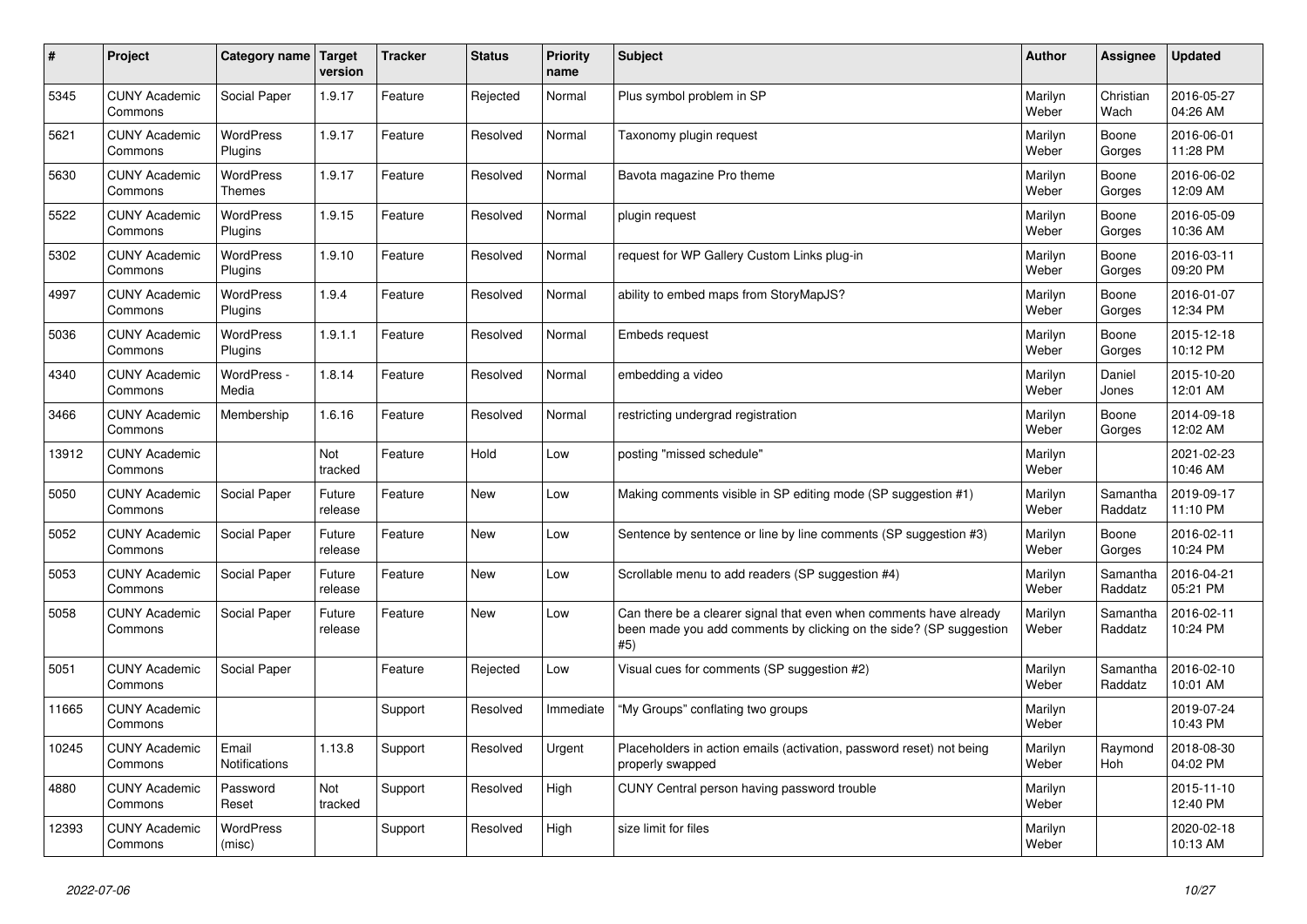| $\pmb{\sharp}$ | Project                         | Category name                     | <b>Target</b><br>version | <b>Tracker</b> | <b>Status</b> | <b>Priority</b><br>name | <b>Subject</b>                                                                                                                                  | <b>Author</b>    | Assignee              | <b>Updated</b>         |
|----------------|---------------------------------|-----------------------------------|--------------------------|----------------|---------------|-------------------------|-------------------------------------------------------------------------------------------------------------------------------------------------|------------------|-----------------------|------------------------|
| 5345           | <b>CUNY Academic</b><br>Commons | Social Paper                      | 1.9.17                   | Feature        | Rejected      | Normal                  | Plus symbol problem in SP                                                                                                                       | Marilyn<br>Weber | Christian<br>Wach     | 2016-05-27<br>04:26 AM |
| 5621           | <b>CUNY Academic</b><br>Commons | <b>WordPress</b><br>Plugins       | 1.9.17                   | Feature        | Resolved      | Normal                  | Taxonomy plugin request                                                                                                                         | Marilyn<br>Weber | Boone<br>Gorges       | 2016-06-01<br>11:28 PM |
| 5630           | <b>CUNY Academic</b><br>Commons | <b>WordPress</b><br><b>Themes</b> | 1.9.17                   | Feature        | Resolved      | Normal                  | Bavota magazine Pro theme                                                                                                                       | Marilyn<br>Weber | Boone<br>Gorges       | 2016-06-02<br>12:09 AM |
| 5522           | <b>CUNY Academic</b><br>Commons | <b>WordPress</b><br>Plugins       | 1.9.15                   | Feature        | Resolved      | Normal                  | plugin request                                                                                                                                  | Marilyn<br>Weber | Boone<br>Gorges       | 2016-05-09<br>10:36 AM |
| 5302           | <b>CUNY Academic</b><br>Commons | <b>WordPress</b><br>Plugins       | 1.9.10                   | Feature        | Resolved      | Normal                  | request for WP Gallery Custom Links plug-in                                                                                                     | Marilyn<br>Weber | Boone<br>Gorges       | 2016-03-11<br>09:20 PM |
| 4997           | <b>CUNY Academic</b><br>Commons | WordPress<br>Plugins              | 1.9.4                    | Feature        | Resolved      | Normal                  | ability to embed maps from StoryMapJS?                                                                                                          | Marilyn<br>Weber | Boone<br>Gorges       | 2016-01-07<br>12:34 PM |
| 5036           | <b>CUNY Academic</b><br>Commons | WordPress<br>Plugins              | 1.9.1.1                  | Feature        | Resolved      | Normal                  | Embeds request                                                                                                                                  | Marilyn<br>Weber | Boone<br>Gorges       | 2015-12-18<br>10:12 PM |
| 4340           | <b>CUNY Academic</b><br>Commons | WordPress -<br>Media              | 1.8.14                   | Feature        | Resolved      | Normal                  | embedding a video                                                                                                                               | Marilyn<br>Weber | Daniel<br>Jones       | 2015-10-20<br>12:01 AM |
| 3466           | <b>CUNY Academic</b><br>Commons | Membership                        | 1.6.16                   | Feature        | Resolved      | Normal                  | restricting undergrad registration                                                                                                              | Marilyn<br>Weber | Boone<br>Gorges       | 2014-09-18<br>12:02 AM |
| 13912          | <b>CUNY Academic</b><br>Commons |                                   | <b>Not</b><br>tracked    | Feature        | Hold          | Low                     | posting "missed schedule"                                                                                                                       | Marilyn<br>Weber |                       | 2021-02-23<br>10:46 AM |
| 5050           | <b>CUNY Academic</b><br>Commons | <b>Social Paper</b>               | Future<br>release        | Feature        | New           | Low                     | Making comments visible in SP editing mode (SP suggestion #1)                                                                                   | Marilyn<br>Weber | Samantha<br>Raddatz   | 2019-09-17<br>11:10 PM |
| 5052           | <b>CUNY Academic</b><br>Commons | Social Paper                      | Future<br>release        | Feature        | New           | Low                     | Sentence by sentence or line by line comments (SP suggestion #3)                                                                                | Marilyn<br>Weber | Boone<br>Gorges       | 2016-02-11<br>10:24 PM |
| 5053           | <b>CUNY Academic</b><br>Commons | Social Paper                      | Future<br>release        | Feature        | New           | Low                     | Scrollable menu to add readers (SP suggestion #4)                                                                                               | Marilyn<br>Weber | Samantha<br>Raddatz   | 2016-04-21<br>05:21 PM |
| 5058           | <b>CUNY Academic</b><br>Commons | Social Paper                      | Future<br>release        | Feature        | <b>New</b>    | Low                     | Can there be a clearer signal that even when comments have already<br>been made you add comments by clicking on the side? (SP suggestion<br>#5) | Marilyn<br>Weber | Samantha<br>Raddatz   | 2016-02-11<br>10:24 PM |
| 5051           | <b>CUNY Academic</b><br>Commons | Social Paper                      |                          | Feature        | Rejected      | Low                     | Visual cues for comments (SP suggestion #2)                                                                                                     | Marilyn<br>Weber | Samantha<br>Raddatz   | 2016-02-10<br>10:01 AM |
| 11665          | <b>CUNY Academic</b><br>Commons |                                   |                          | Support        | Resolved      | Immediate               | "My Groups" conflating two groups                                                                                                               | Marilyn<br>Weber |                       | 2019-07-24<br>10:43 PM |
| 10245          | <b>CUNY Academic</b><br>Commons | Email<br><b>Notifications</b>     | 1.13.8                   | Support        | Resolved      | Urgent                  | Placeholders in action emails (activation, password reset) not being<br>properly swapped                                                        | Marilyn<br>Weber | Raymond<br><b>Hoh</b> | 2018-08-30<br>04:02 PM |
| 4880           | <b>CUNY Academic</b><br>Commons | Password<br>Reset                 | Not<br>tracked           | Support        | Resolved      | High                    | CUNY Central person having password trouble                                                                                                     | Marilyn<br>Weber |                       | 2015-11-10<br>12:40 PM |
| 12393          | <b>CUNY Academic</b><br>Commons | <b>WordPress</b><br>(misc)        |                          | Support        | Resolved      | High                    | size limit for files                                                                                                                            | Marilyn<br>Weber |                       | 2020-02-18<br>10:13 AM |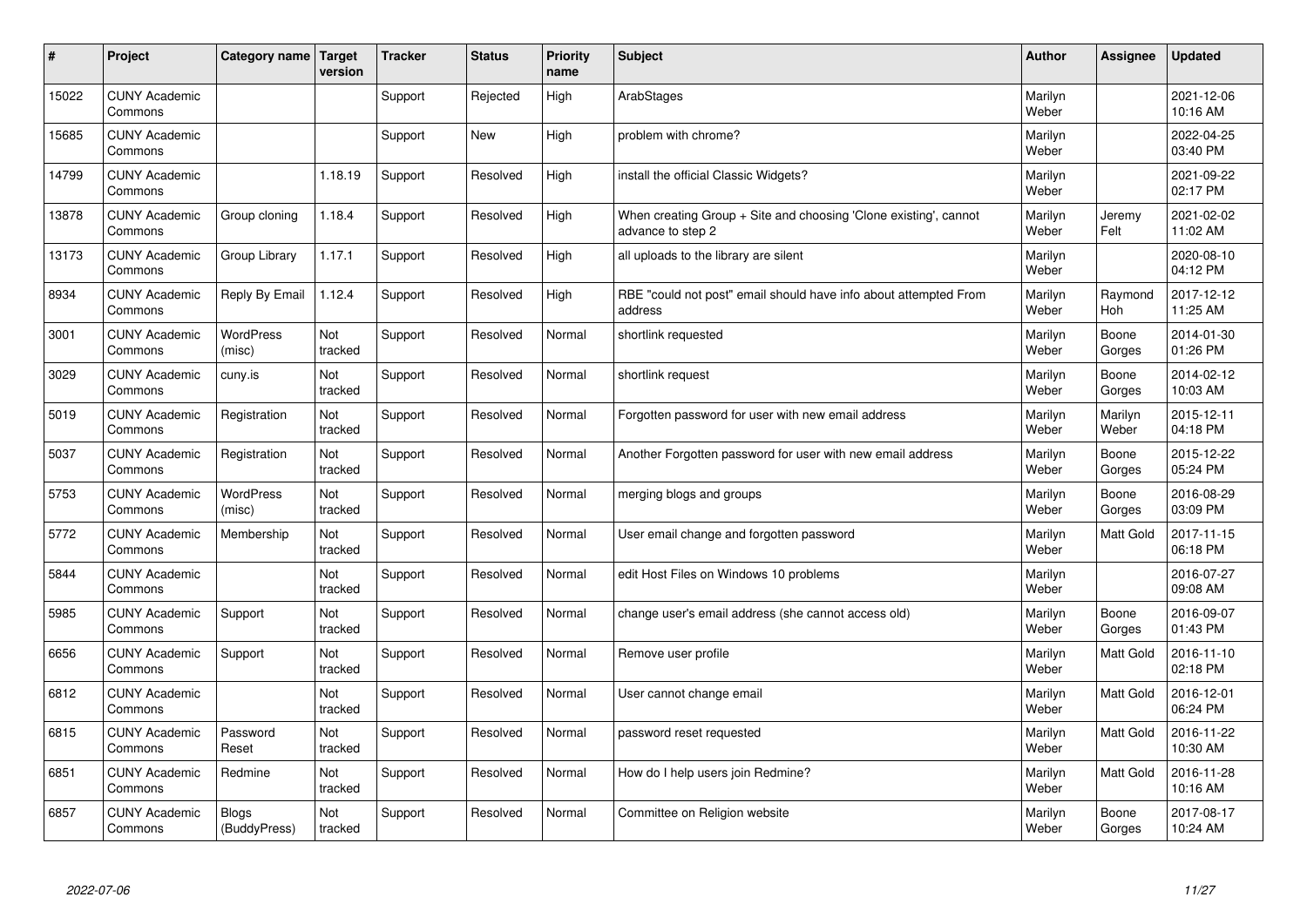| #     | Project                         | Category name   Target     | version        | <b>Tracker</b> | <b>Status</b> | <b>Priority</b><br>name | <b>Subject</b>                                                                        | <b>Author</b>    | Assignee         | <b>Updated</b>         |
|-------|---------------------------------|----------------------------|----------------|----------------|---------------|-------------------------|---------------------------------------------------------------------------------------|------------------|------------------|------------------------|
| 15022 | <b>CUNY Academic</b><br>Commons |                            |                | Support        | Rejected      | High                    | ArabStages                                                                            | Marilyn<br>Weber |                  | 2021-12-06<br>10:16 AM |
| 15685 | <b>CUNY Academic</b><br>Commons |                            |                | Support        | New           | High                    | problem with chrome?                                                                  | Marilyn<br>Weber |                  | 2022-04-25<br>03:40 PM |
| 14799 | <b>CUNY Academic</b><br>Commons |                            | 1.18.19        | Support        | Resolved      | High                    | install the official Classic Widgets?                                                 | Marilyn<br>Weber |                  | 2021-09-22<br>02:17 PM |
| 13878 | <b>CUNY Academic</b><br>Commons | Group cloning              | 1.18.4         | Support        | Resolved      | High                    | When creating Group + Site and choosing 'Clone existing', cannot<br>advance to step 2 | Marilyn<br>Weber | Jeremy<br>Felt   | 2021-02-02<br>11:02 AM |
| 13173 | <b>CUNY Academic</b><br>Commons | Group Library              | 1.17.1         | Support        | Resolved      | High                    | all uploads to the library are silent                                                 | Marilyn<br>Weber |                  | 2020-08-10<br>04:12 PM |
| 8934  | <b>CUNY Academic</b><br>Commons | Reply By Email             | 1.12.4         | Support        | Resolved      | High                    | RBE "could not post" email should have info about attempted From<br>address           | Marilyn<br>Weber | Raymond<br>Hoh   | 2017-12-12<br>11:25 AM |
| 3001  | <b>CUNY Academic</b><br>Commons | <b>WordPress</b><br>(misc) | Not<br>tracked | Support        | Resolved      | Normal                  | shortlink requested                                                                   | Marilyn<br>Weber | Boone<br>Gorges  | 2014-01-30<br>01:26 PM |
| 3029  | <b>CUNY Academic</b><br>Commons | cuny.is                    | Not<br>tracked | Support        | Resolved      | Normal                  | shortlink request                                                                     | Marilyn<br>Weber | Boone<br>Gorges  | 2014-02-12<br>10:03 AM |
| 5019  | <b>CUNY Academic</b><br>Commons | Registration               | Not<br>tracked | Support        | Resolved      | Normal                  | Forgotten password for user with new email address                                    | Marilyn<br>Weber | Marilyn<br>Weber | 2015-12-11<br>04:18 PM |
| 5037  | <b>CUNY Academic</b><br>Commons | Registration               | Not<br>tracked | Support        | Resolved      | Normal                  | Another Forgotten password for user with new email address                            | Marilyn<br>Weber | Boone<br>Gorges  | 2015-12-22<br>05:24 PM |
| 5753  | <b>CUNY Academic</b><br>Commons | <b>WordPress</b><br>(misc) | Not<br>tracked | Support        | Resolved      | Normal                  | merging blogs and groups                                                              | Marilyn<br>Weber | Boone<br>Gorges  | 2016-08-29<br>03:09 PM |
| 5772  | <b>CUNY Academic</b><br>Commons | Membership                 | Not<br>tracked | Support        | Resolved      | Normal                  | User email change and forgotten password                                              | Marilyn<br>Weber | <b>Matt Gold</b> | 2017-11-15<br>06:18 PM |
| 5844  | <b>CUNY Academic</b><br>Commons |                            | Not<br>tracked | Support        | Resolved      | Normal                  | edit Host Files on Windows 10 problems                                                | Marilyn<br>Weber |                  | 2016-07-27<br>09:08 AM |
| 5985  | <b>CUNY Academic</b><br>Commons | Support                    | Not<br>tracked | Support        | Resolved      | Normal                  | change user's email address (she cannot access old)                                   | Marilyn<br>Weber | Boone<br>Gorges  | 2016-09-07<br>01:43 PM |
| 6656  | <b>CUNY Academic</b><br>Commons | Support                    | Not<br>tracked | Support        | Resolved      | Normal                  | Remove user profile                                                                   | Marilyn<br>Weber | Matt Gold        | 2016-11-10<br>02:18 PM |
| 6812  | <b>CUNY Academic</b><br>Commons |                            | Not<br>tracked | Support        | Resolved      | Normal                  | User cannot change email                                                              | Marilyn<br>Weber | <b>Matt Gold</b> | 2016-12-01<br>06:24 PM |
| 6815  | <b>CUNY Academic</b><br>Commons | Password<br>Reset          | Not<br>tracked | Support        | Resolved      | Normal                  | password reset requested                                                              | Marilyn<br>Weber | <b>Matt Gold</b> | 2016-11-22<br>10:30 AM |
| 6851  | <b>CUNY Academic</b><br>Commons | Redmine                    | Not<br>tracked | Support        | Resolved      | Normal                  | How do I help users join Redmine?                                                     | Marilyn<br>Weber | Matt Gold        | 2016-11-28<br>10:16 AM |
| 6857  | <b>CUNY Academic</b><br>Commons | Blogs<br>(BuddyPress)      | Not<br>tracked | Support        | Resolved      | Normal                  | Committee on Religion website                                                         | Marilyn<br>Weber | Boone<br>Gorges  | 2017-08-17<br>10:24 AM |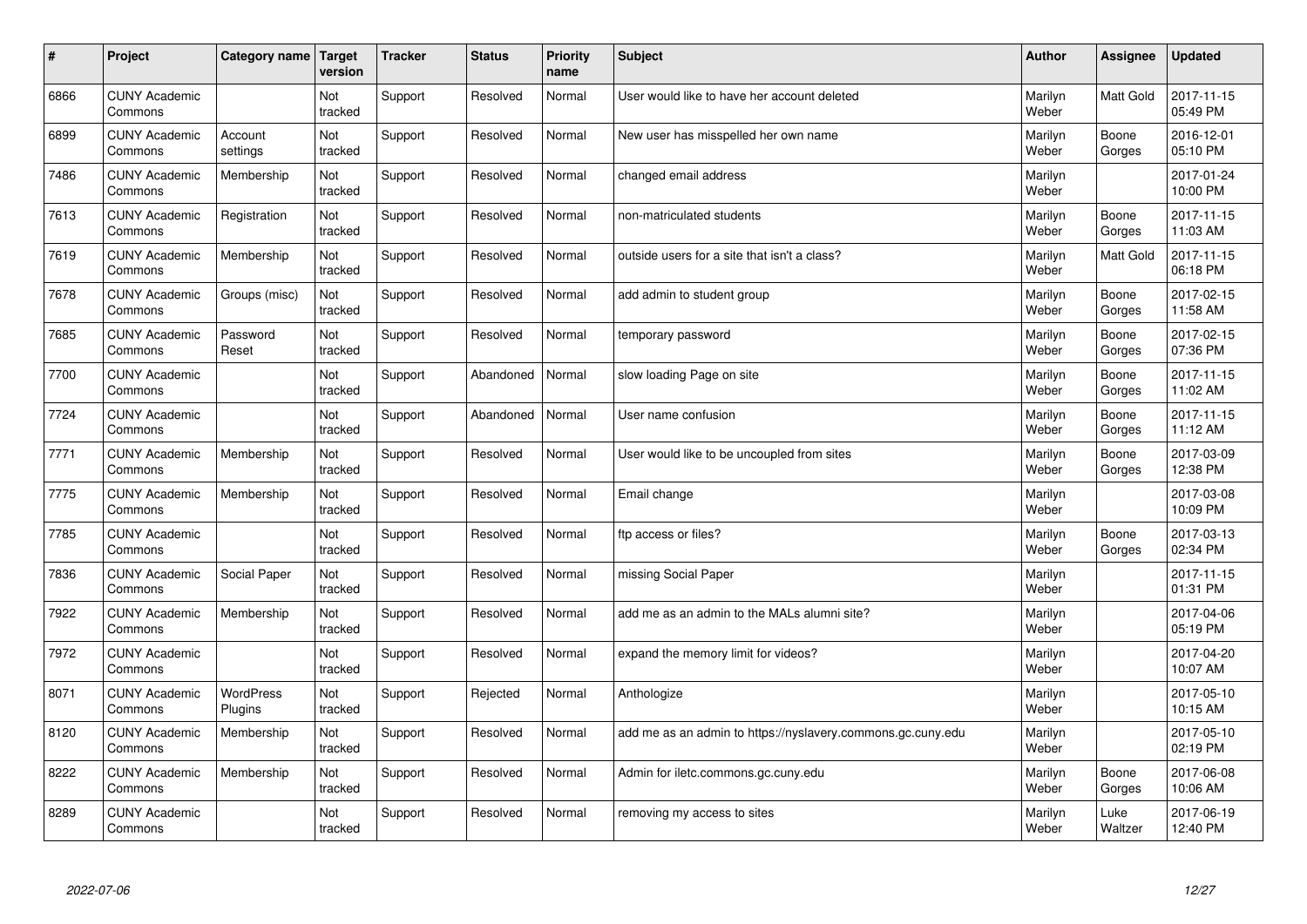| $\vert$ # | Project                         | Category name        | <b>Target</b><br>version | <b>Tracker</b> | <b>Status</b> | <b>Priority</b><br>name | <b>Subject</b>                                              | <b>Author</b>    | <b>Assignee</b>  | <b>Updated</b>         |
|-----------|---------------------------------|----------------------|--------------------------|----------------|---------------|-------------------------|-------------------------------------------------------------|------------------|------------------|------------------------|
| 6866      | <b>CUNY Academic</b><br>Commons |                      | Not<br>tracked           | Support        | Resolved      | Normal                  | User would like to have her account deleted                 | Marilyn<br>Weber | <b>Matt Gold</b> | 2017-11-15<br>05:49 PM |
| 6899      | <b>CUNY Academic</b><br>Commons | Account<br>settings  | Not<br>tracked           | Support        | Resolved      | Normal                  | New user has misspelled her own name                        | Marilyn<br>Weber | Boone<br>Gorges  | 2016-12-01<br>05:10 PM |
| 7486      | <b>CUNY Academic</b><br>Commons | Membership           | Not<br>tracked           | Support        | Resolved      | Normal                  | changed email address                                       | Marilyn<br>Weber |                  | 2017-01-24<br>10:00 PM |
| 7613      | <b>CUNY Academic</b><br>Commons | Registration         | Not<br>tracked           | Support        | Resolved      | Normal                  | non-matriculated students                                   | Marilyn<br>Weber | Boone<br>Gorges  | 2017-11-15<br>11:03 AM |
| 7619      | <b>CUNY Academic</b><br>Commons | Membership           | Not<br>tracked           | Support        | Resolved      | Normal                  | outside users for a site that isn't a class?                | Marilyn<br>Weber | Matt Gold        | 2017-11-15<br>06:18 PM |
| 7678      | <b>CUNY Academic</b><br>Commons | Groups (misc)        | Not<br>tracked           | Support        | Resolved      | Normal                  | add admin to student group                                  | Marilyn<br>Weber | Boone<br>Gorges  | 2017-02-15<br>11:58 AM |
| 7685      | <b>CUNY Academic</b><br>Commons | Password<br>Reset    | Not<br>tracked           | Support        | Resolved      | Normal                  | temporary password                                          | Marilyn<br>Weber | Boone<br>Gorges  | 2017-02-15<br>07:36 PM |
| 7700      | <b>CUNY Academic</b><br>Commons |                      | Not<br>tracked           | Support        | Abandoned     | Normal                  | slow loading Page on site                                   | Marilyn<br>Weber | Boone<br>Gorges  | 2017-11-15<br>11:02 AM |
| 7724      | <b>CUNY Academic</b><br>Commons |                      | Not<br>tracked           | Support        | Abandoned     | Normal                  | User name confusion                                         | Marilyn<br>Weber | Boone<br>Gorges  | 2017-11-15<br>11:12 AM |
| 7771      | <b>CUNY Academic</b><br>Commons | Membership           | Not<br>tracked           | Support        | Resolved      | Normal                  | User would like to be uncoupled from sites                  | Marilyn<br>Weber | Boone<br>Gorges  | 2017-03-09<br>12:38 PM |
| 7775      | <b>CUNY Academic</b><br>Commons | Membership           | Not<br>tracked           | Support        | Resolved      | Normal                  | Email change                                                | Marilyn<br>Weber |                  | 2017-03-08<br>10:09 PM |
| 7785      | <b>CUNY Academic</b><br>Commons |                      | Not<br>tracked           | Support        | Resolved      | Normal                  | ftp access or files?                                        | Marilyn<br>Weber | Boone<br>Gorges  | 2017-03-13<br>02:34 PM |
| 7836      | <b>CUNY Academic</b><br>Commons | Social Paper         | Not<br>tracked           | Support        | Resolved      | Normal                  | missing Social Paper                                        | Marilyn<br>Weber |                  | 2017-11-15<br>01:31 PM |
| 7922      | <b>CUNY Academic</b><br>Commons | Membership           | Not<br>tracked           | Support        | Resolved      | Normal                  | add me as an admin to the MALs alumni site?                 | Marilyn<br>Weber |                  | 2017-04-06<br>05:19 PM |
| 7972      | <b>CUNY Academic</b><br>Commons |                      | Not<br>tracked           | Support        | Resolved      | Normal                  | expand the memory limit for videos?                         | Marilyn<br>Weber |                  | 2017-04-20<br>10:07 AM |
| 8071      | <b>CUNY Academic</b><br>Commons | WordPress<br>Plugins | Not<br>tracked           | Support        | Rejected      | Normal                  | Anthologize                                                 | Marilyn<br>Weber |                  | 2017-05-10<br>10:15 AM |
| 8120      | <b>CUNY Academic</b><br>Commons | Membership           | Not<br>tracked           | Support        | Resolved      | Normal                  | add me as an admin to https://nyslavery.commons.gc.cuny.edu | Marilyn<br>Weber |                  | 2017-05-10<br>02:19 PM |
| 8222      | <b>CUNY Academic</b><br>Commons | Membership           | Not<br>tracked           | Support        | Resolved      | Normal                  | Admin for iletc.commons.gc.cuny.edu                         | Marilyn<br>Weber | Boone<br>Gorges  | 2017-06-08<br>10:06 AM |
| 8289      | <b>CUNY Academic</b><br>Commons |                      | Not<br>tracked           | Support        | Resolved      | Normal                  | removing my access to sites                                 | Marilyn<br>Weber | Luke<br>Waltzer  | 2017-06-19<br>12:40 PM |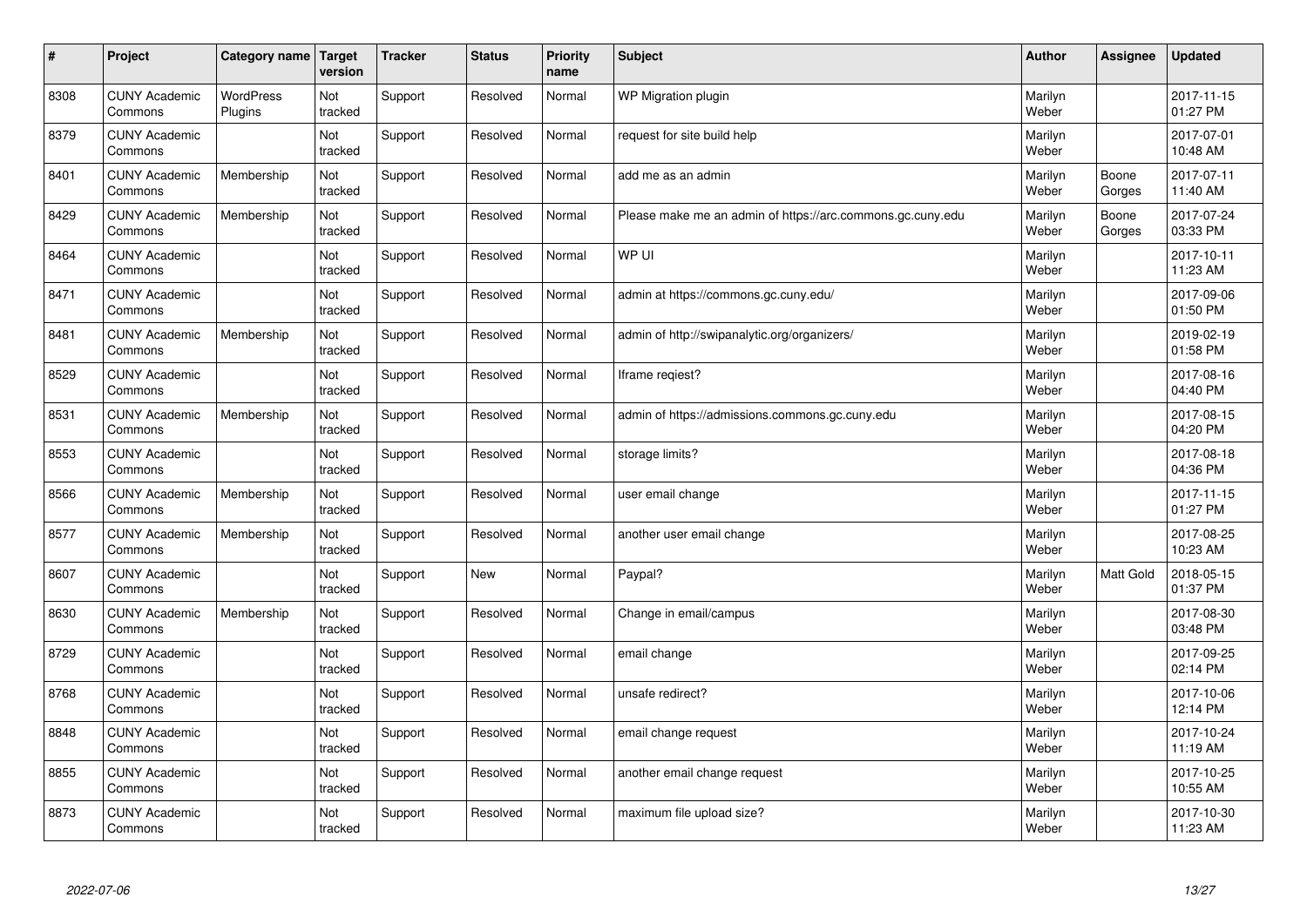| $\sharp$ | Project                         | Category name   Target      | version        | <b>Tracker</b> | <b>Status</b> | <b>Priority</b><br>name | <b>Subject</b>                                             | <b>Author</b>    | Assignee         | Updated                |
|----------|---------------------------------|-----------------------------|----------------|----------------|---------------|-------------------------|------------------------------------------------------------|------------------|------------------|------------------------|
| 8308     | <b>CUNY Academic</b><br>Commons | <b>WordPress</b><br>Plugins | Not<br>tracked | Support        | Resolved      | Normal                  | <b>WP Migration plugin</b>                                 | Marilyn<br>Weber |                  | 2017-11-15<br>01:27 PM |
| 8379     | <b>CUNY Academic</b><br>Commons |                             | Not<br>tracked | Support        | Resolved      | Normal                  | request for site build help                                | Marilyn<br>Weber |                  | 2017-07-01<br>10:48 AM |
| 8401     | <b>CUNY Academic</b><br>Commons | Membership                  | Not<br>tracked | Support        | Resolved      | Normal                  | add me as an admin                                         | Marilyn<br>Weber | Boone<br>Gorges  | 2017-07-11<br>11:40 AM |
| 8429     | <b>CUNY Academic</b><br>Commons | Membership                  | Not<br>tracked | Support        | Resolved      | Normal                  | Please make me an admin of https://arc.commons.gc.cuny.edu | Marilyn<br>Weber | Boone<br>Gorges  | 2017-07-24<br>03:33 PM |
| 8464     | <b>CUNY Academic</b><br>Commons |                             | Not<br>tracked | Support        | Resolved      | Normal                  | WP UI                                                      | Marilyn<br>Weber |                  | 2017-10-11<br>11:23 AM |
| 8471     | <b>CUNY Academic</b><br>Commons |                             | Not<br>tracked | Support        | Resolved      | Normal                  | admin at https://commons.gc.cuny.edu/                      | Marilyn<br>Weber |                  | 2017-09-06<br>01:50 PM |
| 8481     | <b>CUNY Academic</b><br>Commons | Membership                  | Not<br>tracked | Support        | Resolved      | Normal                  | admin of http://swipanalytic.org/organizers/               | Marilyn<br>Weber |                  | 2019-02-19<br>01:58 PM |
| 8529     | <b>CUNY Academic</b><br>Commons |                             | Not<br>tracked | Support        | Resolved      | Normal                  | Iframe regiest?                                            | Marilyn<br>Weber |                  | 2017-08-16<br>04:40 PM |
| 8531     | <b>CUNY Academic</b><br>Commons | Membership                  | Not<br>tracked | Support        | Resolved      | Normal                  | admin of https://admissions.commons.gc.cuny.edu            | Marilyn<br>Weber |                  | 2017-08-15<br>04:20 PM |
| 8553     | <b>CUNY Academic</b><br>Commons |                             | Not<br>tracked | Support        | Resolved      | Normal                  | storage limits?                                            | Marilyn<br>Weber |                  | 2017-08-18<br>04:36 PM |
| 8566     | <b>CUNY Academic</b><br>Commons | Membership                  | Not<br>tracked | Support        | Resolved      | Normal                  | user email change                                          | Marilyn<br>Weber |                  | 2017-11-15<br>01:27 PM |
| 8577     | <b>CUNY Academic</b><br>Commons | Membership                  | Not<br>tracked | Support        | Resolved      | Normal                  | another user email change                                  | Marilyn<br>Weber |                  | 2017-08-25<br>10:23 AM |
| 8607     | <b>CUNY Academic</b><br>Commons |                             | Not<br>tracked | Support        | <b>New</b>    | Normal                  | Paypal?                                                    | Marilyn<br>Weber | <b>Matt Gold</b> | 2018-05-15<br>01:37 PM |
| 8630     | <b>CUNY Academic</b><br>Commons | Membership                  | Not<br>tracked | Support        | Resolved      | Normal                  | Change in email/campus                                     | Marilyn<br>Weber |                  | 2017-08-30<br>03:48 PM |
| 8729     | <b>CUNY Academic</b><br>Commons |                             | Not<br>tracked | Support        | Resolved      | Normal                  | email change                                               | Marilyn<br>Weber |                  | 2017-09-25<br>02:14 PM |
| 8768     | <b>CUNY Academic</b><br>Commons |                             | Not<br>tracked | Support        | Resolved      | Normal                  | unsafe redirect?                                           | Marilyn<br>Weber |                  | 2017-10-06<br>12:14 PM |
| 8848     | <b>CUNY Academic</b><br>Commons |                             | Not<br>tracked | Support        | Resolved      | Normal                  | email change request                                       | Marilyn<br>Weber |                  | 2017-10-24<br>11:19 AM |
| 8855     | <b>CUNY Academic</b><br>Commons |                             | Not<br>tracked | Support        | Resolved      | Normal                  | another email change request                               | Marilyn<br>Weber |                  | 2017-10-25<br>10:55 AM |
| 8873     | <b>CUNY Academic</b><br>Commons |                             | Not<br>tracked | Support        | Resolved      | Normal                  | maximum file upload size?                                  | Marilyn<br>Weber |                  | 2017-10-30<br>11:23 AM |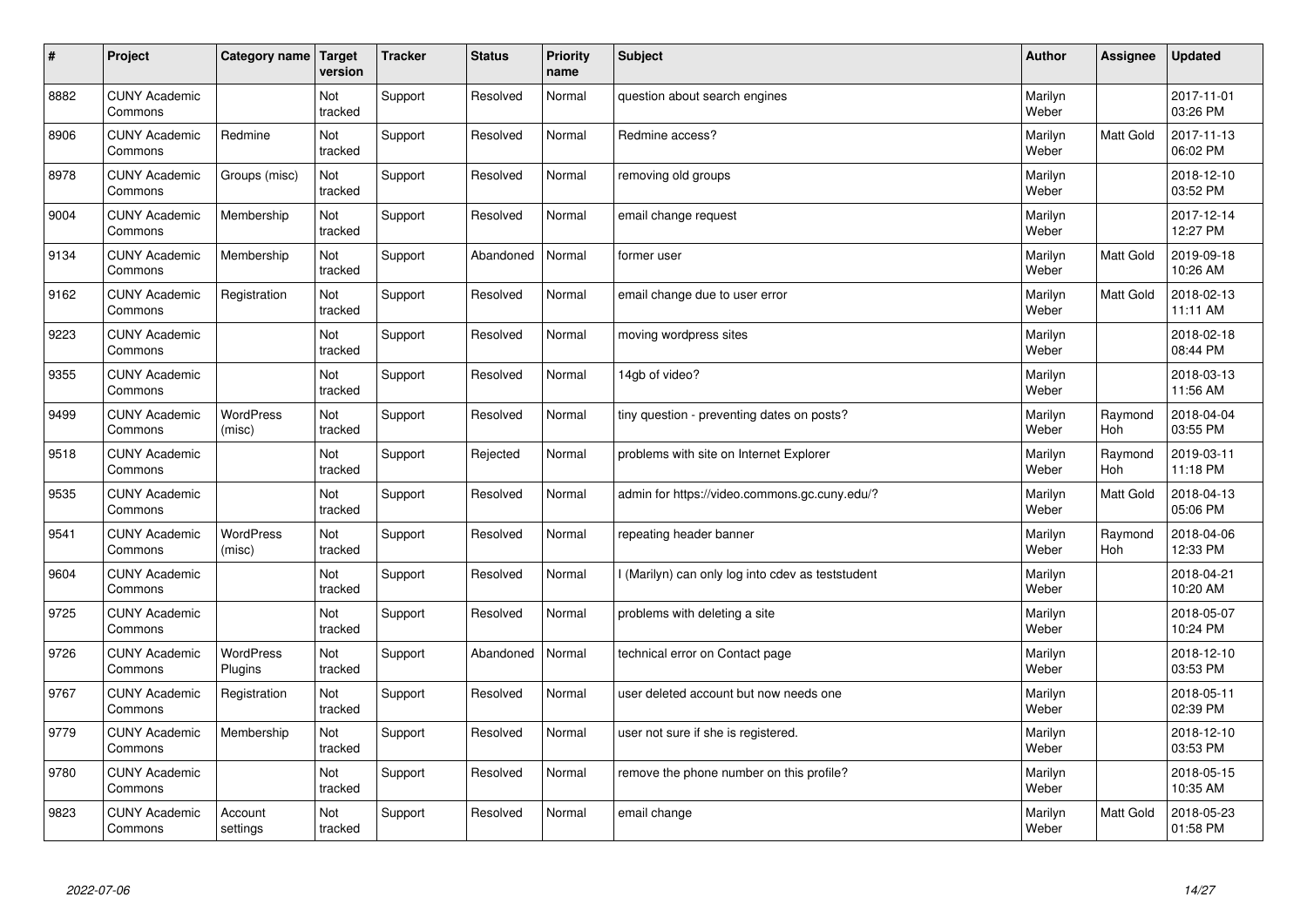| $\sharp$ | Project                         | Category name   Target     | version        | <b>Tracker</b> | <b>Status</b> | <b>Priority</b><br>name | <b>Subject</b>                                    | <b>Author</b>    | Assignee              | <b>Updated</b>         |
|----------|---------------------------------|----------------------------|----------------|----------------|---------------|-------------------------|---------------------------------------------------|------------------|-----------------------|------------------------|
| 8882     | <b>CUNY Academic</b><br>Commons |                            | Not<br>tracked | Support        | Resolved      | Normal                  | question about search engines                     | Marilyn<br>Weber |                       | 2017-11-01<br>03:26 PM |
| 8906     | <b>CUNY Academic</b><br>Commons | Redmine                    | Not<br>tracked | Support        | Resolved      | Normal                  | Redmine access?                                   | Marilyn<br>Weber | <b>Matt Gold</b>      | 2017-11-13<br>06:02 PM |
| 8978     | <b>CUNY Academic</b><br>Commons | Groups (misc)              | Not<br>tracked | Support        | Resolved      | Normal                  | removing old groups                               | Marilyn<br>Weber |                       | 2018-12-10<br>03:52 PM |
| 9004     | <b>CUNY Academic</b><br>Commons | Membership                 | Not<br>tracked | Support        | Resolved      | Normal                  | email change request                              | Marilyn<br>Weber |                       | 2017-12-14<br>12:27 PM |
| 9134     | <b>CUNY Academic</b><br>Commons | Membership                 | Not<br>tracked | Support        | Abandoned     | Normal                  | former user                                       | Marilyn<br>Weber | <b>Matt Gold</b>      | 2019-09-18<br>10:26 AM |
| 9162     | <b>CUNY Academic</b><br>Commons | Registration               | Not<br>tracked | Support        | Resolved      | Normal                  | email change due to user error                    | Marilyn<br>Weber | Matt Gold             | 2018-02-13<br>11:11 AM |
| 9223     | <b>CUNY Academic</b><br>Commons |                            | Not<br>tracked | Support        | Resolved      | Normal                  | moving wordpress sites                            | Marilyn<br>Weber |                       | 2018-02-18<br>08:44 PM |
| 9355     | <b>CUNY Academic</b><br>Commons |                            | Not<br>tracked | Support        | Resolved      | Normal                  | 14gb of video?                                    | Marilyn<br>Weber |                       | 2018-03-13<br>11:56 AM |
| 9499     | <b>CUNY Academic</b><br>Commons | WordPress<br>(misc)        | Not<br>tracked | Support        | Resolved      | Normal                  | tiny question - preventing dates on posts?        | Marilyn<br>Weber | Raymond<br>Hoh        | 2018-04-04<br>03:55 PM |
| 9518     | <b>CUNY Academic</b><br>Commons |                            | Not<br>tracked | Support        | Rejected      | Normal                  | problems with site on Internet Explorer           | Marilyn<br>Weber | Raymond<br><b>Hoh</b> | 2019-03-11<br>11:18 PM |
| 9535     | <b>CUNY Academic</b><br>Commons |                            | Not<br>tracked | Support        | Resolved      | Normal                  | admin for https://video.commons.gc.cuny.edu/?     | Marilyn<br>Weber | Matt Gold             | 2018-04-13<br>05:06 PM |
| 9541     | <b>CUNY Academic</b><br>Commons | <b>WordPress</b><br>(misc) | Not<br>tracked | Support        | Resolved      | Normal                  | repeating header banner                           | Marilyn<br>Weber | Raymond<br><b>Hoh</b> | 2018-04-06<br>12:33 PM |
| 9604     | <b>CUNY Academic</b><br>Commons |                            | Not<br>tracked | Support        | Resolved      | Normal                  | I (Marilyn) can only log into cdev as teststudent | Marilyn<br>Weber |                       | 2018-04-21<br>10:20 AM |
| 9725     | <b>CUNY Academic</b><br>Commons |                            | Not<br>tracked | Support        | Resolved      | Normal                  | problems with deleting a site                     | Marilyn<br>Weber |                       | 2018-05-07<br>10:24 PM |
| 9726     | <b>CUNY Academic</b><br>Commons | WordPress<br>Plugins       | Not<br>tracked | Support        | Abandoned     | Normal                  | technical error on Contact page                   | Marilyn<br>Weber |                       | 2018-12-10<br>03:53 PM |
| 9767     | <b>CUNY Academic</b><br>Commons | Registration               | Not<br>tracked | Support        | Resolved      | Normal                  | user deleted account but now needs one            | Marilyn<br>Weber |                       | 2018-05-11<br>02:39 PM |
| 9779     | <b>CUNY Academic</b><br>Commons | Membership                 | Not<br>tracked | Support        | Resolved      | Normal                  | user not sure if she is registered.               | Marilyn<br>Weber |                       | 2018-12-10<br>03:53 PM |
| 9780     | <b>CUNY Academic</b><br>Commons |                            | Not<br>tracked | Support        | Resolved      | Normal                  | remove the phone number on this profile?          | Marilyn<br>Weber |                       | 2018-05-15<br>10:35 AM |
| 9823     | <b>CUNY Academic</b><br>Commons | Account<br>settings        | Not<br>tracked | Support        | Resolved      | Normal                  | email change                                      | Marilyn<br>Weber | <b>Matt Gold</b>      | 2018-05-23<br>01:58 PM |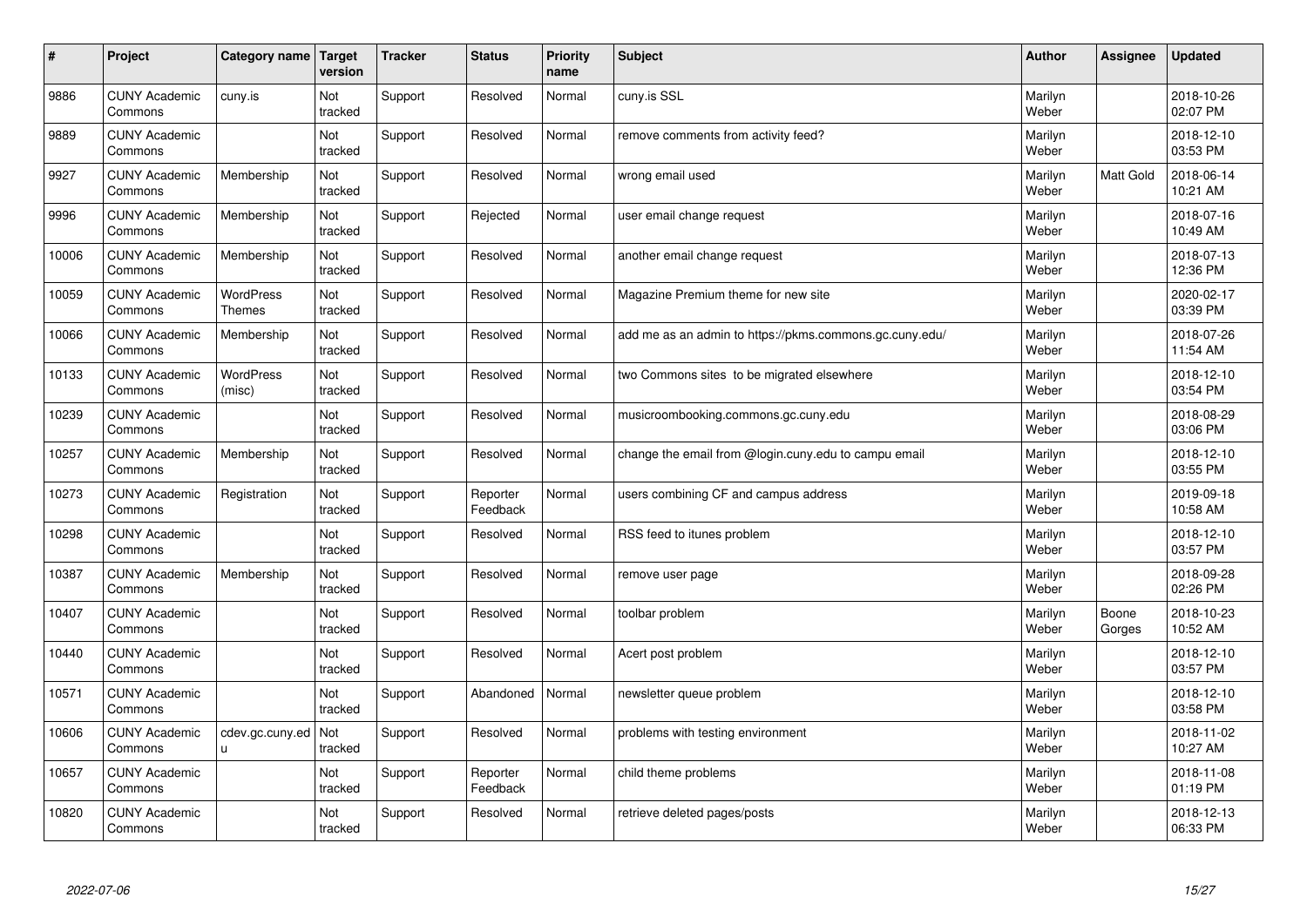| $\vert$ # | Project                         | Category name              | Target<br>version | <b>Tracker</b> | <b>Status</b>        | <b>Priority</b><br>name | <b>Subject</b>                                          | <b>Author</b>    | <b>Assignee</b> | <b>Updated</b>         |
|-----------|---------------------------------|----------------------------|-------------------|----------------|----------------------|-------------------------|---------------------------------------------------------|------------------|-----------------|------------------------|
| 9886      | <b>CUNY Academic</b><br>Commons | cuny.is                    | Not<br>tracked    | Support        | Resolved             | Normal                  | cuny.is SSL                                             | Marilyn<br>Weber |                 | 2018-10-26<br>02:07 PM |
| 9889      | <b>CUNY Academic</b><br>Commons |                            | Not<br>tracked    | Support        | Resolved             | Normal                  | remove comments from activity feed?                     | Marilyn<br>Weber |                 | 2018-12-10<br>03:53 PM |
| 9927      | <b>CUNY Academic</b><br>Commons | Membership                 | Not<br>tracked    | Support        | Resolved             | Normal                  | wrong email used                                        | Marilyn<br>Weber | Matt Gold       | 2018-06-14<br>10:21 AM |
| 9996      | <b>CUNY Academic</b><br>Commons | Membership                 | Not<br>tracked    | Support        | Rejected             | Normal                  | user email change request                               | Marilyn<br>Weber |                 | 2018-07-16<br>10:49 AM |
| 10006     | <b>CUNY Academic</b><br>Commons | Membership                 | Not<br>tracked    | Support        | Resolved             | Normal                  | another email change request                            | Marilyn<br>Weber |                 | 2018-07-13<br>12:36 PM |
| 10059     | <b>CUNY Academic</b><br>Commons | WordPress<br><b>Themes</b> | Not<br>tracked    | Support        | Resolved             | Normal                  | Magazine Premium theme for new site                     | Marilyn<br>Weber |                 | 2020-02-17<br>03:39 PM |
| 10066     | <b>CUNY Academic</b><br>Commons | Membership                 | Not<br>tracked    | Support        | Resolved             | Normal                  | add me as an admin to https://pkms.commons.gc.cuny.edu/ | Marilyn<br>Weber |                 | 2018-07-26<br>11:54 AM |
| 10133     | <b>CUNY Academic</b><br>Commons | WordPress<br>(misc)        | Not<br>tracked    | Support        | Resolved             | Normal                  | two Commons sites to be migrated elsewhere              | Marilyn<br>Weber |                 | 2018-12-10<br>03:54 PM |
| 10239     | <b>CUNY Academic</b><br>Commons |                            | Not<br>tracked    | Support        | Resolved             | Normal                  | musicroombooking.commons.gc.cuny.edu                    | Marilyn<br>Weber |                 | 2018-08-29<br>03:06 PM |
| 10257     | <b>CUNY Academic</b><br>Commons | Membership                 | Not<br>tracked    | Support        | Resolved             | Normal                  | change the email from @login.cuny.edu to campu email    | Marilyn<br>Weber |                 | 2018-12-10<br>03:55 PM |
| 10273     | <b>CUNY Academic</b><br>Commons | Registration               | Not<br>tracked    | Support        | Reporter<br>Feedback | Normal                  | users combining CF and campus address                   | Marilyn<br>Weber |                 | 2019-09-18<br>10:58 AM |
| 10298     | <b>CUNY Academic</b><br>Commons |                            | Not<br>tracked    | Support        | Resolved             | Normal                  | RSS feed to itunes problem                              | Marilyn<br>Weber |                 | 2018-12-10<br>03:57 PM |
| 10387     | <b>CUNY Academic</b><br>Commons | Membership                 | Not<br>tracked    | Support        | Resolved             | Normal                  | remove user page                                        | Marilyn<br>Weber |                 | 2018-09-28<br>02:26 PM |
| 10407     | <b>CUNY Academic</b><br>Commons |                            | Not<br>tracked    | Support        | Resolved             | Normal                  | toolbar problem                                         | Marilyn<br>Weber | Boone<br>Gorges | 2018-10-23<br>10:52 AM |
| 10440     | <b>CUNY Academic</b><br>Commons |                            | Not<br>tracked    | Support        | Resolved             | Normal                  | Acert post problem                                      | Marilyn<br>Weber |                 | 2018-12-10<br>03:57 PM |
| 10571     | <b>CUNY Academic</b><br>Commons |                            | Not<br>tracked    | Support        | Abandoned            | Normal                  | newsletter queue problem                                | Marilyn<br>Weber |                 | 2018-12-10<br>03:58 PM |
| 10606     | <b>CUNY Academic</b><br>Commons | cdev.gc.cuny.ed<br>u       | Not<br>tracked    | Support        | Resolved             | Normal                  | problems with testing environment                       | Marilyn<br>Weber |                 | 2018-11-02<br>10:27 AM |
| 10657     | <b>CUNY Academic</b><br>Commons |                            | Not<br>tracked    | Support        | Reporter<br>Feedback | Normal                  | child theme problems                                    | Marilyn<br>Weber |                 | 2018-11-08<br>01:19 PM |
| 10820     | <b>CUNY Academic</b><br>Commons |                            | Not<br>tracked    | Support        | Resolved             | Normal                  | retrieve deleted pages/posts                            | Marilyn<br>Weber |                 | 2018-12-13<br>06:33 PM |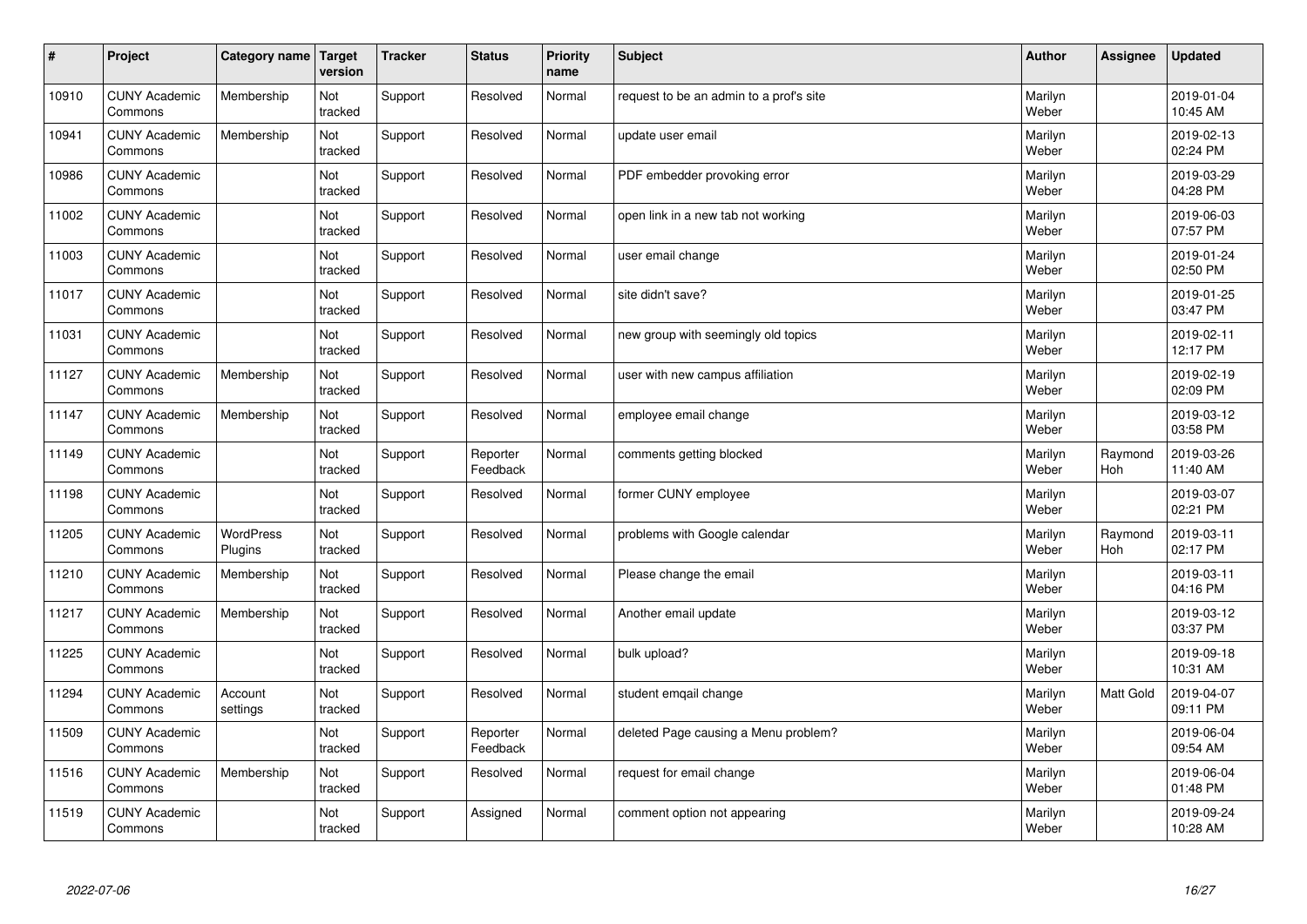| $\sharp$ | Project                         | Category name               | Target<br>version | <b>Tracker</b> | <b>Status</b>        | <b>Priority</b><br>name | <b>Subject</b>                          | <b>Author</b>    | Assignee       | <b>Updated</b>         |
|----------|---------------------------------|-----------------------------|-------------------|----------------|----------------------|-------------------------|-----------------------------------------|------------------|----------------|------------------------|
| 10910    | <b>CUNY Academic</b><br>Commons | Membership                  | Not<br>tracked    | Support        | Resolved             | Normal                  | request to be an admin to a prof's site | Marilyn<br>Weber |                | 2019-01-04<br>10:45 AM |
| 10941    | <b>CUNY Academic</b><br>Commons | Membership                  | Not<br>tracked    | Support        | Resolved             | Normal                  | update user email                       | Marilyn<br>Weber |                | 2019-02-13<br>02:24 PM |
| 10986    | <b>CUNY Academic</b><br>Commons |                             | Not<br>tracked    | Support        | Resolved             | Normal                  | PDF embedder provoking error            | Marilyn<br>Weber |                | 2019-03-29<br>04:28 PM |
| 11002    | <b>CUNY Academic</b><br>Commons |                             | Not<br>tracked    | Support        | Resolved             | Normal                  | open link in a new tab not working      | Marilyn<br>Weber |                | 2019-06-03<br>07:57 PM |
| 11003    | <b>CUNY Academic</b><br>Commons |                             | Not<br>tracked    | Support        | Resolved             | Normal                  | user email change                       | Marilyn<br>Weber |                | 2019-01-24<br>02:50 PM |
| 11017    | <b>CUNY Academic</b><br>Commons |                             | Not<br>tracked    | Support        | Resolved             | Normal                  | site didn't save?                       | Marilyn<br>Weber |                | 2019-01-25<br>03:47 PM |
| 11031    | <b>CUNY Academic</b><br>Commons |                             | Not<br>tracked    | Support        | Resolved             | Normal                  | new group with seemingly old topics     | Marilyn<br>Weber |                | 2019-02-11<br>12:17 PM |
| 11127    | <b>CUNY Academic</b><br>Commons | Membership                  | Not<br>tracked    | Support        | Resolved             | Normal                  | user with new campus affiliation        | Marilyn<br>Weber |                | 2019-02-19<br>02:09 PM |
| 11147    | <b>CUNY Academic</b><br>Commons | Membership                  | Not<br>tracked    | Support        | Resolved             | Normal                  | employee email change                   | Marilyn<br>Weber |                | 2019-03-12<br>03:58 PM |
| 11149    | <b>CUNY Academic</b><br>Commons |                             | Not<br>tracked    | Support        | Reporter<br>Feedback | Normal                  | comments getting blocked                | Marilyn<br>Weber | Raymond<br>Hoh | 2019-03-26<br>11:40 AM |
| 11198    | <b>CUNY Academic</b><br>Commons |                             | Not<br>tracked    | Support        | Resolved             | Normal                  | former CUNY employee                    | Marilyn<br>Weber |                | 2019-03-07<br>02:21 PM |
| 11205    | <b>CUNY Academic</b><br>Commons | <b>WordPress</b><br>Plugins | Not<br>tracked    | Support        | Resolved             | Normal                  | problems with Google calendar           | Marilyn<br>Weber | Raymond<br>Hoh | 2019-03-11<br>02:17 PM |
| 11210    | <b>CUNY Academic</b><br>Commons | Membership                  | Not<br>tracked    | Support        | Resolved             | Normal                  | Please change the email                 | Marilyn<br>Weber |                | 2019-03-11<br>04:16 PM |
| 11217    | <b>CUNY Academic</b><br>Commons | Membership                  | Not<br>tracked    | Support        | Resolved             | Normal                  | Another email update                    | Marilyn<br>Weber |                | 2019-03-12<br>03:37 PM |
| 11225    | <b>CUNY Academic</b><br>Commons |                             | Not<br>tracked    | Support        | Resolved             | Normal                  | bulk upload?                            | Marilyn<br>Weber |                | 2019-09-18<br>10:31 AM |
| 11294    | <b>CUNY Academic</b><br>Commons | Account<br>settings         | Not<br>tracked    | Support        | Resolved             | Normal                  | student emgail change                   | Marilyn<br>Weber | Matt Gold      | 2019-04-07<br>09:11 PM |
| 11509    | <b>CUNY Academic</b><br>Commons |                             | Not<br>tracked    | Support        | Reporter<br>Feedback | Normal                  | deleted Page causing a Menu problem?    | Marilyn<br>Weber |                | 2019-06-04<br>09:54 AM |
| 11516    | <b>CUNY Academic</b><br>Commons | Membership                  | Not<br>tracked    | Support        | Resolved             | Normal                  | request for email change                | Marilyn<br>Weber |                | 2019-06-04<br>01:48 PM |
| 11519    | <b>CUNY Academic</b><br>Commons |                             | Not<br>tracked    | Support        | Assigned             | Normal                  | comment option not appearing            | Marilyn<br>Weber |                | 2019-09-24<br>10:28 AM |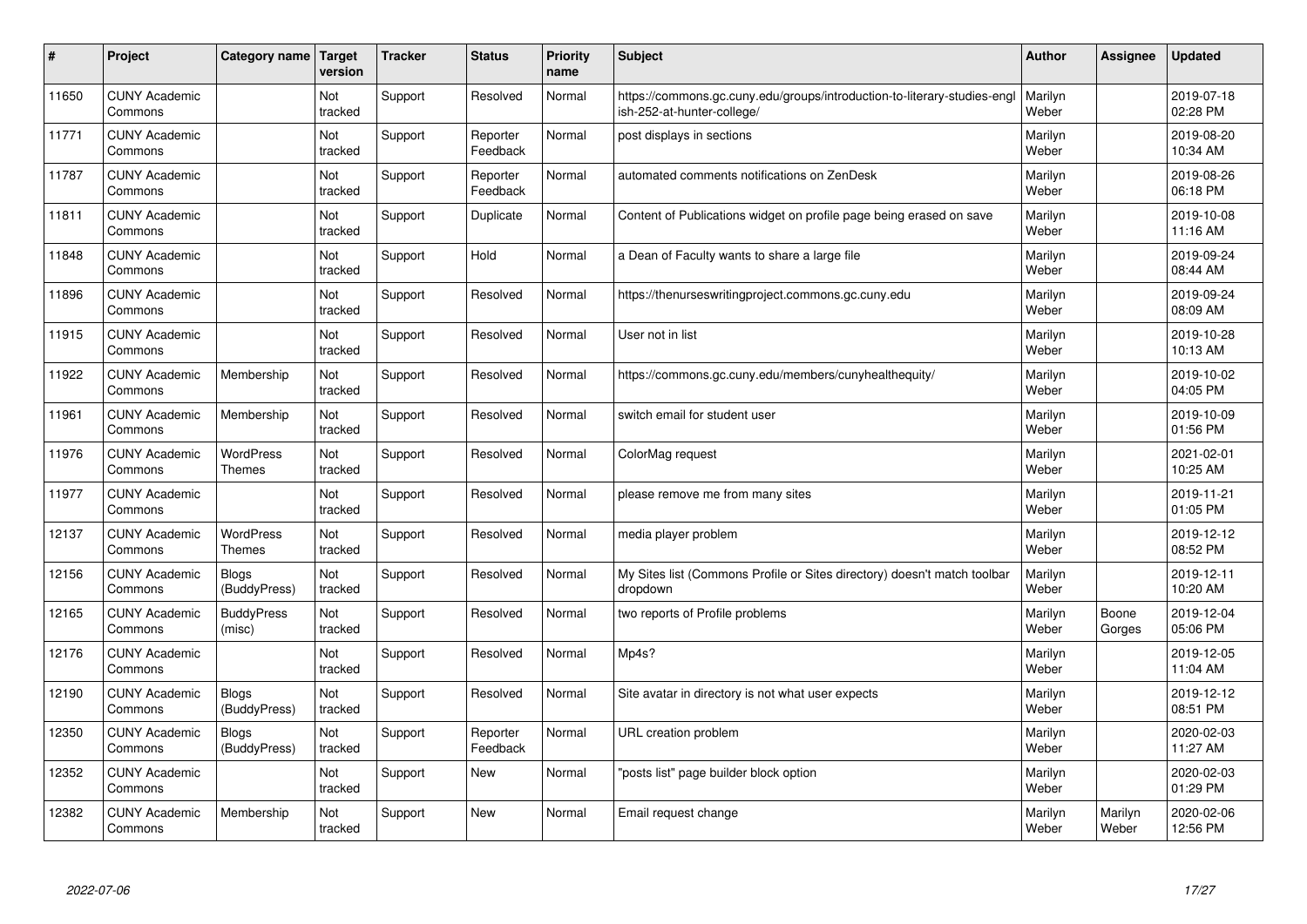| #     | Project                         | Category name                     | <b>Target</b><br>version | <b>Tracker</b> | <b>Status</b>        | Priority<br>name | <b>Subject</b>                                                                                         | <b>Author</b>    | Assignee         | <b>Updated</b>         |
|-------|---------------------------------|-----------------------------------|--------------------------|----------------|----------------------|------------------|--------------------------------------------------------------------------------------------------------|------------------|------------------|------------------------|
| 11650 | <b>CUNY Academic</b><br>Commons |                                   | Not<br>tracked           | Support        | Resolved             | Normal           | https://commons.gc.cuny.edu/groups/introduction-to-literary-studies-engl<br>ish-252-at-hunter-college/ | Marilyn<br>Weber |                  | 2019-07-18<br>02:28 PM |
| 11771 | <b>CUNY Academic</b><br>Commons |                                   | Not<br>tracked           | Support        | Reporter<br>Feedback | Normal           | post displays in sections                                                                              | Marilyn<br>Weber |                  | 2019-08-20<br>10:34 AM |
| 11787 | <b>CUNY Academic</b><br>Commons |                                   | Not<br>tracked           | Support        | Reporter<br>Feedback | Normal           | automated comments notifications on ZenDesk                                                            | Marilyn<br>Weber |                  | 2019-08-26<br>06:18 PM |
| 11811 | <b>CUNY Academic</b><br>Commons |                                   | Not<br>tracked           | Support        | Duplicate            | Normal           | Content of Publications widget on profile page being erased on save                                    | Marilyn<br>Weber |                  | 2019-10-08<br>11:16 AM |
| 11848 | <b>CUNY Academic</b><br>Commons |                                   | Not<br>tracked           | Support        | Hold                 | Normal           | a Dean of Faculty wants to share a large file                                                          | Marilyn<br>Weber |                  | 2019-09-24<br>08:44 AM |
| 11896 | <b>CUNY Academic</b><br>Commons |                                   | Not<br>tracked           | Support        | Resolved             | Normal           | https://thenurseswritingproject.commons.gc.cuny.edu                                                    | Marilyn<br>Weber |                  | 2019-09-24<br>08:09 AM |
| 11915 | <b>CUNY Academic</b><br>Commons |                                   | Not<br>tracked           | Support        | Resolved             | Normal           | User not in list                                                                                       | Marilyn<br>Weber |                  | 2019-10-28<br>10:13 AM |
| 11922 | <b>CUNY Academic</b><br>Commons | Membership                        | Not<br>tracked           | Support        | Resolved             | Normal           | https://commons.gc.cuny.edu/members/cunyhealthequity/                                                  | Marilyn<br>Weber |                  | 2019-10-02<br>04:05 PM |
| 11961 | <b>CUNY Academic</b><br>Commons | Membership                        | Not<br>tracked           | Support        | Resolved             | Normal           | switch email for student user                                                                          | Marilyn<br>Weber |                  | 2019-10-09<br>01:56 PM |
| 11976 | <b>CUNY Academic</b><br>Commons | <b>WordPress</b><br><b>Themes</b> | Not<br>tracked           | Support        | Resolved             | Normal           | ColorMag request                                                                                       | Marilyn<br>Weber |                  | 2021-02-01<br>10:25 AM |
| 11977 | <b>CUNY Academic</b><br>Commons |                                   | Not<br>tracked           | Support        | Resolved             | Normal           | please remove me from many sites                                                                       | Marilyn<br>Weber |                  | 2019-11-21<br>01:05 PM |
| 12137 | <b>CUNY Academic</b><br>Commons | WordPress<br><b>Themes</b>        | Not<br>tracked           | Support        | Resolved             | Normal           | media player problem                                                                                   | Marilyn<br>Weber |                  | 2019-12-12<br>08:52 PM |
| 12156 | <b>CUNY Academic</b><br>Commons | <b>Blogs</b><br>(BuddyPress)      | Not<br>tracked           | Support        | Resolved             | Normal           | My Sites list (Commons Profile or Sites directory) doesn't match toolbar<br>dropdown                   | Marilyn<br>Weber |                  | 2019-12-11<br>10:20 AM |
| 12165 | <b>CUNY Academic</b><br>Commons | <b>BuddyPress</b><br>(misc)       | Not<br>tracked           | Support        | Resolved             | Normal           | two reports of Profile problems                                                                        | Marilyn<br>Weber | Boone<br>Gorges  | 2019-12-04<br>05:06 PM |
| 12176 | <b>CUNY Academic</b><br>Commons |                                   | Not<br>tracked           | Support        | Resolved             | Normal           | Mp4s?                                                                                                  | Marilyn<br>Weber |                  | 2019-12-05<br>11:04 AM |
| 12190 | <b>CUNY Academic</b><br>Commons | <b>Blogs</b><br>(BuddyPress)      | Not<br>tracked           | Support        | Resolved             | Normal           | Site avatar in directory is not what user expects                                                      | Marilyn<br>Weber |                  | 2019-12-12<br>08:51 PM |
| 12350 | <b>CUNY Academic</b><br>Commons | <b>Blogs</b><br>(BuddyPress)      | Not<br>tracked           | Support        | Reporter<br>Feedback | Normal           | URL creation problem                                                                                   | Marilyn<br>Weber |                  | 2020-02-03<br>11:27 AM |
| 12352 | <b>CUNY Academic</b><br>Commons |                                   | Not<br>tracked           | Support        | New                  | Normal           | "posts list" page builder block option                                                                 | Marilyn<br>Weber |                  | 2020-02-03<br>01:29 PM |
| 12382 | <b>CUNY Academic</b><br>Commons | Membership                        | Not<br>tracked           | Support        | <b>New</b>           | Normal           | Email request change                                                                                   | Marilyn<br>Weber | Marilyn<br>Weber | 2020-02-06<br>12:56 PM |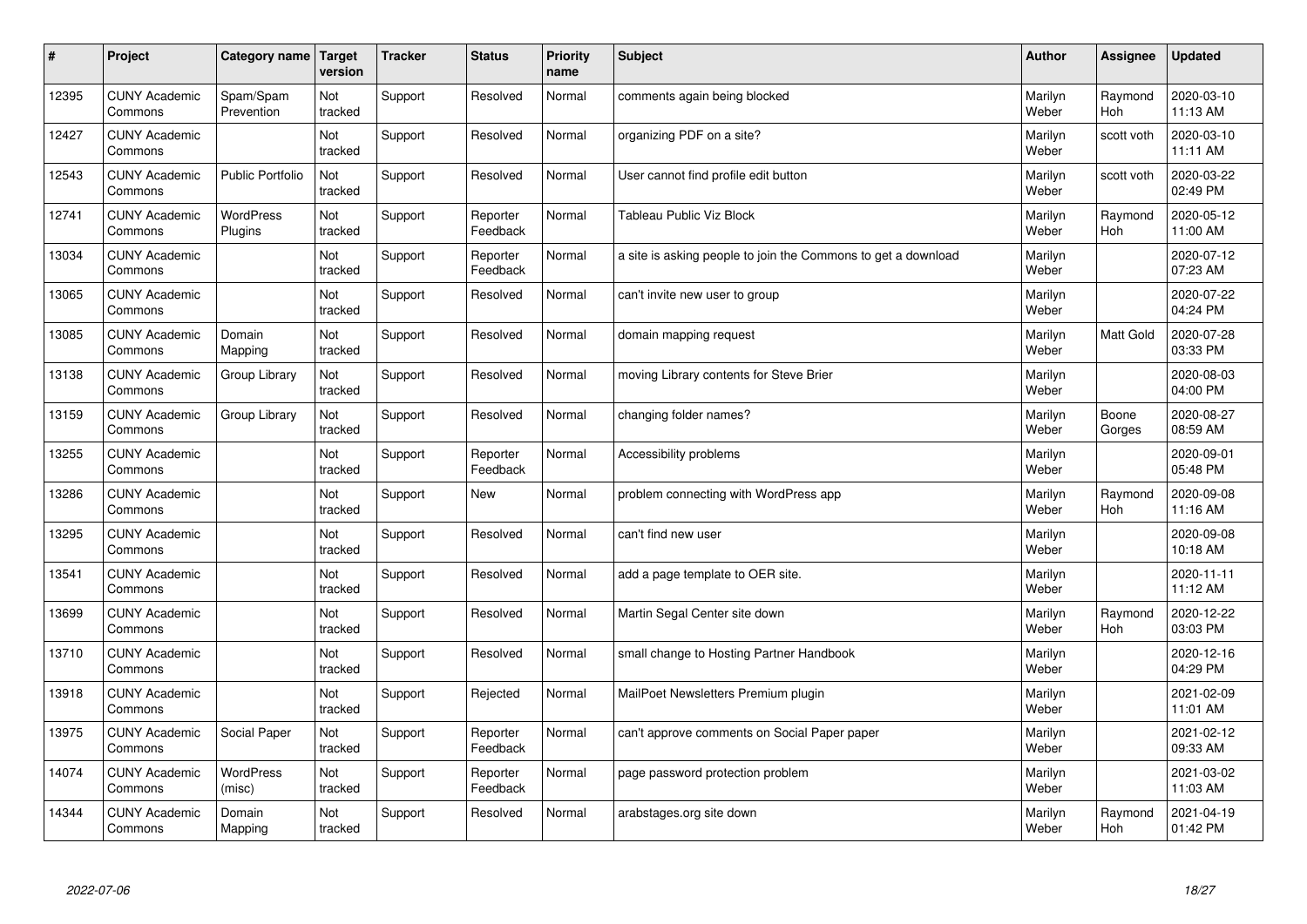| $\sharp$ | Project                         | Category name               | Target<br>version | <b>Tracker</b> | <b>Status</b>        | <b>Priority</b><br>name | <b>Subject</b>                                                | <b>Author</b>    | Assignee              | Updated                |
|----------|---------------------------------|-----------------------------|-------------------|----------------|----------------------|-------------------------|---------------------------------------------------------------|------------------|-----------------------|------------------------|
| 12395    | <b>CUNY Academic</b><br>Commons | Spam/Spam<br>Prevention     | Not<br>tracked    | Support        | Resolved             | Normal                  | comments again being blocked                                  | Marilyn<br>Weber | Raymond<br><b>Hoh</b> | 2020-03-10<br>11:13 AM |
| 12427    | <b>CUNY Academic</b><br>Commons |                             | Not<br>tracked    | Support        | Resolved             | Normal                  | organizing PDF on a site?                                     | Marilyn<br>Weber | scott voth            | 2020-03-10<br>11:11 AM |
| 12543    | <b>CUNY Academic</b><br>Commons | <b>Public Portfolio</b>     | Not<br>tracked    | Support        | Resolved             | Normal                  | User cannot find profile edit button                          | Marilyn<br>Weber | scott voth            | 2020-03-22<br>02:49 PM |
| 12741    | <b>CUNY Academic</b><br>Commons | <b>WordPress</b><br>Plugins | Not<br>tracked    | Support        | Reporter<br>Feedback | Normal                  | Tableau Public Viz Block                                      | Marilyn<br>Weber | Raymond<br><b>Hoh</b> | 2020-05-12<br>11:00 AM |
| 13034    | <b>CUNY Academic</b><br>Commons |                             | Not<br>tracked    | Support        | Reporter<br>Feedback | Normal                  | a site is asking people to join the Commons to get a download | Marilyn<br>Weber |                       | 2020-07-12<br>07:23 AM |
| 13065    | <b>CUNY Academic</b><br>Commons |                             | Not<br>tracked    | Support        | Resolved             | Normal                  | can't invite new user to group                                | Marilyn<br>Weber |                       | 2020-07-22<br>04:24 PM |
| 13085    | <b>CUNY Academic</b><br>Commons | Domain<br>Mapping           | Not<br>tracked    | Support        | Resolved             | Normal                  | domain mapping request                                        | Marilyn<br>Weber | Matt Gold             | 2020-07-28<br>03:33 PM |
| 13138    | <b>CUNY Academic</b><br>Commons | Group Library               | Not<br>tracked    | Support        | Resolved             | Normal                  | moving Library contents for Steve Brier                       | Marilyn<br>Weber |                       | 2020-08-03<br>04:00 PM |
| 13159    | <b>CUNY Academic</b><br>Commons | Group Library               | Not<br>tracked    | Support        | Resolved             | Normal                  | changing folder names?                                        | Marilyn<br>Weber | Boone<br>Gorges       | 2020-08-27<br>08:59 AM |
| 13255    | <b>CUNY Academic</b><br>Commons |                             | Not<br>tracked    | Support        | Reporter<br>Feedback | Normal                  | Accessibility problems                                        | Marilyn<br>Weber |                       | 2020-09-01<br>05:48 PM |
| 13286    | <b>CUNY Academic</b><br>Commons |                             | Not<br>tracked    | Support        | <b>New</b>           | Normal                  | problem connecting with WordPress app                         | Marilyn<br>Weber | Raymond<br><b>Hoh</b> | 2020-09-08<br>11:16 AM |
| 13295    | <b>CUNY Academic</b><br>Commons |                             | Not<br>tracked    | Support        | Resolved             | Normal                  | can't find new user                                           | Marilyn<br>Weber |                       | 2020-09-08<br>10:18 AM |
| 13541    | <b>CUNY Academic</b><br>Commons |                             | Not<br>tracked    | Support        | Resolved             | Normal                  | add a page template to OER site.                              | Marilyn<br>Weber |                       | 2020-11-11<br>11:12 AM |
| 13699    | <b>CUNY Academic</b><br>Commons |                             | Not<br>tracked    | Support        | Resolved             | Normal                  | Martin Segal Center site down                                 | Marilyn<br>Weber | Raymond<br><b>Hoh</b> | 2020-12-22<br>03:03 PM |
| 13710    | <b>CUNY Academic</b><br>Commons |                             | Not<br>tracked    | Support        | Resolved             | Normal                  | small change to Hosting Partner Handbook                      | Marilyn<br>Weber |                       | 2020-12-16<br>04:29 PM |
| 13918    | <b>CUNY Academic</b><br>Commons |                             | Not<br>tracked    | Support        | Rejected             | Normal                  | MailPoet Newsletters Premium plugin                           | Marilyn<br>Weber |                       | 2021-02-09<br>11:01 AM |
| 13975    | <b>CUNY Academic</b><br>Commons | Social Paper                | Not<br>tracked    | Support        | Reporter<br>Feedback | Normal                  | can't approve comments on Social Paper paper                  | Marilyn<br>Weber |                       | 2021-02-12<br>09:33 AM |
| 14074    | <b>CUNY Academic</b><br>Commons | WordPress<br>(misc)         | Not<br>tracked    | Support        | Reporter<br>Feedback | Normal                  | page password protection problem                              | Marilyn<br>Weber |                       | 2021-03-02<br>11:03 AM |
| 14344    | <b>CUNY Academic</b><br>Commons | Domain<br>Mapping           | Not<br>tracked    | Support        | Resolved             | Normal                  | arabstages.org site down                                      | Marilyn<br>Weber | Raymond<br>Hoh        | 2021-04-19<br>01:42 PM |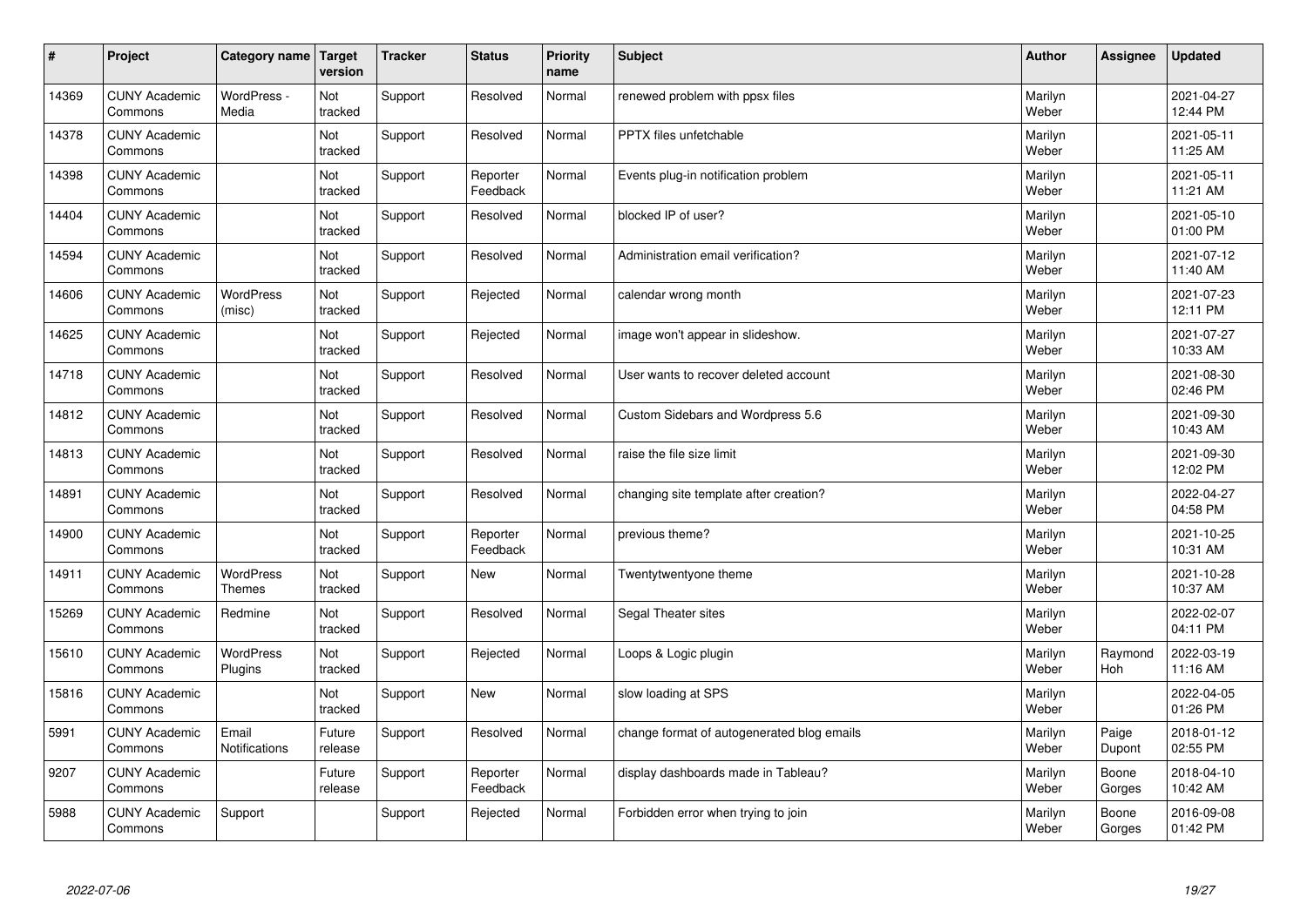| #     | Project                         | Category name                     | Target<br>version | <b>Tracker</b> | <b>Status</b>        | <b>Priority</b><br>name | <b>Subject</b>                             | <b>Author</b>    | Assignee        | <b>Updated</b>         |
|-------|---------------------------------|-----------------------------------|-------------------|----------------|----------------------|-------------------------|--------------------------------------------|------------------|-----------------|------------------------|
| 14369 | <b>CUNY Academic</b><br>Commons | WordPress -<br>Media              | Not<br>tracked    | Support        | Resolved             | Normal                  | renewed problem with ppsx files            | Marilyn<br>Weber |                 | 2021-04-27<br>12:44 PM |
| 14378 | <b>CUNY Academic</b><br>Commons |                                   | Not<br>tracked    | Support        | Resolved             | Normal                  | PPTX files unfetchable                     | Marilyn<br>Weber |                 | 2021-05-11<br>11:25 AM |
| 14398 | <b>CUNY Academic</b><br>Commons |                                   | Not<br>tracked    | Support        | Reporter<br>Feedback | Normal                  | Events plug-in notification problem        | Marilyn<br>Weber |                 | 2021-05-11<br>11:21 AM |
| 14404 | <b>CUNY Academic</b><br>Commons |                                   | Not<br>tracked    | Support        | Resolved             | Normal                  | blocked IP of user?                        | Marilyn<br>Weber |                 | 2021-05-10<br>01:00 PM |
| 14594 | <b>CUNY Academic</b><br>Commons |                                   | Not<br>tracked    | Support        | Resolved             | Normal                  | Administration email verification?         | Marilyn<br>Weber |                 | 2021-07-12<br>11:40 AM |
| 14606 | <b>CUNY Academic</b><br>Commons | <b>WordPress</b><br>(misc)        | Not<br>tracked    | Support        | Rejected             | Normal                  | calendar wrong month                       | Marilyn<br>Weber |                 | 2021-07-23<br>12:11 PM |
| 14625 | <b>CUNY Academic</b><br>Commons |                                   | Not<br>tracked    | Support        | Rejected             | Normal                  | image won't appear in slideshow.           | Marilyn<br>Weber |                 | 2021-07-27<br>10:33 AM |
| 14718 | <b>CUNY Academic</b><br>Commons |                                   | Not<br>tracked    | Support        | Resolved             | Normal                  | User wants to recover deleted account      | Marilyn<br>Weber |                 | 2021-08-30<br>02:46 PM |
| 14812 | <b>CUNY Academic</b><br>Commons |                                   | Not<br>tracked    | Support        | Resolved             | Normal                  | Custom Sidebars and Wordpress 5.6          | Marilyn<br>Weber |                 | 2021-09-30<br>10:43 AM |
| 14813 | <b>CUNY Academic</b><br>Commons |                                   | Not<br>tracked    | Support        | Resolved             | Normal                  | raise the file size limit                  | Marilyn<br>Weber |                 | 2021-09-30<br>12:02 PM |
| 14891 | <b>CUNY Academic</b><br>Commons |                                   | Not<br>tracked    | Support        | Resolved             | Normal                  | changing site template after creation?     | Marilyn<br>Weber |                 | 2022-04-27<br>04:58 PM |
| 14900 | <b>CUNY Academic</b><br>Commons |                                   | Not<br>tracked    | Support        | Reporter<br>Feedback | Normal                  | previous theme?                            | Marilyn<br>Weber |                 | 2021-10-25<br>10:31 AM |
| 14911 | <b>CUNY Academic</b><br>Commons | <b>WordPress</b><br><b>Themes</b> | Not<br>tracked    | Support        | <b>New</b>           | Normal                  | Twentytwentyone theme                      | Marilyn<br>Weber |                 | 2021-10-28<br>10:37 AM |
| 15269 | <b>CUNY Academic</b><br>Commons | Redmine                           | Not<br>tracked    | Support        | Resolved             | Normal                  | Segal Theater sites                        | Marilyn<br>Weber |                 | 2022-02-07<br>04:11 PM |
| 15610 | <b>CUNY Academic</b><br>Commons | WordPress<br>Plugins              | Not<br>tracked    | Support        | Rejected             | Normal                  | Loops & Logic plugin                       | Marilyn<br>Weber | Raymond<br>Hoh  | 2022-03-19<br>11:16 AM |
| 15816 | <b>CUNY Academic</b><br>Commons |                                   | Not<br>tracked    | Support        | <b>New</b>           | Normal                  | slow loading at SPS                        | Marilyn<br>Weber |                 | 2022-04-05<br>01:26 PM |
| 5991  | <b>CUNY Academic</b><br>Commons | Email<br>Notifications            | Future<br>release | Support        | Resolved             | Normal                  | change format of autogenerated blog emails | Marilyn<br>Weber | Paige<br>Dupont | 2018-01-12<br>02:55 PM |
| 9207  | <b>CUNY Academic</b><br>Commons |                                   | Future<br>release | Support        | Reporter<br>Feedback | Normal                  | display dashboards made in Tableau?        | Marilyn<br>Weber | Boone<br>Gorges | 2018-04-10<br>10:42 AM |
| 5988  | <b>CUNY Academic</b><br>Commons | Support                           |                   | Support        | Rejected             | Normal                  | Forbidden error when trying to join        | Marilyn<br>Weber | Boone<br>Gorges | 2016-09-08<br>01:42 PM |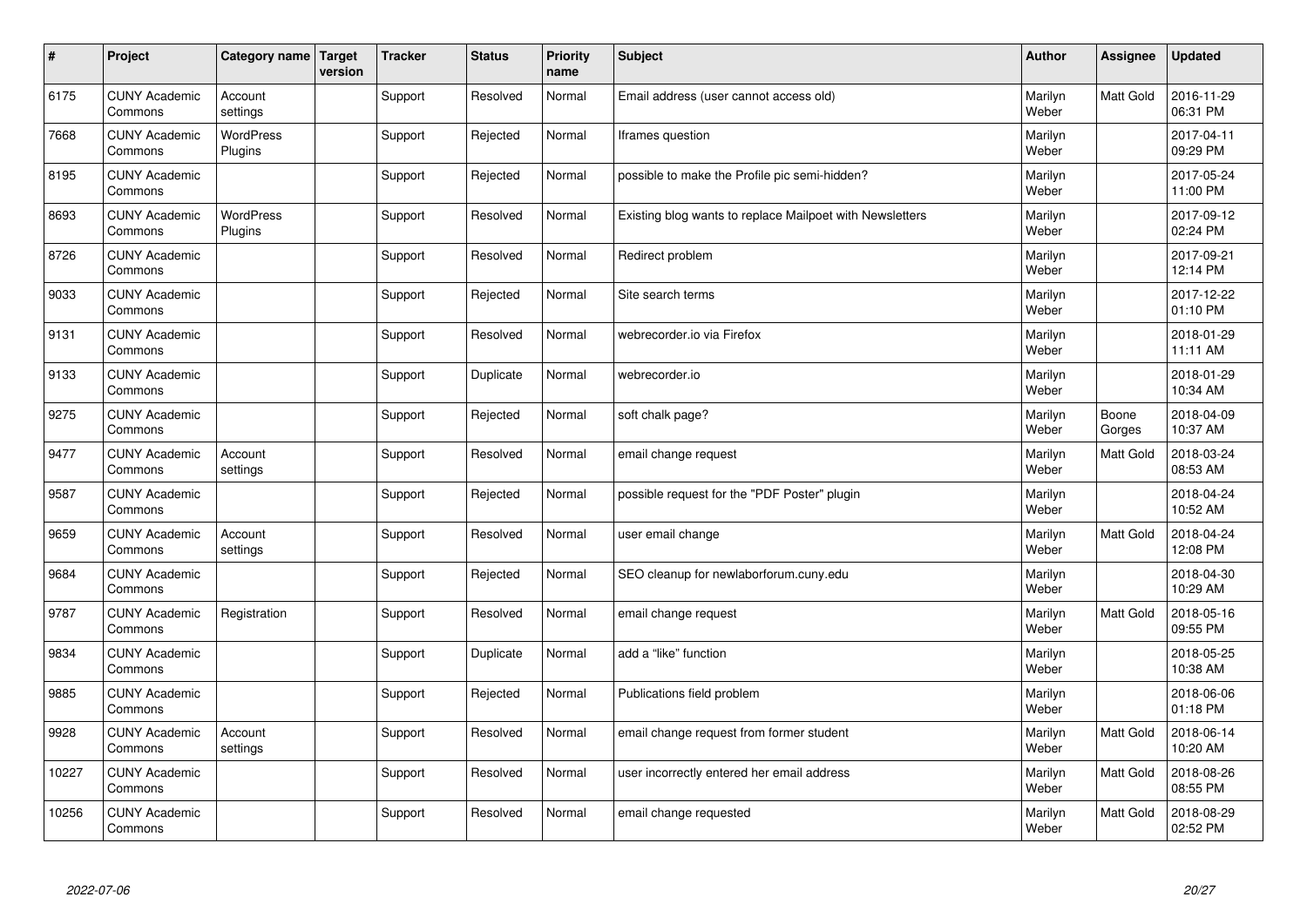| $\sharp$ | Project                         | Category name   Target      | version | <b>Tracker</b> | <b>Status</b> | <b>Priority</b><br>name | <b>Subject</b>                                           | <b>Author</b>    | Assignee         | <b>Updated</b>         |
|----------|---------------------------------|-----------------------------|---------|----------------|---------------|-------------------------|----------------------------------------------------------|------------------|------------------|------------------------|
| 6175     | <b>CUNY Academic</b><br>Commons | Account<br>settings         |         | Support        | Resolved      | Normal                  | Email address (user cannot access old)                   | Marilyn<br>Weber | <b>Matt Gold</b> | 2016-11-29<br>06:31 PM |
| 7668     | <b>CUNY Academic</b><br>Commons | <b>WordPress</b><br>Plugins |         | Support        | Rejected      | Normal                  | Iframes question                                         | Marilyn<br>Weber |                  | 2017-04-11<br>09:29 PM |
| 8195     | <b>CUNY Academic</b><br>Commons |                             |         | Support        | Rejected      | Normal                  | possible to make the Profile pic semi-hidden?            | Marilyn<br>Weber |                  | 2017-05-24<br>11:00 PM |
| 8693     | <b>CUNY Academic</b><br>Commons | <b>WordPress</b><br>Plugins |         | Support        | Resolved      | Normal                  | Existing blog wants to replace Mailpoet with Newsletters | Marilyn<br>Weber |                  | 2017-09-12<br>02:24 PM |
| 8726     | <b>CUNY Academic</b><br>Commons |                             |         | Support        | Resolved      | Normal                  | Redirect problem                                         | Marilyn<br>Weber |                  | 2017-09-21<br>12:14 PM |
| 9033     | <b>CUNY Academic</b><br>Commons |                             |         | Support        | Rejected      | Normal                  | Site search terms                                        | Marilyn<br>Weber |                  | 2017-12-22<br>01:10 PM |
| 9131     | <b>CUNY Academic</b><br>Commons |                             |         | Support        | Resolved      | Normal                  | webrecorder.io via Firefox                               | Marilyn<br>Weber |                  | 2018-01-29<br>11:11 AM |
| 9133     | <b>CUNY Academic</b><br>Commons |                             |         | Support        | Duplicate     | Normal                  | webrecorder.io                                           | Marilyn<br>Weber |                  | 2018-01-29<br>10:34 AM |
| 9275     | <b>CUNY Academic</b><br>Commons |                             |         | Support        | Rejected      | Normal                  | soft chalk page?                                         | Marilyn<br>Weber | Boone<br>Gorges  | 2018-04-09<br>10:37 AM |
| 9477     | <b>CUNY Academic</b><br>Commons | Account<br>settings         |         | Support        | Resolved      | Normal                  | email change request                                     | Marilyn<br>Weber | Matt Gold        | 2018-03-24<br>08:53 AM |
| 9587     | <b>CUNY Academic</b><br>Commons |                             |         | Support        | Rejected      | Normal                  | possible request for the "PDF Poster" plugin             | Marilyn<br>Weber |                  | 2018-04-24<br>10:52 AM |
| 9659     | <b>CUNY Academic</b><br>Commons | Account<br>settings         |         | Support        | Resolved      | Normal                  | user email change                                        | Marilyn<br>Weber | <b>Matt Gold</b> | 2018-04-24<br>12:08 PM |
| 9684     | <b>CUNY Academic</b><br>Commons |                             |         | Support        | Rejected      | Normal                  | SEO cleanup for newlaborforum.cuny.edu                   | Marilyn<br>Weber |                  | 2018-04-30<br>10:29 AM |
| 9787     | <b>CUNY Academic</b><br>Commons | Registration                |         | Support        | Resolved      | Normal                  | email change request                                     | Marilyn<br>Weber | Matt Gold        | 2018-05-16<br>09:55 PM |
| 9834     | <b>CUNY Academic</b><br>Commons |                             |         | Support        | Duplicate     | Normal                  | add a "like" function                                    | Marilyn<br>Weber |                  | 2018-05-25<br>10:38 AM |
| 9885     | <b>CUNY Academic</b><br>Commons |                             |         | Support        | Rejected      | Normal                  | Publications field problem                               | Marilyn<br>Weber |                  | 2018-06-06<br>01:18 PM |
| 9928     | <b>CUNY Academic</b><br>Commons | Account<br>settings         |         | Support        | Resolved      | Normal                  | email change request from former student                 | Marilyn<br>Weber | Matt Gold        | 2018-06-14<br>10:20 AM |
| 10227    | <b>CUNY Academic</b><br>Commons |                             |         | Support        | Resolved      | Normal                  | user incorrectly entered her email address               | Marilyn<br>Weber | Matt Gold        | 2018-08-26<br>08:55 PM |
| 10256    | <b>CUNY Academic</b><br>Commons |                             |         | Support        | Resolved      | Normal                  | email change requested                                   | Marilyn<br>Weber | <b>Matt Gold</b> | 2018-08-29<br>02:52 PM |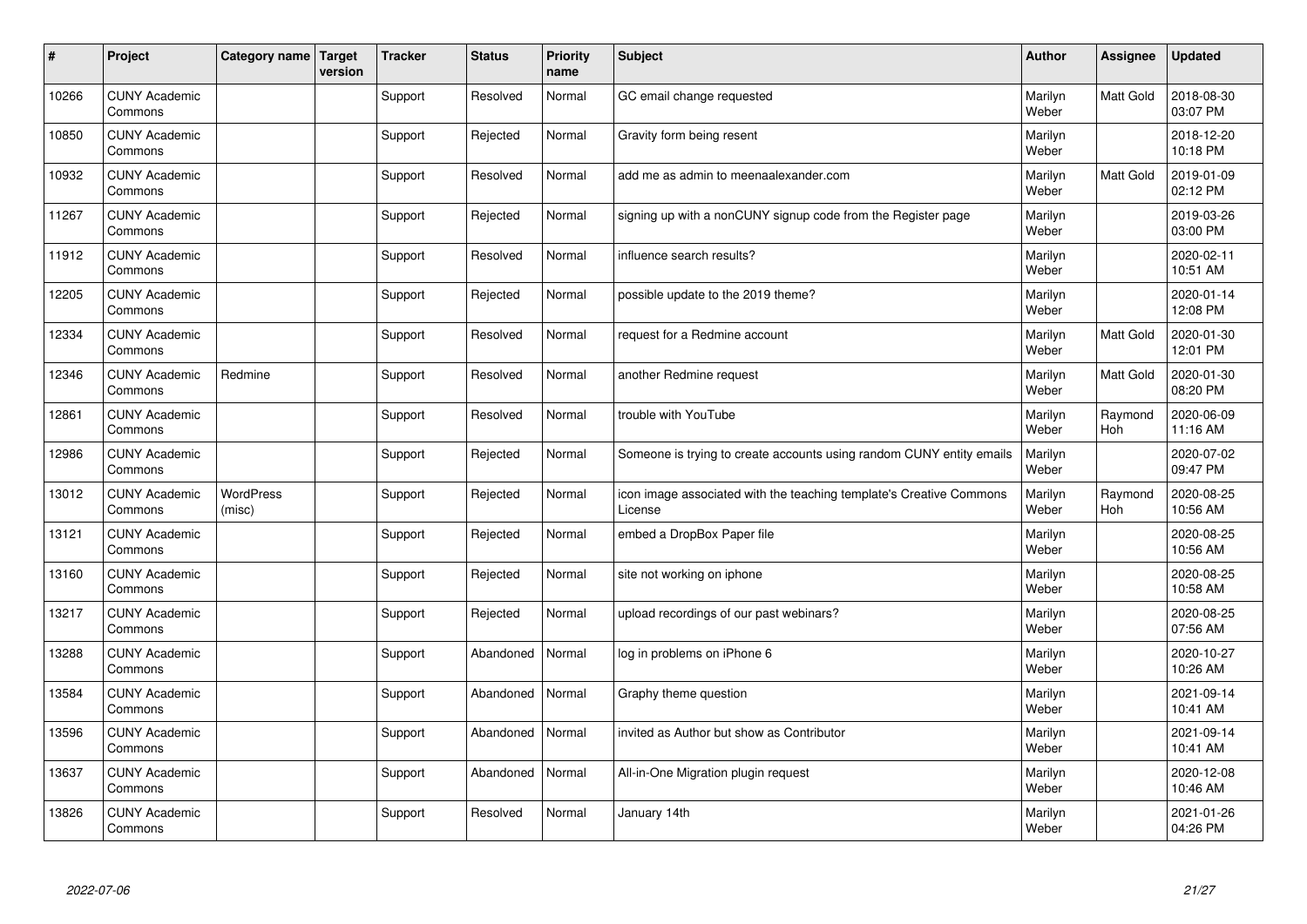| $\vert$ # | Project                         | Category name   Target | version | <b>Tracker</b> | <b>Status</b> | <b>Priority</b><br>name | <b>Subject</b>                                                                 | <b>Author</b>    | Assignee       | <b>Updated</b>         |
|-----------|---------------------------------|------------------------|---------|----------------|---------------|-------------------------|--------------------------------------------------------------------------------|------------------|----------------|------------------------|
| 10266     | <b>CUNY Academic</b><br>Commons |                        |         | Support        | Resolved      | Normal                  | GC email change requested                                                      | Marilyn<br>Weber | Matt Gold      | 2018-08-30<br>03:07 PM |
| 10850     | <b>CUNY Academic</b><br>Commons |                        |         | Support        | Rejected      | Normal                  | Gravity form being resent                                                      | Marilyn<br>Weber |                | 2018-12-20<br>10:18 PM |
| 10932     | <b>CUNY Academic</b><br>Commons |                        |         | Support        | Resolved      | Normal                  | add me as admin to meenaalexander.com                                          | Marilyn<br>Weber | Matt Gold      | 2019-01-09<br>02:12 PM |
| 11267     | <b>CUNY Academic</b><br>Commons |                        |         | Support        | Rejected      | Normal                  | signing up with a nonCUNY signup code from the Register page                   | Marilyn<br>Weber |                | 2019-03-26<br>03:00 PM |
| 11912     | <b>CUNY Academic</b><br>Commons |                        |         | Support        | Resolved      | Normal                  | influence search results?                                                      | Marilyn<br>Weber |                | 2020-02-11<br>10:51 AM |
| 12205     | <b>CUNY Academic</b><br>Commons |                        |         | Support        | Rejected      | Normal                  | possible update to the 2019 theme?                                             | Marilyn<br>Weber |                | 2020-01-14<br>12:08 PM |
| 12334     | <b>CUNY Academic</b><br>Commons |                        |         | Support        | Resolved      | Normal                  | request for a Redmine account                                                  | Marilyn<br>Weber | Matt Gold      | 2020-01-30<br>12:01 PM |
| 12346     | <b>CUNY Academic</b><br>Commons | Redmine                |         | Support        | Resolved      | Normal                  | another Redmine request                                                        | Marilyn<br>Weber | Matt Gold      | 2020-01-30<br>08:20 PM |
| 12861     | <b>CUNY Academic</b><br>Commons |                        |         | Support        | Resolved      | Normal                  | trouble with YouTube                                                           | Marilyn<br>Weber | Raymond<br>Hoh | 2020-06-09<br>11:16 AM |
| 12986     | <b>CUNY Academic</b><br>Commons |                        |         | Support        | Rejected      | Normal                  | Someone is trying to create accounts using random CUNY entity emails           | Marilyn<br>Weber |                | 2020-07-02<br>09:47 PM |
| 13012     | <b>CUNY Academic</b><br>Commons | WordPress<br>(misc)    |         | Support        | Rejected      | Normal                  | icon image associated with the teaching template's Creative Commons<br>License | Marilyn<br>Weber | Raymond<br>Hoh | 2020-08-25<br>10:56 AM |
| 13121     | <b>CUNY Academic</b><br>Commons |                        |         | Support        | Rejected      | Normal                  | embed a DropBox Paper file                                                     | Marilyn<br>Weber |                | 2020-08-25<br>10:56 AM |
| 13160     | <b>CUNY Academic</b><br>Commons |                        |         | Support        | Rejected      | Normal                  | site not working on iphone                                                     | Marilyn<br>Weber |                | 2020-08-25<br>10:58 AM |
| 13217     | <b>CUNY Academic</b><br>Commons |                        |         | Support        | Rejected      | Normal                  | upload recordings of our past webinars?                                        | Marilyn<br>Weber |                | 2020-08-25<br>07:56 AM |
| 13288     | <b>CUNY Academic</b><br>Commons |                        |         | Support        | Abandoned     | Normal                  | log in problems on iPhone 6                                                    | Marilyn<br>Weber |                | 2020-10-27<br>10:26 AM |
| 13584     | <b>CUNY Academic</b><br>Commons |                        |         | Support        | Abandoned     | Normal                  | Graphy theme question                                                          | Marilyn<br>Weber |                | 2021-09-14<br>10:41 AM |
| 13596     | <b>CUNY Academic</b><br>Commons |                        |         | Support        | Abandoned     | Normal                  | invited as Author but show as Contributor                                      | Marilyn<br>Weber |                | 2021-09-14<br>10:41 AM |
| 13637     | <b>CUNY Academic</b><br>Commons |                        |         | Support        | Abandoned     | Normal                  | All-in-One Migration plugin request                                            | Marilyn<br>Weber |                | 2020-12-08<br>10:46 AM |
| 13826     | <b>CUNY Academic</b><br>Commons |                        |         | Support        | Resolved      | Normal                  | January 14th                                                                   | Marilyn<br>Weber |                | 2021-01-26<br>04:26 PM |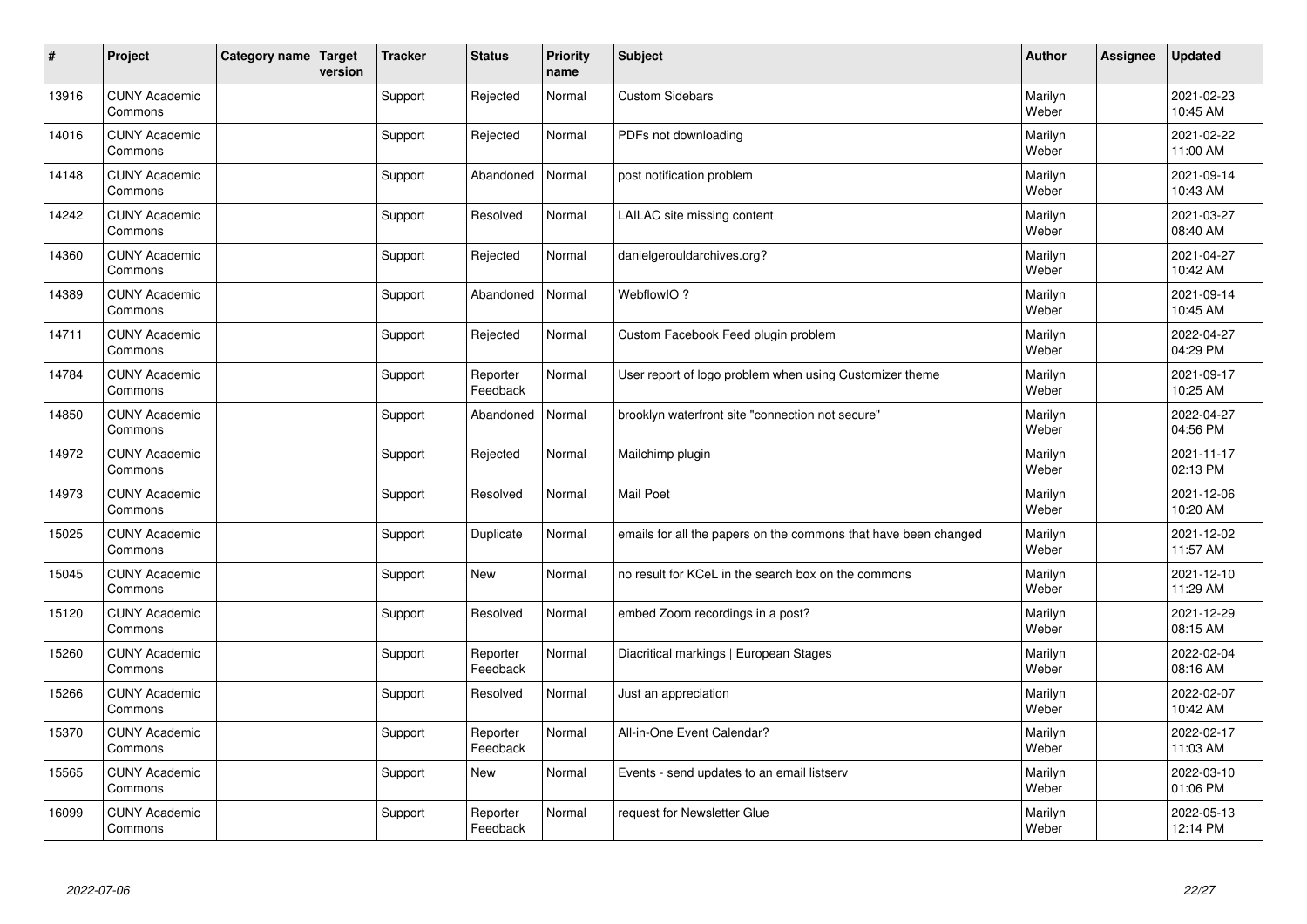| $\vert$ # | Project                         | Category name Target | version | <b>Tracker</b> | <b>Status</b>        | <b>Priority</b><br>name | <b>Subject</b>                                                  | <b>Author</b>    | Assignee | <b>Updated</b>         |
|-----------|---------------------------------|----------------------|---------|----------------|----------------------|-------------------------|-----------------------------------------------------------------|------------------|----------|------------------------|
| 13916     | <b>CUNY Academic</b><br>Commons |                      |         | Support        | Rejected             | Normal                  | <b>Custom Sidebars</b>                                          | Marilyn<br>Weber |          | 2021-02-23<br>10:45 AM |
| 14016     | <b>CUNY Academic</b><br>Commons |                      |         | Support        | Rejected             | Normal                  | PDFs not downloading                                            | Marilyn<br>Weber |          | 2021-02-22<br>11:00 AM |
| 14148     | <b>CUNY Academic</b><br>Commons |                      |         | Support        | Abandoned            | Normal                  | post notification problem                                       | Marilyn<br>Weber |          | 2021-09-14<br>10:43 AM |
| 14242     | <b>CUNY Academic</b><br>Commons |                      |         | Support        | Resolved             | Normal                  | LAILAC site missing content                                     | Marilyn<br>Weber |          | 2021-03-27<br>08:40 AM |
| 14360     | <b>CUNY Academic</b><br>Commons |                      |         | Support        | Rejected             | Normal                  | danielgerouldarchives.org?                                      | Marilyn<br>Weber |          | 2021-04-27<br>10:42 AM |
| 14389     | <b>CUNY Academic</b><br>Commons |                      |         | Support        | Abandoned            | Normal                  | WebflowIO?                                                      | Marilyn<br>Weber |          | 2021-09-14<br>10:45 AM |
| 14711     | <b>CUNY Academic</b><br>Commons |                      |         | Support        | Rejected             | Normal                  | Custom Facebook Feed plugin problem                             | Marilyn<br>Weber |          | 2022-04-27<br>04:29 PM |
| 14784     | <b>CUNY Academic</b><br>Commons |                      |         | Support        | Reporter<br>Feedback | Normal                  | User report of logo problem when using Customizer theme         | Marilyn<br>Weber |          | 2021-09-17<br>10:25 AM |
| 14850     | <b>CUNY Academic</b><br>Commons |                      |         | Support        | Abandoned            | Normal                  | brooklyn waterfront site "connection not secure"                | Marilyn<br>Weber |          | 2022-04-27<br>04:56 PM |
| 14972     | <b>CUNY Academic</b><br>Commons |                      |         | Support        | Rejected             | Normal                  | Mailchimp plugin                                                | Marilyn<br>Weber |          | 2021-11-17<br>02:13 PM |
| 14973     | <b>CUNY Academic</b><br>Commons |                      |         | Support        | Resolved             | Normal                  | <b>Mail Poet</b>                                                | Marilyn<br>Weber |          | 2021-12-06<br>10:20 AM |
| 15025     | <b>CUNY Academic</b><br>Commons |                      |         | Support        | Duplicate            | Normal                  | emails for all the papers on the commons that have been changed | Marilyn<br>Weber |          | 2021-12-02<br>11:57 AM |
| 15045     | <b>CUNY Academic</b><br>Commons |                      |         | Support        | New                  | Normal                  | no result for KCeL in the search box on the commons             | Marilyn<br>Weber |          | 2021-12-10<br>11:29 AM |
| 15120     | <b>CUNY Academic</b><br>Commons |                      |         | Support        | Resolved             | Normal                  | embed Zoom recordings in a post?                                | Marilyn<br>Weber |          | 2021-12-29<br>08:15 AM |
| 15260     | <b>CUNY Academic</b><br>Commons |                      |         | Support        | Reporter<br>Feedback | Normal                  | Diacritical markings   European Stages                          | Marilyn<br>Weber |          | 2022-02-04<br>08:16 AM |
| 15266     | <b>CUNY Academic</b><br>Commons |                      |         | Support        | Resolved             | Normal                  | Just an appreciation                                            | Marilyn<br>Weber |          | 2022-02-07<br>10:42 AM |
| 15370     | <b>CUNY Academic</b><br>Commons |                      |         | Support        | Reporter<br>Feedback | Normal                  | All-in-One Event Calendar?                                      | Marilyn<br>Weber |          | 2022-02-17<br>11:03 AM |
| 15565     | <b>CUNY Academic</b><br>Commons |                      |         | Support        | <b>New</b>           | Normal                  | Events - send updates to an email listserv                      | Marilyn<br>Weber |          | 2022-03-10<br>01:06 PM |
| 16099     | <b>CUNY Academic</b><br>Commons |                      |         | Support        | Reporter<br>Feedback | Normal                  | request for Newsletter Glue                                     | Marilyn<br>Weber |          | 2022-05-13<br>12:14 PM |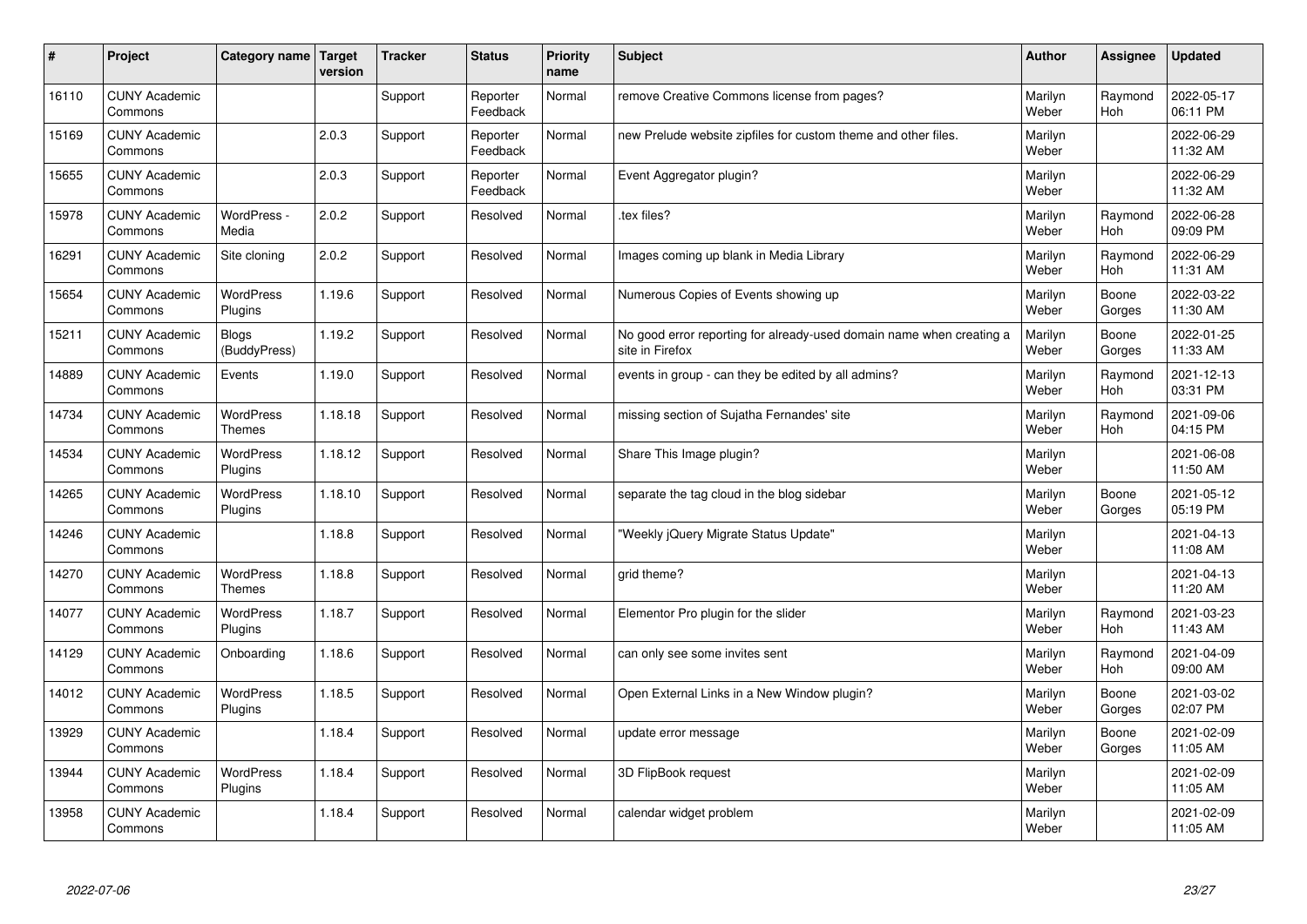| #     | Project                         | Category name                     | Target<br>version | <b>Tracker</b> | <b>Status</b>        | <b>Priority</b><br>name | <b>Subject</b>                                                                          | <b>Author</b>    | Assignee              | Updated                |
|-------|---------------------------------|-----------------------------------|-------------------|----------------|----------------------|-------------------------|-----------------------------------------------------------------------------------------|------------------|-----------------------|------------------------|
| 16110 | <b>CUNY Academic</b><br>Commons |                                   |                   | Support        | Reporter<br>Feedback | Normal                  | remove Creative Commons license from pages?                                             | Marilyn<br>Weber | Raymond<br><b>Hoh</b> | 2022-05-17<br>06:11 PM |
| 15169 | <b>CUNY Academic</b><br>Commons |                                   | 2.0.3             | Support        | Reporter<br>Feedback | Normal                  | new Prelude website zipfiles for custom theme and other files.                          | Marilyn<br>Weber |                       | 2022-06-29<br>11:32 AM |
| 15655 | <b>CUNY Academic</b><br>Commons |                                   | 2.0.3             | Support        | Reporter<br>Feedback | Normal                  | Event Aggregator plugin?                                                                | Marilyn<br>Weber |                       | 2022-06-29<br>11:32 AM |
| 15978 | <b>CUNY Academic</b><br>Commons | WordPress -<br>Media              | 2.0.2             | Support        | Resolved             | Normal                  | tex files?                                                                              | Marilyn<br>Weber | Raymond<br><b>Hoh</b> | 2022-06-28<br>09:09 PM |
| 16291 | <b>CUNY Academic</b><br>Commons | Site cloning                      | 2.0.2             | Support        | Resolved             | Normal                  | Images coming up blank in Media Library                                                 | Marilyn<br>Weber | Raymond<br>Hoh        | 2022-06-29<br>11:31 AM |
| 15654 | <b>CUNY Academic</b><br>Commons | WordPress<br>Plugins              | 1.19.6            | Support        | Resolved             | Normal                  | Numerous Copies of Events showing up                                                    | Marilyn<br>Weber | Boone<br>Gorges       | 2022-03-22<br>11:30 AM |
| 15211 | <b>CUNY Academic</b><br>Commons | <b>Blogs</b><br>(BuddyPress)      | 1.19.2            | Support        | Resolved             | Normal                  | No good error reporting for already-used domain name when creating a<br>site in Firefox | Marilyn<br>Weber | Boone<br>Gorges       | 2022-01-25<br>11:33 AM |
| 14889 | <b>CUNY Academic</b><br>Commons | Events                            | 1.19.0            | Support        | Resolved             | Normal                  | events in group - can they be edited by all admins?                                     | Marilyn<br>Weber | Raymond<br>Hoh        | 2021-12-13<br>03:31 PM |
| 14734 | <b>CUNY Academic</b><br>Commons | <b>WordPress</b><br><b>Themes</b> | 1.18.18           | Support        | Resolved             | Normal                  | missing section of Sujatha Fernandes' site                                              | Marilyn<br>Weber | Raymond<br><b>Hoh</b> | 2021-09-06<br>04:15 PM |
| 14534 | <b>CUNY Academic</b><br>Commons | WordPress<br>Plugins              | 1.18.12           | Support        | Resolved             | Normal                  | Share This Image plugin?                                                                | Marilyn<br>Weber |                       | 2021-06-08<br>11:50 AM |
| 14265 | <b>CUNY Academic</b><br>Commons | <b>WordPress</b><br>Plugins       | 1.18.10           | Support        | Resolved             | Normal                  | separate the tag cloud in the blog sidebar                                              | Marilyn<br>Weber | Boone<br>Gorges       | 2021-05-12<br>05:19 PM |
| 14246 | <b>CUNY Academic</b><br>Commons |                                   | 1.18.8            | Support        | Resolved             | Normal                  | 'Weekly jQuery Migrate Status Update"                                                   | Marilyn<br>Weber |                       | 2021-04-13<br>11:08 AM |
| 14270 | <b>CUNY Academic</b><br>Commons | WordPress<br><b>Themes</b>        | 1.18.8            | Support        | Resolved             | Normal                  | grid theme?                                                                             | Marilyn<br>Weber |                       | 2021-04-13<br>11:20 AM |
| 14077 | <b>CUNY Academic</b><br>Commons | <b>WordPress</b><br>Plugins       | 1.18.7            | Support        | Resolved             | Normal                  | Elementor Pro plugin for the slider                                                     | Marilyn<br>Weber | Raymond<br><b>Hoh</b> | 2021-03-23<br>11:43 AM |
| 14129 | <b>CUNY Academic</b><br>Commons | Onboarding                        | 1.18.6            | Support        | Resolved             | Normal                  | can only see some invites sent                                                          | Marilyn<br>Weber | Raymond<br>Hoh        | 2021-04-09<br>09:00 AM |
| 14012 | <b>CUNY Academic</b><br>Commons | <b>WordPress</b><br>Plugins       | 1.18.5            | Support        | Resolved             | Normal                  | Open External Links in a New Window plugin?                                             | Marilyn<br>Weber | Boone<br>Gorges       | 2021-03-02<br>02:07 PM |
| 13929 | <b>CUNY Academic</b><br>Commons |                                   | 1.18.4            | Support        | Resolved             | Normal                  | update error message                                                                    | Marilyn<br>Weber | Boone<br>Gorges       | 2021-02-09<br>11:05 AM |
| 13944 | <b>CUNY Academic</b><br>Commons | <b>WordPress</b><br>Plugins       | 1.18.4            | Support        | Resolved             | Normal                  | 3D FlipBook request                                                                     | Marilyn<br>Weber |                       | 2021-02-09<br>11:05 AM |
| 13958 | <b>CUNY Academic</b><br>Commons |                                   | 1.18.4            | Support        | Resolved             | Normal                  | calendar widget problem                                                                 | Marilyn<br>Weber |                       | 2021-02-09<br>11:05 AM |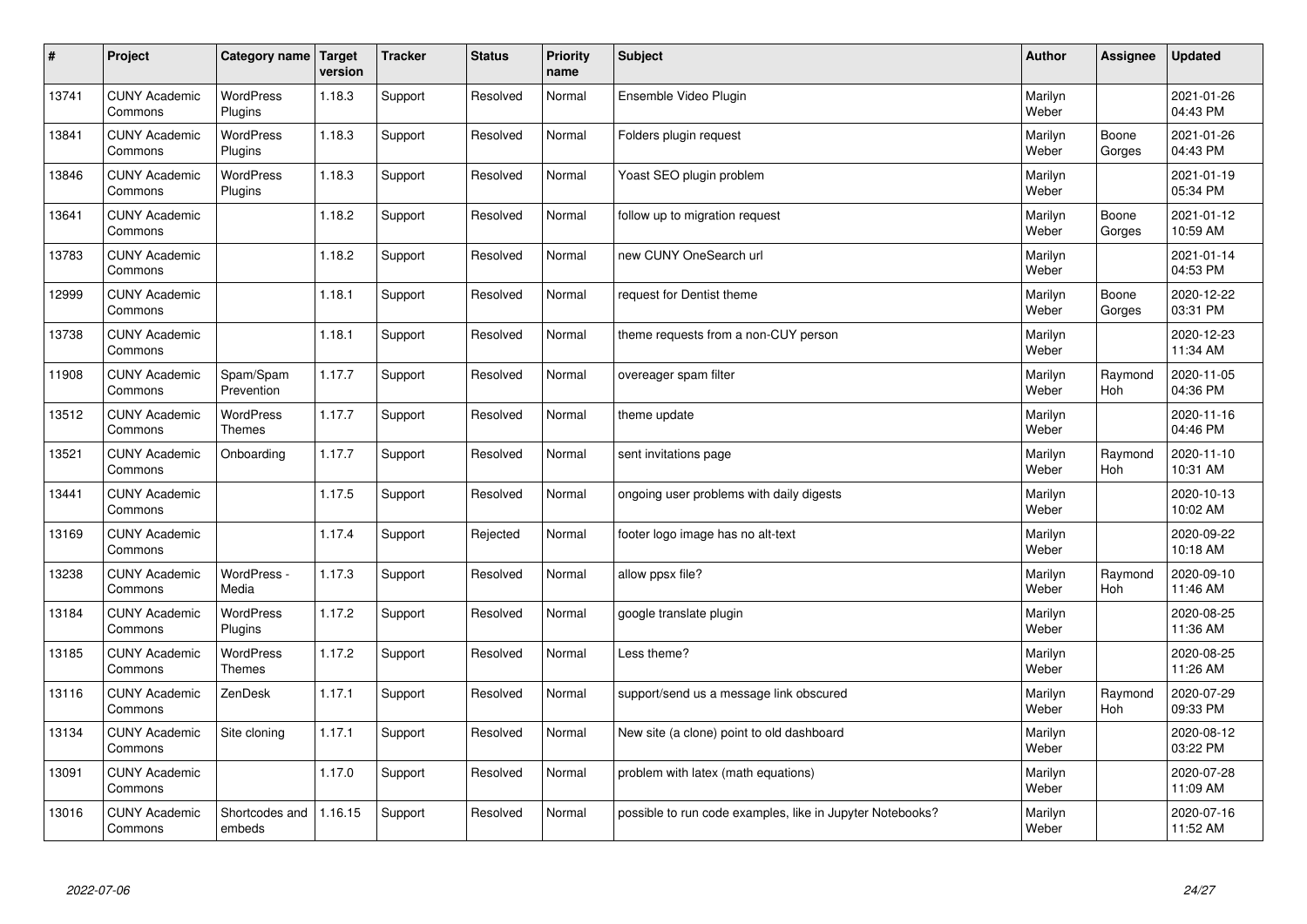| $\sharp$ | Project                         | Category name   Target            | version | <b>Tracker</b> | <b>Status</b> | <b>Priority</b><br>name | <b>Subject</b>                                            | <b>Author</b>    | <b>Assignee</b>       | <b>Updated</b>         |
|----------|---------------------------------|-----------------------------------|---------|----------------|---------------|-------------------------|-----------------------------------------------------------|------------------|-----------------------|------------------------|
| 13741    | <b>CUNY Academic</b><br>Commons | <b>WordPress</b><br>Plugins       | 1.18.3  | Support        | Resolved      | Normal                  | Ensemble Video Plugin                                     | Marilyn<br>Weber |                       | 2021-01-26<br>04:43 PM |
| 13841    | <b>CUNY Academic</b><br>Commons | <b>WordPress</b><br>Plugins       | 1.18.3  | Support        | Resolved      | Normal                  | Folders plugin request                                    | Marilyn<br>Weber | Boone<br>Gorges       | 2021-01-26<br>04:43 PM |
| 13846    | <b>CUNY Academic</b><br>Commons | <b>WordPress</b><br>Plugins       | 1.18.3  | Support        | Resolved      | Normal                  | Yoast SEO plugin problem                                  | Marilyn<br>Weber |                       | 2021-01-19<br>05:34 PM |
| 13641    | <b>CUNY Academic</b><br>Commons |                                   | 1.18.2  | Support        | Resolved      | Normal                  | follow up to migration request                            | Marilyn<br>Weber | Boone<br>Gorges       | 2021-01-12<br>10:59 AM |
| 13783    | <b>CUNY Academic</b><br>Commons |                                   | 1.18.2  | Support        | Resolved      | Normal                  | new CUNY OneSearch url                                    | Marilyn<br>Weber |                       | 2021-01-14<br>04:53 PM |
| 12999    | <b>CUNY Academic</b><br>Commons |                                   | 1.18.1  | Support        | Resolved      | Normal                  | request for Dentist theme                                 | Marilyn<br>Weber | Boone<br>Gorges       | 2020-12-22<br>03:31 PM |
| 13738    | <b>CUNY Academic</b><br>Commons |                                   | 1.18.1  | Support        | Resolved      | Normal                  | theme requests from a non-CUY person                      | Marilyn<br>Weber |                       | 2020-12-23<br>11:34 AM |
| 11908    | <b>CUNY Academic</b><br>Commons | Spam/Spam<br>Prevention           | 1.17.7  | Support        | Resolved      | Normal                  | overeager spam filter                                     | Marilyn<br>Weber | Raymond<br>Hoh        | 2020-11-05<br>04:36 PM |
| 13512    | <b>CUNY Academic</b><br>Commons | <b>WordPress</b><br><b>Themes</b> | 1.17.7  | Support        | Resolved      | Normal                  | theme update                                              | Marilyn<br>Weber |                       | 2020-11-16<br>04:46 PM |
| 13521    | <b>CUNY Academic</b><br>Commons | Onboarding                        | 1.17.7  | Support        | Resolved      | Normal                  | sent invitations page                                     | Marilyn<br>Weber | Raymond<br>Hoh        | 2020-11-10<br>10:31 AM |
| 13441    | <b>CUNY Academic</b><br>Commons |                                   | 1.17.5  | Support        | Resolved      | Normal                  | ongoing user problems with daily digests                  | Marilyn<br>Weber |                       | 2020-10-13<br>10:02 AM |
| 13169    | <b>CUNY Academic</b><br>Commons |                                   | 1.17.4  | Support        | Rejected      | Normal                  | footer logo image has no alt-text                         | Marilyn<br>Weber |                       | 2020-09-22<br>10:18 AM |
| 13238    | <b>CUNY Academic</b><br>Commons | WordPress -<br>Media              | 1.17.3  | Support        | Resolved      | Normal                  | allow ppsx file?                                          | Marilyn<br>Weber | Raymond<br>Hoh        | 2020-09-10<br>11:46 AM |
| 13184    | <b>CUNY Academic</b><br>Commons | WordPress<br>Plugins              | 1.17.2  | Support        | Resolved      | Normal                  | google translate plugin                                   | Marilyn<br>Weber |                       | 2020-08-25<br>11:36 AM |
| 13185    | <b>CUNY Academic</b><br>Commons | <b>WordPress</b><br><b>Themes</b> | 1.17.2  | Support        | Resolved      | Normal                  | Less theme?                                               | Marilyn<br>Weber |                       | 2020-08-25<br>11:26 AM |
| 13116    | <b>CUNY Academic</b><br>Commons | ZenDesk                           | 1.17.1  | Support        | Resolved      | Normal                  | support/send us a message link obscured                   | Marilyn<br>Weber | Raymond<br><b>Hoh</b> | 2020-07-29<br>09:33 PM |
| 13134    | <b>CUNY Academic</b><br>Commons | Site cloning                      | 1.17.1  | Support        | Resolved      | Normal                  | New site (a clone) point to old dashboard                 | Marilyn<br>Weber |                       | 2020-08-12<br>03:22 PM |
| 13091    | <b>CUNY Academic</b><br>Commons |                                   | 1.17.0  | Support        | Resolved      | Normal                  | problem with latex (math equations)                       | Marilyn<br>Weber |                       | 2020-07-28<br>11:09 AM |
| 13016    | <b>CUNY Academic</b><br>Commons | Shortcodes and<br>embeds          | 1.16.15 | Support        | Resolved      | Normal                  | possible to run code examples, like in Jupyter Notebooks? | Marilyn<br>Weber |                       | 2020-07-16<br>11:52 AM |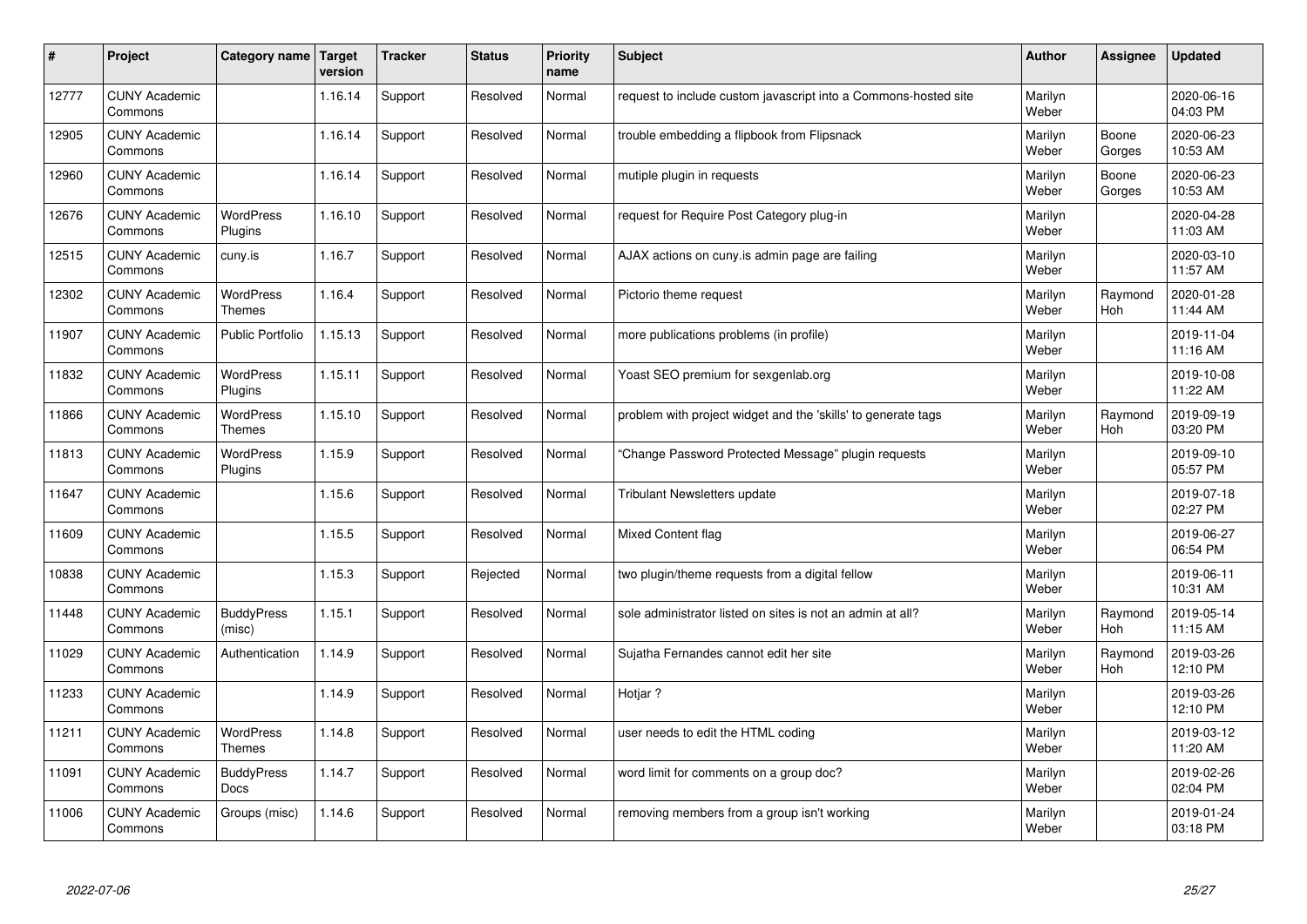| $\sharp$ | Project                         | Category name   Target            | version | <b>Tracker</b> | <b>Status</b> | <b>Priority</b><br>name | <b>Subject</b>                                                  | <b>Author</b>    | Assignee              | <b>Updated</b>         |
|----------|---------------------------------|-----------------------------------|---------|----------------|---------------|-------------------------|-----------------------------------------------------------------|------------------|-----------------------|------------------------|
| 12777    | <b>CUNY Academic</b><br>Commons |                                   | 1.16.14 | Support        | Resolved      | Normal                  | request to include custom javascript into a Commons-hosted site | Marilyn<br>Weber |                       | 2020-06-16<br>04:03 PM |
| 12905    | <b>CUNY Academic</b><br>Commons |                                   | 1.16.14 | Support        | Resolved      | Normal                  | trouble embedding a flipbook from Flipsnack                     | Marilyn<br>Weber | Boone<br>Gorges       | 2020-06-23<br>10:53 AM |
| 12960    | <b>CUNY Academic</b><br>Commons |                                   | 1.16.14 | Support        | Resolved      | Normal                  | mutiple plugin in requests                                      | Marilyn<br>Weber | Boone<br>Gorges       | 2020-06-23<br>10:53 AM |
| 12676    | <b>CUNY Academic</b><br>Commons | <b>WordPress</b><br>Plugins       | 1.16.10 | Support        | Resolved      | Normal                  | request for Require Post Category plug-in                       | Marilyn<br>Weber |                       | 2020-04-28<br>11:03 AM |
| 12515    | <b>CUNY Academic</b><br>Commons | cuny.is                           | 1.16.7  | Support        | Resolved      | Normal                  | AJAX actions on cuny is admin page are failing                  | Marilyn<br>Weber |                       | 2020-03-10<br>11:57 AM |
| 12302    | <b>CUNY Academic</b><br>Commons | <b>WordPress</b><br><b>Themes</b> | 1.16.4  | Support        | Resolved      | Normal                  | Pictorio theme request                                          | Marilyn<br>Weber | Raymond<br>Hoh        | 2020-01-28<br>11:44 AM |
| 11907    | <b>CUNY Academic</b><br>Commons | <b>Public Portfolio</b>           | 1.15.13 | Support        | Resolved      | Normal                  | more publications problems (in profile)                         | Marilyn<br>Weber |                       | 2019-11-04<br>11:16 AM |
| 11832    | <b>CUNY Academic</b><br>Commons | WordPress<br>Plugins              | 1.15.11 | Support        | Resolved      | Normal                  | Yoast SEO premium for sexgenlab.org                             | Marilyn<br>Weber |                       | 2019-10-08<br>11:22 AM |
| 11866    | <b>CUNY Academic</b><br>Commons | WordPress<br><b>Themes</b>        | 1.15.10 | Support        | Resolved      | Normal                  | problem with project widget and the 'skills' to generate tags   | Marilyn<br>Weber | Raymond<br>Hoh        | 2019-09-19<br>03:20 PM |
| 11813    | <b>CUNY Academic</b><br>Commons | <b>WordPress</b><br>Plugins       | 1.15.9  | Support        | Resolved      | Normal                  | Change Password Protected Message" plugin requests              | Marilyn<br>Weber |                       | 2019-09-10<br>05:57 PM |
| 11647    | <b>CUNY Academic</b><br>Commons |                                   | 1.15.6  | Support        | Resolved      | Normal                  | Tribulant Newsletters update                                    | Marilyn<br>Weber |                       | 2019-07-18<br>02:27 PM |
| 11609    | <b>CUNY Academic</b><br>Commons |                                   | 1.15.5  | Support        | Resolved      | Normal                  | <b>Mixed Content flag</b>                                       | Marilyn<br>Weber |                       | 2019-06-27<br>06:54 PM |
| 10838    | <b>CUNY Academic</b><br>Commons |                                   | 1.15.3  | Support        | Rejected      | Normal                  | two plugin/theme requests from a digital fellow                 | Marilyn<br>Weber |                       | 2019-06-11<br>10:31 AM |
| 11448    | <b>CUNY Academic</b><br>Commons | <b>BuddyPress</b><br>(misc)       | 1.15.1  | Support        | Resolved      | Normal                  | sole administrator listed on sites is not an admin at all?      | Marilyn<br>Weber | Raymond<br>Hoh        | 2019-05-14<br>11:15 AM |
| 11029    | <b>CUNY Academic</b><br>Commons | Authentication                    | 1.14.9  | Support        | Resolved      | Normal                  | Sujatha Fernandes cannot edit her site                          | Marilyn<br>Weber | Raymond<br><b>Hoh</b> | 2019-03-26<br>12:10 PM |
| 11233    | <b>CUNY Academic</b><br>Commons |                                   | 1.14.9  | Support        | Resolved      | Normal                  | Hotiar?                                                         | Marilyn<br>Weber |                       | 2019-03-26<br>12:10 PM |
| 11211    | <b>CUNY Academic</b><br>Commons | WordPress<br>Themes               | 1.14.8  | Support        | Resolved      | Normal                  | user needs to edit the HTML coding                              | Marilyn<br>Weber |                       | 2019-03-12<br>11:20 AM |
| 11091    | <b>CUNY Academic</b><br>Commons | <b>BuddyPress</b><br>Docs         | 1.14.7  | Support        | Resolved      | Normal                  | word limit for comments on a group doc?                         | Marilyn<br>Weber |                       | 2019-02-26<br>02:04 PM |
| 11006    | <b>CUNY Academic</b><br>Commons | Groups (misc)                     | 1.14.6  | Support        | Resolved      | Normal                  | removing members from a group isn't working                     | Marilyn<br>Weber |                       | 2019-01-24<br>03:18 PM |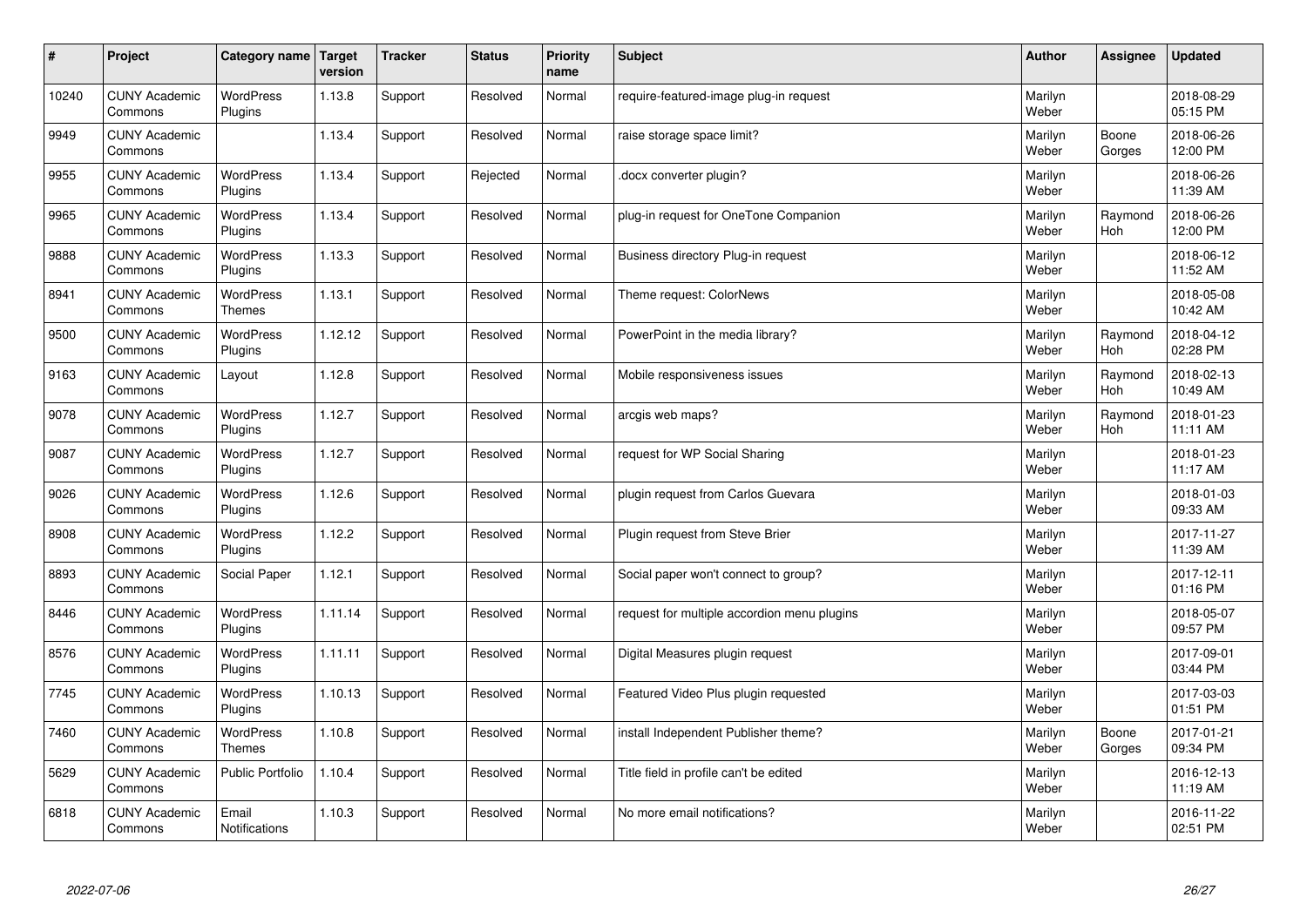| #     | Project                         | Category name Target              | version | <b>Tracker</b> | <b>Status</b> | <b>Priority</b><br>name | <b>Subject</b>                              | <b>Author</b>    | Assignee              | <b>Updated</b>         |
|-------|---------------------------------|-----------------------------------|---------|----------------|---------------|-------------------------|---------------------------------------------|------------------|-----------------------|------------------------|
| 10240 | <b>CUNY Academic</b><br>Commons | <b>WordPress</b><br>Plugins       | 1.13.8  | Support        | Resolved      | Normal                  | require-featured-image plug-in request      | Marilyn<br>Weber |                       | 2018-08-29<br>05:15 PM |
| 9949  | <b>CUNY Academic</b><br>Commons |                                   | 1.13.4  | Support        | Resolved      | Normal                  | raise storage space limit?                  | Marilyn<br>Weber | Boone<br>Gorges       | 2018-06-26<br>12:00 PM |
| 9955  | <b>CUNY Academic</b><br>Commons | <b>WordPress</b><br>Plugins       | 1.13.4  | Support        | Rejected      | Normal                  | docx converter plugin?                      | Marilyn<br>Weber |                       | 2018-06-26<br>11:39 AM |
| 9965  | <b>CUNY Academic</b><br>Commons | <b>WordPress</b><br>Plugins       | 1.13.4  | Support        | Resolved      | Normal                  | plug-in request for OneTone Companion       | Marilyn<br>Weber | Raymond<br>Hoh        | 2018-06-26<br>12:00 PM |
| 9888  | <b>CUNY Academic</b><br>Commons | <b>WordPress</b><br>Plugins       | 1.13.3  | Support        | Resolved      | Normal                  | Business directory Plug-in request          | Marilyn<br>Weber |                       | 2018-06-12<br>11:52 AM |
| 8941  | <b>CUNY Academic</b><br>Commons | <b>WordPress</b><br><b>Themes</b> | 1.13.1  | Support        | Resolved      | Normal                  | Theme request: ColorNews                    | Marilyn<br>Weber |                       | 2018-05-08<br>10:42 AM |
| 9500  | <b>CUNY Academic</b><br>Commons | <b>WordPress</b><br>Plugins       | 1.12.12 | Support        | Resolved      | Normal                  | PowerPoint in the media library?            | Marilyn<br>Weber | Raymond<br>Hoh        | 2018-04-12<br>02:28 PM |
| 9163  | <b>CUNY Academic</b><br>Commons | Layout                            | 1.12.8  | Support        | Resolved      | Normal                  | Mobile responsiveness issues                | Marilyn<br>Weber | Raymond<br><b>Hoh</b> | 2018-02-13<br>10:49 AM |
| 9078  | <b>CUNY Academic</b><br>Commons | <b>WordPress</b><br>Plugins       | 1.12.7  | Support        | Resolved      | Normal                  | arcgis web maps?                            | Marilyn<br>Weber | Raymond<br>Hoh        | 2018-01-23<br>11:11 AM |
| 9087  | <b>CUNY Academic</b><br>Commons | WordPress<br>Plugins              | 1.12.7  | Support        | Resolved      | Normal                  | request for WP Social Sharing               | Marilyn<br>Weber |                       | 2018-01-23<br>11:17 AM |
| 9026  | <b>CUNY Academic</b><br>Commons | <b>WordPress</b><br>Plugins       | 1.12.6  | Support        | Resolved      | Normal                  | plugin request from Carlos Guevara          | Marilyn<br>Weber |                       | 2018-01-03<br>09:33 AM |
| 8908  | <b>CUNY Academic</b><br>Commons | <b>WordPress</b><br>Plugins       | 1.12.2  | Support        | Resolved      | Normal                  | Plugin request from Steve Brier             | Marilyn<br>Weber |                       | 2017-11-27<br>11:39 AM |
| 8893  | <b>CUNY Academic</b><br>Commons | Social Paper                      | 1.12.1  | Support        | Resolved      | Normal                  | Social paper won't connect to group?        | Marilyn<br>Weber |                       | 2017-12-11<br>01:16 PM |
| 8446  | <b>CUNY Academic</b><br>Commons | WordPress<br>Plugins              | 1.11.14 | Support        | Resolved      | Normal                  | request for multiple accordion menu plugins | Marilyn<br>Weber |                       | 2018-05-07<br>09:57 PM |
| 8576  | <b>CUNY Academic</b><br>Commons | WordPress<br>Plugins              | 1.11.11 | Support        | Resolved      | Normal                  | Digital Measures plugin request             | Marilyn<br>Weber |                       | 2017-09-01<br>03:44 PM |
| 7745  | <b>CUNY Academic</b><br>Commons | <b>WordPress</b><br>Plugins       | 1.10.13 | Support        | Resolved      | Normal                  | Featured Video Plus plugin requested        | Marilyn<br>Weber |                       | 2017-03-03<br>01:51 PM |
| 7460  | <b>CUNY Academic</b><br>Commons | WordPress<br>Themes               | 1.10.8  | Support        | Resolved      | Normal                  | install Independent Publisher theme?        | Marilyn<br>Weber | Boone<br>Gorges       | 2017-01-21<br>09:34 PM |
| 5629  | <b>CUNY Academic</b><br>Commons | Public Portfolio                  | 1.10.4  | Support        | Resolved      | Normal                  | Title field in profile can't be edited      | Marilyn<br>Weber |                       | 2016-12-13<br>11:19 AM |
| 6818  | <b>CUNY Academic</b><br>Commons | Email<br><b>Notifications</b>     | 1.10.3  | Support        | Resolved      | Normal                  | No more email notifications?                | Marilyn<br>Weber |                       | 2016-11-22<br>02:51 PM |